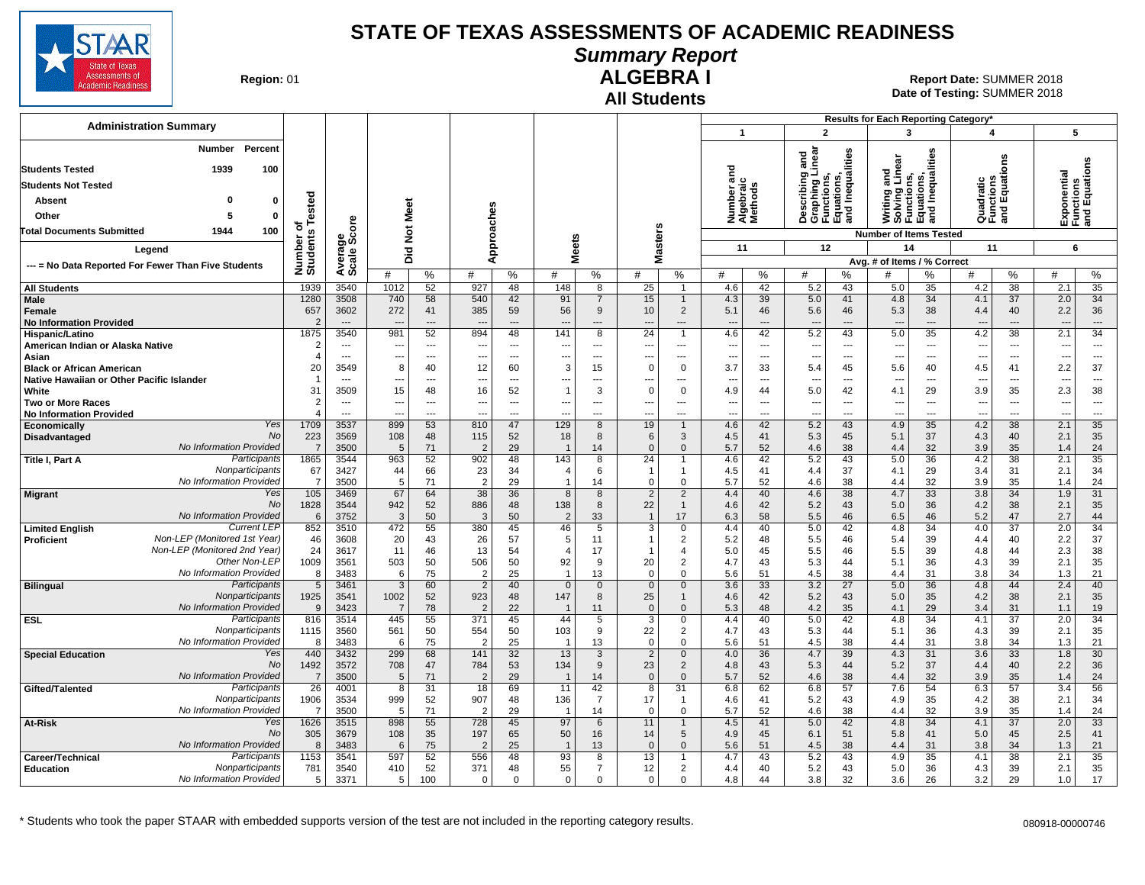

**Summary Report**

**Region: 01** 

#### **All Students ALGEBRA I**

**Date of Testing:**  SUMMER 2018 01 **Report Date:** SUMMER 2018

| <b>Administration Summary</b>                                        |                        |                                  |                        |                          |                                            |                          |                                |                       |                                             |                            | $\overline{1}$                    |                          |                                                      | $\overline{2}$                                                                    | Results for Each Reporting Category*<br>3                                     |                 | 4                               |                                      |                                           | 5                              |
|----------------------------------------------------------------------|------------------------|----------------------------------|------------------------|--------------------------|--------------------------------------------|--------------------------|--------------------------------|-----------------------|---------------------------------------------|----------------------------|-----------------------------------|--------------------------|------------------------------------------------------|-----------------------------------------------------------------------------------|-------------------------------------------------------------------------------|-----------------|---------------------------------|--------------------------------------|-------------------------------------------|--------------------------------|
| Percent                                                              |                        |                                  |                        |                          |                                            |                          |                                |                       |                                             |                            |                                   |                          |                                                      |                                                                                   |                                                                               |                 |                                 |                                      |                                           |                                |
| Number                                                               |                        |                                  |                        |                          |                                            |                          |                                |                       |                                             |                            |                                   |                          |                                                      |                                                                                   |                                                                               |                 |                                 | ទី<br>ស                              |                                           |                                |
| <b>Students Tested</b><br>1939<br>100                                |                        |                                  |                        |                          |                                            |                          |                                |                       |                                             |                            | ъ                                 |                          |                                                      |                                                                                   |                                                                               |                 |                                 |                                      |                                           |                                |
| <b>Students Not Tested</b>                                           |                        |                                  |                        |                          |                                            |                          |                                |                       |                                             |                            | 등                                 |                          |                                                      |                                                                                   |                                                                               |                 |                                 |                                      |                                           |                                |
| Absent<br>ŋ<br>$\mathbf 0$                                           | Tested                 |                                  |                        |                          |                                            |                          |                                |                       |                                             |                            | Number ar<br>Algebraic<br>Methods |                          |                                                      | Describing and<br>Graphing Linear<br>Functions,<br>Equations,<br>and Inequalities | Writing and<br>Solving Linear<br>Functions,<br>Equations,<br>and Inequalities |                 |                                 | Quadratic<br>Functions<br>and Equati | Exponential<br>Functions<br>and Equations |                                |
| Other<br>5<br>$\Omega$                                               |                        |                                  |                        | Meet                     |                                            |                          |                                |                       |                                             |                            |                                   |                          |                                                      |                                                                                   |                                                                               |                 |                                 |                                      |                                           |                                |
| 1944<br>100<br>Total Documents Submitted                             | ৳                      |                                  |                        |                          |                                            |                          |                                |                       |                                             |                            |                                   |                          |                                                      |                                                                                   |                                                                               |                 |                                 |                                      |                                           |                                |
|                                                                      |                        | ige<br>Score                     | $\rm \breve{\rm z}$    |                          |                                            | pproaches                |                                | <b>Meets</b>          | asters                                      |                            | 11                                |                          |                                                      | 12                                                                                | <b>Number of Items Tested</b><br>14                                           |                 | 11                              |                                      |                                           | 6                              |
| Legend                                                               |                        |                                  | Did                    |                          |                                            | ⋖                        |                                |                       | Σ                                           |                            |                                   |                          |                                                      |                                                                                   | Avg. # of Items / % Correct                                                   |                 |                                 |                                      |                                           |                                |
| --- = No Data Reported For Fewer Than Five Students                  | Number of<br>Students  | Avera<br>Scale                   | #                      | %                        | #                                          | %                        | #                              | %                     | #                                           | %                          | #                                 | %                        | #                                                    | %                                                                                 | #                                                                             | %               | #                               | %                                    | #                                         | %                              |
| <b>All Students</b>                                                  | 1939                   | 3540                             | 1012                   | 52                       | 927                                        | 48                       | 148                            | 8                     | 25                                          | $\overline{1}$             | 4.6                               | 42                       | 5.2                                                  | 43                                                                                | 5.0                                                                           | 35              | 4.2                             | 38                                   | 2.1                                       | 35                             |
| Male                                                                 | 1280                   | 3508                             | 740                    | 58                       | 540                                        | 42                       | 91                             | 7                     | 15                                          | $\mathbf{1}$               | 4.3                               | 39                       | 5.0                                                  | 41                                                                                | 4.8                                                                           | 34              | 4.1                             | 37                                   | 2.0                                       | 34                             |
| Female                                                               | 657                    | 3602                             | 272                    | 41                       | 385                                        | 59                       | 56                             | 9                     | 10                                          | $\overline{2}$             | 5.1                               | 46                       | 5.6                                                  | 46                                                                                | 5.3                                                                           | 38              | 4.4                             | 40                                   | 2.2                                       | 36                             |
| <b>No Information Provided</b>                                       | $\overline{2}$<br>1875 | $---$<br>3540                    | 981                    | $---$<br>52              | 894                                        | $\overline{a}$<br>48     | ---<br>141                     | ---<br>$\overline{8}$ | $\overline{\phantom{a}}$<br>$\overline{24}$ | ---<br>$\overline{1}$      | ---<br>4.6                        | ---<br>42                | $\overline{\phantom{a}}$<br>5.2                      | $\overline{\phantom{a}}$<br>43                                                    | $\overline{\phantom{a}}$<br>5.0                                               | ---<br>35       | $\overline{\phantom{a}}$<br>4.2 | ---<br>38                            | $\overline{\phantom{a}}$<br>2.1           | $\overline{\phantom{a}}$<br>34 |
| Hispanic/Latino<br>American Indian or Alaska Native                  | 2                      | $\overline{\phantom{a}}$         | -−                     | ---                      |                                            | $\overline{a}$           | ---                            | ---                   | $\overline{a}$                              | ---                        | ---                               | ---                      | $\overline{\phantom{a}}$                             | $\overline{\phantom{a}}$                                                          | $\overline{\phantom{a}}$                                                      | ---             | ---                             | ---                                  | ---                                       | $\overline{\phantom{a}}$       |
| Asian                                                                |                        | $\overline{\phantom{a}}$         | -−-                    | $\overline{\phantom{a}}$ | $\overline{\phantom{a}}$                   | $\overline{\phantom{a}}$ | ---                            | ---                   | $\overline{a}$                              | $\overline{a}$             | ---                               | $\overline{\phantom{a}}$ | $\overline{\phantom{a}}$                             | $\overline{\phantom{a}}$                                                          | $\overline{\phantom{a}}$                                                      | ---             | ---                             | ---                                  | ---                                       | $\hspace{0.05cm} \ldots$       |
| <b>Black or African American</b>                                     | 20                     | 3549                             | 8                      | 40                       | 12                                         | 60                       | 3                              | 15                    | $\Omega$                                    | $\Omega$                   | 3.7                               | 33                       | 5.4                                                  | 45                                                                                | 5.6                                                                           | 40              | 4.5                             | 41                                   | 2.2                                       | 37                             |
| Native Hawaiian or Other Pacific Islander                            | -1                     | $---$                            | ---                    | $\sim$ $\sim$            | ---                                        | $\cdots$                 | $---$                          | ---                   | ---                                         | ---                        | ---                               | $\ddotsc$                | $\overline{\phantom{a}}$                             | ---                                                                               | $\sim$                                                                        | $---$           | ---                             | ---                                  | ---                                       | $\overline{\phantom{a}}$       |
| White                                                                | 31<br>$\overline{2}$   | 3509<br>$\overline{\phantom{a}}$ | 15                     | 48<br>---                | 16                                         | 52<br>$\overline{a}$     | $\mathbf{1}$<br>---            | 3<br>---              | $\Omega$                                    | $\Omega$<br>---            | 4.9                               | 44<br>$\overline{a}$     | 5.0                                                  | 42<br>$\overline{\phantom{a}}$                                                    | 4.1<br>$\overline{\phantom{a}}$                                               | 29<br>---       | 3.9<br>---                      | 35<br>---                            | 2.3                                       | 38<br>$\overline{\phantom{a}}$ |
| <b>Two or More Races</b><br><b>No Information Provided</b>           | $\boldsymbol{A}$       | $---$                            | ---<br>---             | $\sim$                   | $\overline{\phantom{a}}$<br>$\overline{a}$ | $---$                    | $\overline{a}$                 | ---                   | ---<br>$\overline{a}$                       | $\overline{a}$             | ---<br>---                        | $---$                    | $\overline{\phantom{a}}$<br>$\overline{\phantom{a}}$ | $\sim$                                                                            | $\sim$                                                                        | $\overline{a}$  | $\sim$                          | $\overline{a}$                       | ---<br>---                                | $\sim$                         |
| Yes<br>Economically                                                  | 1709                   | 3537                             | 899                    | 53                       | 810                                        | 47                       | 129                            | 8                     | 19                                          | $\mathbf{1}$               | 4.6                               | 42                       | 5.2                                                  | 43                                                                                | 4.9                                                                           | 35              | 4.2                             | 38                                   | 2.1                                       | 35                             |
| No<br>Disadvantaged                                                  | 223                    | 3569                             | 108                    | 48                       | 115                                        | 52                       | 18                             | 8                     | 6                                           | 3                          | 4.5                               | 41                       | 5.3                                                  | 45                                                                                | 5.1                                                                           | 37              | 4.3                             | 40                                   | 2.1                                       | 35                             |
| No Information Provided                                              | $\overline{7}$         | 3500                             | 5                      | 71                       | $\overline{2}$                             | 29                       | $\overline{1}$                 | 14                    | $\Omega$                                    | $\Omega$                   | 5.7                               | 52                       | 4.6                                                  | 38                                                                                | 4.4                                                                           | 32              | 3.9                             | 35                                   | 1.4                                       | 24                             |
| Participants<br>Title I, Part A<br>Nonparticipants                   | 1865<br>67             | 3544<br>3427                     | 963<br>44              | 52<br>66                 | 902<br>23                                  | 48<br>34                 | 143<br>$\overline{4}$          | 8<br>6                | 24<br>$\overline{1}$                        | 1                          | 4.6<br>4.5                        | 42<br>41                 | 5.2<br>4.4                                           | 43<br>37                                                                          | 5.0<br>4.1                                                                    | 36<br>29        | 4.2<br>3.4                      | 38<br>31                             | 2.1<br>2.1                                | 35<br>34                       |
| No Information Provided                                              | $\overline{7}$         | 3500                             | 5                      | 71                       | $\overline{2}$                             | 29                       | $\overline{1}$                 | 14                    | $\Omega$                                    | $\Omega$                   | 5.7                               | 52                       | 4.6                                                  | 38                                                                                | 4.4                                                                           | 32              | 3.9                             | 35                                   | 1.4                                       | 24                             |
| Yes<br><b>Migrant</b>                                                | 105                    | 3469                             | 67                     | 64                       | 38                                         | 36                       | 8                              | 8                     | 2                                           | $\overline{2}$             | 4.4                               | 40                       | 4.6                                                  | 38                                                                                | 4.7                                                                           | 33              | 3.8                             | 34                                   | 1.9                                       | 31                             |
| No                                                                   | 1828                   | 3544                             | 942                    | 52                       | 886                                        | 48                       | 138                            | 8                     | 22                                          | $\mathbf{1}$               | 4.6                               | 42                       | 5.2                                                  | 43                                                                                | 5.0                                                                           | 36              | 4.2                             | 38                                   | 2.1                                       | 35                             |
| No Information Provideo<br><b>Current LEP</b>                        | 6                      | 3752                             | $\overline{3}$         | 50                       | 3                                          | 50                       | $\overline{2}$                 | 33                    | $\overline{1}$                              | 17<br>$\Omega$             | 6.3                               | 58                       | 5.5                                                  | 46                                                                                | 6.5                                                                           | 46              | 5.2                             | 47                                   | 2.7                                       | 44<br>34                       |
| <b>Limited English</b><br>Non-LEP (Monitored 1st Year)<br>Proficient | 852<br>46              | 3510<br>3608                     | 472<br>20              | 55<br>43                 | 380<br>26                                  | 45<br>57                 | 46<br>5                        | 5<br>11               | 3<br>-1                                     | 2                          | 4.4<br>5.2                        | 40<br>48                 | 5.0<br>5.5                                           | 42<br>46                                                                          | 4.8<br>5.4                                                                    | 34<br>39        | 4.0<br>4.4                      | $\overline{37}$<br>40                | 2.0<br>2.2                                | 37                             |
| Non-LEP (Monitored 2nd Year)                                         | 24                     | 3617                             | 11                     | 46                       | 13                                         | 54                       | $\overline{4}$                 | 17                    |                                             | 4                          | 5.0                               | 45                       | 5.5                                                  | 46                                                                                | 5.5                                                                           | 39              | 4.8                             | 44                                   | 2.3                                       | 38                             |
| Other Non-LEP                                                        | 1009                   | 3561                             | 503                    | 50                       | 506                                        | 50                       | 92                             | 9                     | 20                                          | $\overline{2}$             | 4.7                               | 43                       | 5.3                                                  | 44                                                                                | 5.1                                                                           | 36              | 4.3                             | 39                                   | 2.1                                       | 35                             |
| No Information Provideo                                              | 8                      | 3483                             | 6                      | 75                       | $\overline{2}$                             | 25                       | $\overline{1}$                 | 13                    | $\Omega$                                    | $\Omega$                   | 5.6                               | 51                       | 4.5                                                  | 38                                                                                | 4.4                                                                           | 31              | 3.8                             | 34                                   | 1.3                                       | 21                             |
| Participants<br><b>Bilingual</b><br>Nonparticipants                  | $\,$ 5 $\,$            | 3461                             | 3                      | 60                       | $\overline{2}$                             | 40                       | $\mathbf{0}$                   | $\mathbf 0$           | $\mathbf 0$                                 | $\mathbf{0}$               | 3.6                               | 33                       | 3.2                                                  | 27                                                                                | 5.0                                                                           | 36              | 4.8                             | 44                                   | 2.4                                       | 40                             |
| No Information Provideo                                              | 1925<br>9              | 3541<br>3423                     | 1002<br>$\overline{7}$ | 52<br>78                 | 923<br>$\overline{2}$                      | 48<br>22                 | 147<br>-1                      | 8<br>11               | 25<br>$\mathbf{0}$                          | $\mathbf{1}$<br>$\Omega$   | 4.6<br>5.3                        | 42<br>48                 | 5.2<br>4.2                                           | 43<br>35                                                                          | 5.0<br>4.1                                                                    | 35<br>29        | 4.2<br>3.4                      | 38<br>31                             | 2.1<br>1.1                                | 35<br>19                       |
| Participants<br><b>ESL</b>                                           | 816                    | 3514                             | 445                    | 55                       | 371                                        | 45                       | 44                             | $\overline{5}$        | $\overline{3}$                              | 0                          | 4.4                               | 40                       | 5.0                                                  | 42                                                                                | 4.8                                                                           | $\overline{34}$ | 4.1                             | $\overline{37}$                      | 2.0                                       | 34                             |
| Nonparticipants                                                      | 1115                   | 3560                             | 561                    | 50                       | 554                                        | 50                       | 103                            | 9                     | 22                                          | $\overline{2}$             | 4.7                               | 43                       | 5.3                                                  | 44                                                                                | 5.1                                                                           | 36              | 4.3                             | 39                                   | 2.1                                       | 35                             |
| No Information Provideo                                              | 8                      | 3483                             | 6                      | 75                       | $\overline{2}$                             | 25                       | $\overline{1}$                 | 13                    | $\mathbf 0$                                 | $\mathbf 0$                | 5.6                               | 51                       | 4.5                                                  | 38                                                                                | 4.4                                                                           | 31              | 3.8                             | 34                                   | 1.3                                       | 21                             |
| Yes<br><b>Special Education</b><br>No                                | 440                    | 3432                             | 299                    | 68                       | 141                                        | 32                       | 13                             | 3<br>9                | $\overline{2}$<br>23                        | $\Omega$                   | 4.0                               | 36                       | 4.7                                                  | 39<br>44                                                                          | 4.3                                                                           | 31              | 3.6                             | 33<br>40                             | 1.8                                       | 30                             |
| No Information Provided                                              | 1492<br>$\overline{7}$ | 3572<br>3500                     | 708<br>5               | 47<br>71                 | 784<br>2                                   | 53<br>29                 | 134<br>$\overline{\mathbf{1}}$ | 14                    | $\Omega$                                    | $\overline{2}$<br>$\Omega$ | 4.8<br>5.7                        | 43<br>52                 | 5.3<br>4.6                                           | 38                                                                                | 5.2<br>4.4                                                                    | 37<br>32        | 4.4<br>3.9                      | 35                                   | 2.2<br>1.4                                | 36<br>24                       |
| Participants<br>Gifted/Talented                                      | $\overline{26}$        | 4001                             | 8                      | 31                       | 18                                         | 69                       | 11                             | 42                    | 8                                           | 31                         | 6.8                               | 62                       | 6.8                                                  | 57                                                                                | 7.6                                                                           | 54              | 6.3                             | 57                                   | 3.4                                       | 56                             |
| Nonparticipants                                                      | 1906                   | 3534                             | 999                    | 52                       | 907                                        | 48                       | 136                            | $\overline{7}$        | 17                                          | 1                          | 4.6                               | 41                       | 5.2                                                  | 43                                                                                | 4.9                                                                           | 35              | 4.2                             | 38                                   | 2.1                                       | 34                             |
| No Information Provideo                                              | $\overline{7}$         | 3500                             | 5                      | 71                       | $\overline{2}$                             | 29                       | $\overline{1}$                 | 14                    | $\mathbf 0$                                 | $\Omega$                   | 5.7                               | 52                       | 4.6                                                  | 38                                                                                | 4.4                                                                           | 32              | 3.9                             | 35                                   | 1.4                                       | 24                             |
| Yes<br>At-Risk<br><b>No</b>                                          | 1626                   | 3515                             | 898                    | 55                       | 728                                        | 45                       | 97                             | 6                     | 11                                          | 1                          | 4.5                               | 41                       | 5.0                                                  | 42                                                                                | 4.8                                                                           | 34              | 4.1                             | 37                                   | 2.0                                       | 33                             |
| <b>No Information Provided</b>                                       | 305<br>8               | 3679<br>3483                     | 108<br>6               | 35<br>75                 | 197<br>$\overline{2}$                      | 65<br>25                 | 50<br>$\overline{1}$           | 16<br>13              | 14<br>$\Omega$                              | 5<br>$\mathbf{0}$          | 4.9<br>5.6                        | 45<br>51                 | 6.1<br>4.5                                           | 51<br>38                                                                          | 5.8<br>4.4                                                                    | 41<br>31        | 5.0<br>3.8                      | 45<br>34                             | 2.5<br>1.3                                | 41<br>21                       |
| Participants<br>Career/Technical                                     | 1153                   | 3541                             | 597                    | 52                       | 556                                        | 48                       | 93                             | 8                     | 13                                          |                            | 4.7                               | 43                       | 5.2                                                  | 43                                                                                | 4.9                                                                           | 35              | 4.1                             | 38                                   | 2.1                                       | 35                             |
| Nonparticipants<br><b>Education</b>                                  | 781                    | 3540                             | 410                    | 52                       | 371                                        | 48                       | 55                             | $\overline{7}$        | 12                                          | $\overline{2}$             | 4.4                               | 40                       | 5.2                                                  | 43                                                                                | 5.0                                                                           | 36              | 4.3                             | 39                                   | 2.1                                       | 35                             |
| No Information Provided                                              | 5                      | 3371                             | 5                      | 100                      | $\mathbf{0}$                               | $\Omega$                 | $\Omega$                       | $\Omega$              | $\Omega$                                    | $\Omega$                   | 4.8                               | 44                       | 3.8                                                  | 32                                                                                | 3.6                                                                           | 26              | 3.2                             | 29                                   | 1.0                                       | 17                             |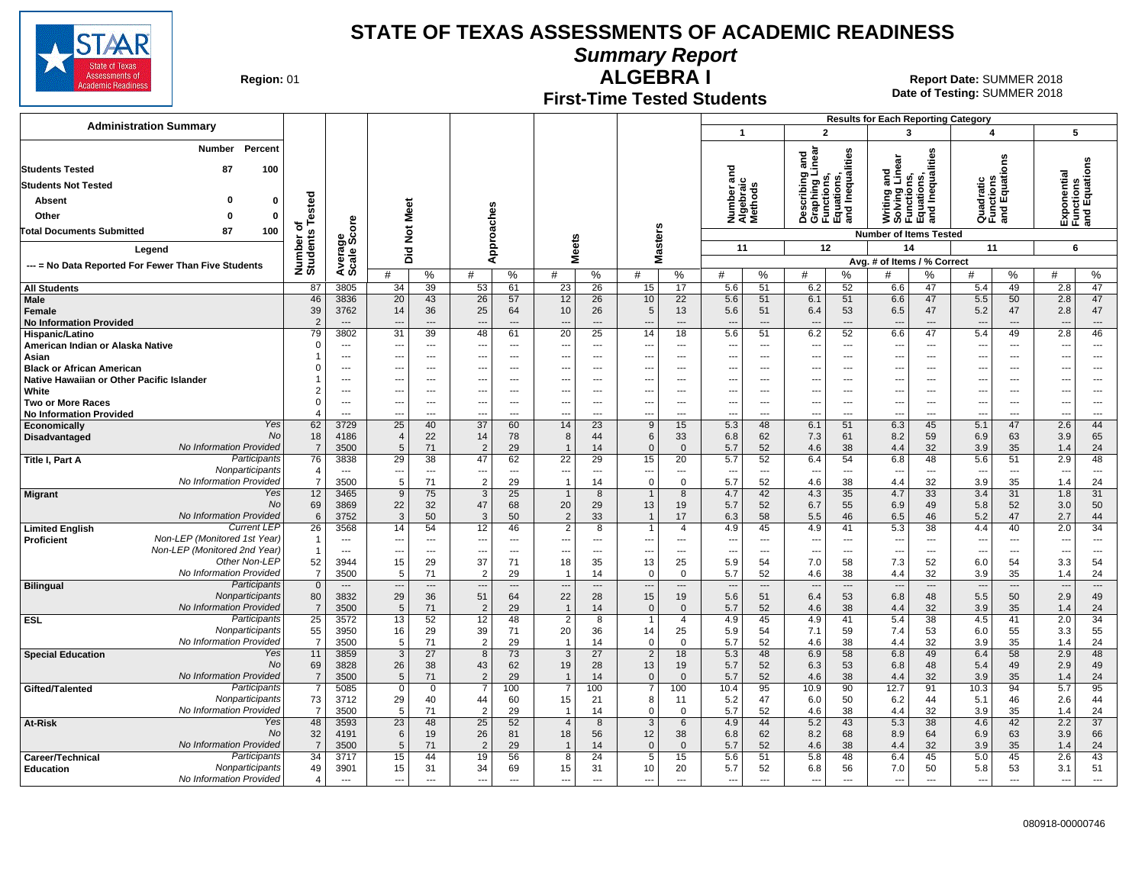

**Summary Report**

**Region: 01** 

# **First-Time Tested Students**

**ALGEBRA I** 01 **Report Date:** SUMMER 2018 **Date of Testing:**  SUMMER 2018

|                                                                         |                                |                                |                            |                                             |                                      |                              |                                             |                                      |                                      |                                      |                                   |                                   |                                                                          |                                      | <b>Results for Each Reporting Category</b> |                                                                               |                                                      |                   |                                           |                                            |
|-------------------------------------------------------------------------|--------------------------------|--------------------------------|----------------------------|---------------------------------------------|--------------------------------------|------------------------------|---------------------------------------------|--------------------------------------|--------------------------------------|--------------------------------------|-----------------------------------|-----------------------------------|--------------------------------------------------------------------------|--------------------------------------|--------------------------------------------|-------------------------------------------------------------------------------|------------------------------------------------------|-------------------|-------------------------------------------|--------------------------------------------|
| <b>Administration Summary</b>                                           |                                |                                |                            |                                             |                                      |                              |                                             |                                      |                                      |                                      | $\overline{1}$                    |                                   | $\overline{2}$                                                           |                                      | 3                                          |                                                                               | 4                                                    |                   | 5                                         |                                            |
| Number<br>Percent<br><b>Students Tested</b><br>87<br>100                |                                |                                |                            |                                             |                                      |                              |                                             |                                      |                                      |                                      | ᠊ᠣ                                |                                   | inear<br>ठ<br>ā                                                          | Inequalities                         |                                            | Writing and<br>Solving Linear<br>Functions,<br>Equations,<br>and Inequalities |                                                      | ons               | Exponential<br>Functions<br>and Equations |                                            |
| <b>Students Not Tested</b>                                              |                                |                                |                            |                                             |                                      |                              |                                             |                                      |                                      |                                      | ۴                                 |                                   |                                                                          |                                      |                                            |                                                                               |                                                      |                   |                                           |                                            |
| Absent<br>$\Omega$                                                      |                                |                                |                            |                                             |                                      |                              |                                             |                                      |                                      |                                      | Number ar<br>Algebraic<br>Methods |                                   | Describing a<br>Graphing Lir<br>Functions,<br>Equations,<br>and Inequali |                                      |                                            |                                                                               | Quadratic<br>Functions<br>and Equativ                |                   |                                           |                                            |
| Other<br>$\mathbf 0$<br>0                                               | Tested                         |                                | <b>Not Meet</b>            |                                             |                                      |                              |                                             |                                      |                                      |                                      |                                   |                                   |                                                                          |                                      |                                            |                                                                               |                                                      |                   |                                           |                                            |
|                                                                         | ৳                              | <b>e</b>                       |                            |                                             |                                      |                              |                                             |                                      |                                      |                                      |                                   |                                   |                                                                          |                                      |                                            |                                                                               |                                                      |                   |                                           |                                            |
| 100<br><b>Total Documents Submitted</b><br>87                           |                                | န္တပ္တိ                        |                            |                                             |                                      |                              |                                             |                                      |                                      |                                      |                                   |                                   |                                                                          |                                      | <b>Number of Items Tested</b>              |                                                                               |                                                      |                   |                                           |                                            |
| Legend                                                                  |                                |                                | Did                        |                                             |                                      | Approaches                   |                                             | <b>Meets</b>                         | Masters                              |                                      | 11                                |                                   | 12                                                                       |                                      | 14                                         |                                                                               | 11                                                   |                   | 6                                         |                                            |
| --- = No Data Reported For Fewer Than Five Students                     | Number of<br>Students          | Average                        | #                          | %                                           | #                                    | %                            | #                                           | %                                    | #                                    | %                                    | #                                 | %                                 | #                                                                        | %                                    | Avg. # of Items / % Correct<br>#           | %                                                                             | #                                                    | %                 | #                                         | %                                          |
| <b>All Students</b>                                                     | 87                             | 3805                           | 34                         | 39                                          | 53                                   | 61                           | 23                                          | 26                                   | 15                                   | 17                                   | 5.6                               | $\overline{51}$                   | 6.2                                                                      | 52                                   | 6.6                                        | 47                                                                            | 5.4                                                  | 49                | 2.8                                       | $\overline{47}$                            |
| Male<br>Female<br><b>No Information Provided</b>                        | 46<br>39<br>$\mathcal{P}$      | 3836<br>3762<br>$---$          | 20<br>14<br>$\overline{a}$ | 43<br>36<br>$---$                           | 26<br>25<br>$\overline{\phantom{a}}$ | 57<br>64<br>$---$            | 12<br>10<br>$---$                           | 26<br>26<br>$\overline{\phantom{a}}$ | 10<br>5<br>$\overline{\phantom{a}}$  | 22<br>13<br>$---$                    | 5.6<br>5.6<br>$\overline{a}$      | 51<br>51<br>$\overline{a}$        | 6.1<br>6.4<br>$\overline{\phantom{a}}$                                   | 51<br>53<br>$\overline{\phantom{a}}$ | 6.6<br>6.5<br>$\overline{a}$               | 47<br>47<br>$---$                                                             | 5.5<br>5.2<br>$\overline{\phantom{a}}$               | 50<br>47<br>$---$ | 2.8<br>2.8<br>$---$                       | 47<br>47<br>$---$                          |
| Hispanic/Latino                                                         | 79                             | 3802                           | 31                         | 39                                          | 48                                   | 61                           | 20                                          | 25                                   | 14                                   | 18                                   | 5.6                               | 51                                | 6.2                                                                      | 52                                   | 6.6                                        | 47                                                                            | 5.4                                                  | 49                | 2.8                                       | 46                                         |
| American Indian or Alaska Native<br>Asian                               | $\Omega$                       | $---$<br>$---$                 | ---<br>---                 | $\sim$<br>$\sim$                            | $\overline{a}$                       | $---$<br>$---$               | $\sim$<br>---                               | $---$<br>$---$                       | $\sim$<br>$\overline{\phantom{a}}$   | $---$<br>$---$                       | $---$<br>---                      | $---$<br>$\overline{\phantom{a}}$ | $\sim$<br>$\sim$                                                         | $---$<br>$---$                       | $\sim$<br>$\qquad \qquad \cdots$           | $---$<br>---                                                                  | $\overline{a}$<br>$\overline{\phantom{a}}$           | $---$<br>$---$    | $\overline{a}$<br>$\cdots$                | $\overline{a}$<br>$\hspace{0.05cm} \ldots$ |
| <b>Black or African American</b>                                        |                                | $\overline{a}$                 | ---                        | $---$                                       |                                      | $---$                        | ---                                         | $---$                                | $\overline{\phantom{a}}$             | $\overline{a}$                       | ---                               | $---$                             | $\overline{\phantom{a}}$                                                 | $---$                                | $\overline{a}$                             | ---                                                                           | $\overline{\phantom{a}}$                             | $\overline{a}$    | $---$                                     | $\overline{\phantom{a}}$                   |
| Native Hawaiian or Other Pacific Islander                               |                                | ---                            | ---                        | $\overline{\phantom{a}}$                    |                                      | ---                          | ---                                         | $\overline{\phantom{a}}$             | $\overline{\phantom{a}}$             | $\overline{a}$                       | ---                               | $\overline{a}$                    | $\overline{\phantom{a}}$                                                 | ---                                  | $\overline{\phantom{a}}$                   |                                                                               | $\overline{\phantom{a}}$                             | ---               | ---                                       | ---                                        |
| White                                                                   | $\overline{2}$                 | ---                            | ---                        | $\overline{\phantom{a}}$                    |                                      | ---                          | ---                                         | ---                                  | $\overline{a}$                       | ---                                  | ---                               | $\overline{\phantom{a}}$          | $\overline{\phantom{a}}$                                                 | ---                                  | ---                                        | --                                                                            | ---                                                  | ---               | ---                                       | $\overline{\phantom{a}}$                   |
| <b>Two or More Races</b><br><b>No Information Provided</b>              | $\Omega$<br>$\overline{4}$     | ---<br>---                     | ---<br>---                 | ---<br>---                                  |                                      | ---<br>---                   | ---<br>---                                  | ---                                  | $\overline{\phantom{a}}$             | $\overline{a}$<br>---                | ---<br>---                        | $\overline{a}$<br>---             | $\overline{\phantom{a}}$<br>$\overline{\phantom{a}}$                     | ---<br>---                           | ---<br>---                                 | $\overline{\phantom{a}}$<br>---                                               | $\overline{\phantom{a}}$<br>$\overline{\phantom{a}}$ | ---<br>---        | ---<br>---                                | ---<br>---                                 |
| Yes<br>Economically                                                     | 62                             | 3729                           | $\overline{25}$            | 40                                          | $\overline{37}$                      | 60                           | 14                                          | 23                                   | 9                                    | 15                                   | 5.3                               | 48                                | 6.1                                                                      | 51                                   | 6.3                                        | 45                                                                            | 5.1                                                  | 47                | 2.6                                       | 44                                         |
| No<br>Disadvantaged                                                     | 18                             | 4186                           | $\overline{4}$             | 22                                          | 14                                   | 78                           | 8                                           | 44                                   | 6                                    | 33                                   | 6.8                               | 62                                | 7.3                                                                      | 61                                   | 8.2                                        | 59                                                                            | 6.9                                                  | 63                | 3.9                                       | 65                                         |
| No Information Provided                                                 | $\overline{7}$                 | 3500                           | 5                          | 71                                          | $\overline{2}$                       | 29                           |                                             | 14                                   | $\Omega$                             | $\Omega$                             | 5.7                               | 52                                | 4.6                                                                      | 38                                   | 4.4                                        | 32                                                                            | 3.9                                                  | 35                | 1.4                                       | 24                                         |
| Participants<br>Title I, Part A<br>Nonparticipants                      | 76<br>$\overline{4}$           | 3838<br>$\sim$                 | 29<br>$---$                | $\overline{38}$<br>$\overline{\phantom{a}}$ | 47<br>$---$                          | 62<br>$\overline{a}$         | $\overline{22}$<br>$\overline{\phantom{a}}$ | 29<br>$\overline{\phantom{a}}$       | 15<br>$\overline{\phantom{a}}$       | 20<br>$\overline{a}$                 | 5.7<br>$\sim$                     | 52<br>$\overline{a}$              | 6.4<br>$\sim$                                                            | 54<br>$\overline{\phantom{a}}$       | 6.8<br>$\overline{a}$                      | 48<br>$\overline{a}$                                                          | 5.6<br>$\overline{\phantom{a}}$                      | 51<br>$---$       | 2.9<br>$\overline{\phantom{a}}$           | 48<br>$\overline{a}$                       |
| No Information Provided                                                 | $\overline{7}$                 | 3500                           | 5                          | 71                                          | $\overline{2}$                       | 29                           | $\overline{1}$                              | 14                                   | $\Omega$                             | $\Omega$                             | 5.7                               | 52                                | 4.6                                                                      | 38                                   | 4.4                                        | 32                                                                            | 3.9                                                  | 35                | 1.4                                       | 24                                         |
| Yes<br><b>Migrant</b>                                                   | 12                             | 3465                           | 9                          | 75                                          | 3                                    | 25                           | $\overline{1}$                              | 8                                    |                                      | 8                                    | 4.7                               | 42                                | 4.3                                                                      | 35                                   | 4.7                                        | 33                                                                            | 3.4                                                  | 31                | 1.8                                       | 31                                         |
| <b>No</b>                                                               | 69                             | 3869                           | 22                         | 32                                          | 47                                   | 68                           | 20                                          | 29                                   | 13                                   | 19                                   | 5.7                               | 52                                | 6.7                                                                      | 55                                   | 6.9                                        | 49                                                                            | 5.8                                                  | 52                | 3.0                                       | 50                                         |
| No Information Provided<br><b>Current LEP</b>                           | 6<br>$\overline{26}$           | 3752<br>3568                   | 3<br>14                    | 50<br>54                                    | 3<br>12                              | 50<br>46                     | $\overline{2}$<br>$\overline{2}$            | 33<br>8                              | $\overline{1}$                       | 17<br>$\overline{4}$                 | 6.3<br>4.9                        | 58<br>45                          | 5.5<br>4.9                                                               | 46<br>41                             | 6.5<br>5.3                                 | 46<br>38                                                                      | 5.2<br>4.4                                           | 47<br>40          | 2.7<br>2.0                                | 44<br>34                                   |
| <b>Limited English</b><br>Non-LEP (Monitored 1st Year)<br>Proficient    | $\overline{\mathbf{1}}$        | $---$                          | ---                        | $---$                                       | $\overline{a}$                       | $\overline{a}$               | ---                                         | $\overline{a}$                       | $\overline{\phantom{a}}$             | $\overline{a}$                       | $\overline{\phantom{a}}$          | $---$                             | $\sim$                                                                   | $\overline{a}$                       | $\overline{\phantom{a}}$                   | ---                                                                           | $\overline{a}$                                       | $\overline{a}$    | $\overline{\phantom{a}}$                  | $\overline{a}$                             |
| Non-LEP (Monitored 2nd Year)                                            | $\mathbf 1$                    | $\cdots$                       | ---                        | ---                                         | ---                                  | $\overline{\phantom{a}}$     | ---                                         | $\overline{\phantom{a}}$             | $\overline{\phantom{a}}$             | ---                                  | $---$                             | $\overline{a}$                    | $\overline{\phantom{a}}$                                                 | ---                                  | $\qquad \qquad \cdots$                     | ---                                                                           | $\overline{\phantom{a}}$                             | ---               | $\overline{\phantom{a}}$                  | $\overline{\phantom{a}}$                   |
| Other Non-LEP                                                           | 52                             | 3944                           | 15                         | 29                                          | 37                                   | 71                           | 18                                          | 35                                   | 13                                   | 25                                   | 5.9                               | 54                                | 7.0                                                                      | 58                                   | 7.3                                        | 52                                                                            | 6.0                                                  | 54                | 3.3                                       | 54                                         |
| No Information Provided<br>Participants                                 | $\overline{7}$<br>$\mathbf{0}$ | 3500<br>$\qquad \qquad \cdots$ | 5<br>---                   | 71<br>$\overline{\phantom{a}}$              | $\overline{2}$                       | 29<br>$\qquad \qquad \cdots$ | $\overline{\phantom{a}}$                    | 14<br>$\overline{\phantom{a}}$       | $\Omega$<br>$\overline{\phantom{a}}$ | $\Omega$<br>$\overline{\phantom{a}}$ | 5.7<br>$\overline{\phantom{a}}$   | 52<br>$\overline{\phantom{a}}$    | 4.6<br>$\overline{\phantom{a}}$                                          | 38<br>---                            | 4.4<br>$\overline{\phantom{a}}$            | 32<br>---                                                                     | 3.9<br>$\overline{\phantom{a}}$                      | 35<br>$\cdots$    | 1.4<br>$\overline{\phantom{a}}$           | 24<br>$\overline{\phantom{a}}$             |
| <b>Bilingual</b><br>Nonparticipants                                     | 80                             | 3832                           | 29                         | 36                                          | 51                                   | 64                           | 22                                          | 28                                   | 15                                   | 19                                   | 5.6                               | 51                                | 6.4                                                                      | 53                                   | 6.8                                        | 48                                                                            | 5.5                                                  | 50                | 2.9                                       | 49                                         |
| No Information Provided                                                 | $\overline{7}$                 | 3500                           | 5                          | 71                                          | $\overline{2}$                       | 29                           | $\overline{1}$                              | 14                                   | $\Omega$                             | $\mathbf 0$                          | 5.7                               | 52                                | 4.6                                                                      | 38                                   | 4.4                                        | 32                                                                            | 3.9                                                  | 35                | 1.4                                       | 24                                         |
| Participants<br><b>ESL</b>                                              | $\overline{25}$                | 3572                           | 13                         | 52                                          | 12                                   | 48                           | $\overline{2}$                              | 8                                    |                                      | $\overline{4}$                       | 4.9                               | 45                                | 4.9                                                                      | 41                                   | 5.4                                        | 38                                                                            | 4.5                                                  | 41                | 2.0                                       | 34                                         |
| Nonparticipants<br>No Information Provided                              | 55<br>$\overline{7}$           | 3950<br>3500                   | 16                         | 29<br>71                                    | 39<br>$\overline{2}$                 | 71<br>29                     | 20                                          | 36                                   | 14<br>$\Omega$                       | 25<br>$\Omega$                       | 5.9                               | 54                                | 7.1                                                                      | 59                                   | 7.4                                        | 53                                                                            | 6.0                                                  | 55                | 3.3                                       | 55                                         |
| <b>Special Education</b><br>Yes                                         | 11                             | 3859                           | 5<br>$\overline{3}$        | $\overline{27}$                             | 8                                    | 73                           | 3                                           | 14<br>$\overline{27}$                | $\overline{2}$                       | 18                                   | 5.7<br>5.3                        | 52<br>48                          | 4.6<br>6.9                                                               | 38<br>58                             | 4.4<br>6.8                                 | 32<br>49                                                                      | 3.9<br>6.4                                           | 35<br>58          | 1.4<br>2.9                                | 24<br>48                                   |
| No                                                                      | 69                             | 3828                           | 26                         | 38                                          | 43                                   | 62                           | 19                                          | 28                                   | 13                                   | 19                                   | 5.7                               | 52                                | 6.3                                                                      | 53                                   | 6.8                                        | 48                                                                            | 5.4                                                  | 49                | 2.9                                       | 49                                         |
| No Information Provided                                                 | $\overline{7}$                 | 3500                           | $5\phantom{.0}$            | 71                                          | $\overline{2}$                       | 29                           | $\overline{1}$                              | 14                                   | $\mathbf 0$                          | $\Omega$                             | 5.7                               | 52                                | 4.6                                                                      | 38                                   | 4.4                                        | 32                                                                            | 3.9                                                  | 35                | 1.4                                       | 24                                         |
| Participants<br>Gifted/Talented                                         | $\overline{7}$                 | 5085                           | $\mathbf 0$                | $\mathbf 0$                                 |                                      | 100                          | $\overline{7}$                              | 100                                  | $\overline{7}$                       | 100                                  | 10.4                              | 95                                | 10.9                                                                     | 90                                   | 12.7                                       | 91                                                                            | 10.3                                                 | 94                | 5.7                                       | 95                                         |
| Nonparticipants<br>No Information Provided                              | 73<br>$\overline{7}$           | 3712<br>3500                   | 29<br>5                    | 40<br>71                                    | 44<br>$\overline{2}$                 | 60<br>29                     | 15<br>$\overline{1}$                        | 21<br>14                             | 8<br>$\mathbf 0$                     | 11<br>$\mathbf 0$                    | 5.2<br>5.7                        | 47<br>52                          | 6.0<br>4.6                                                               | 50<br>38                             | 6.2<br>4.4                                 | 44<br>32                                                                      | 5.1<br>3.9                                           | 46<br>35          | 2.6<br>1.4                                | 44<br>24                                   |
| Yes<br>At-Risk                                                          | 48                             | 3593                           | 23                         | 48                                          | $\overline{25}$                      | 52                           | $\overline{4}$                              | 8                                    | $\overline{3}$                       | 6                                    | 4.9                               | 44                                | 5.2                                                                      | 43                                   | 5.3                                        | 38                                                                            | 4.6                                                  | 42                | 2.2                                       | $\overline{37}$                            |
| No                                                                      | 32                             | 4191                           | $6\phantom{1}6$            | 19                                          | 26                                   | 81                           | 18                                          | 56                                   | 12                                   | 38                                   | 6.8                               | 62                                | 8.2                                                                      | 68                                   | 8.9                                        | 64                                                                            | 6.9                                                  | 63                | 3.9                                       | 66                                         |
| No Information Provided                                                 | $\overline{7}$                 | 3500                           | $5\phantom{1}$             | 71                                          | $\overline{2}$                       | 29                           |                                             | 14                                   | $\mathbf{0}$                         | $\Omega$                             | 5.7                               | 52                                | 4.6                                                                      | 38                                   | 4.4                                        | 32                                                                            | 3.9                                                  | 35                | 1.4                                       | 24                                         |
| Participants<br>Career/Technical<br>Nonparticipants<br><b>Education</b> | 34<br>49                       | 3717<br>3901                   | 15<br>15                   | 44<br>31                                    | 19<br>34                             | 56<br>69                     | 8<br>15                                     | 24<br>31                             | 5<br>10                              | 15<br>20                             | 5.6<br>5.7                        | 51<br>52                          | 5.8<br>6.8                                                               | 48<br>56                             | 6.4<br>7.0                                 | 45<br>50                                                                      | 5.0<br>5.8                                           | 45<br>53          | 2.6<br>3.1                                | 43<br>51                                   |
| No Information Provided                                                 | $\overline{4}$                 | $\overline{a}$                 | ---                        | $\overline{a}$                              | $\overline{a}$                       | $\overline{a}$               | $\overline{a}$                              | $\overline{\phantom{a}}$             | $\overline{\phantom{a}}$             | $\overline{a}$                       |                                   |                                   | $\overline{a}$                                                           |                                      | $\overline{a}$                             |                                                                               | $\overline{\phantom{a}}$                             |                   |                                           | ---                                        |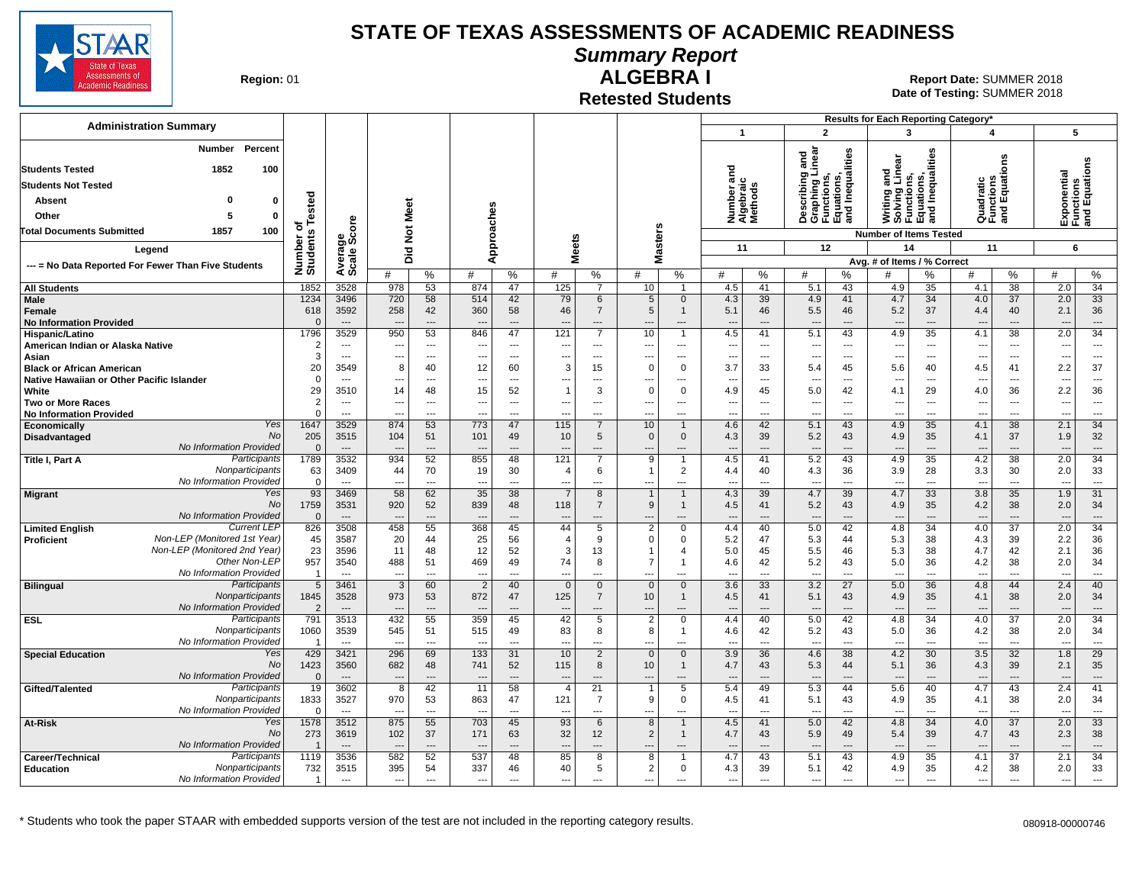

**Summary Report**

**Region: 01** 

# **ALGEBRA I**

**Date of Testing:**  SUMMER 2018 01 **Report Date:** SUMMER 2018

**Retested Students**

| <b>Administration Summary</b>                                                 |                      |                                  |                          |                          |                                 |                      |                                 |                               |                               |                              |                                    |                          |                                                                                   |                                | Results for Each Reporting Category*                                          |                                |                                       |                      |                                 |                                           |
|-------------------------------------------------------------------------------|----------------------|----------------------------------|--------------------------|--------------------------|---------------------------------|----------------------|---------------------------------|-------------------------------|-------------------------------|------------------------------|------------------------------------|--------------------------|-----------------------------------------------------------------------------------|--------------------------------|-------------------------------------------------------------------------------|--------------------------------|---------------------------------------|----------------------|---------------------------------|-------------------------------------------|
|                                                                               |                      |                                  |                          |                          |                                 |                      |                                 |                               |                               |                              | $\overline{1}$                     |                          | $\overline{2}$                                                                    |                                | $\mathbf{3}$                                                                  |                                | 4                                     |                      | 5                               |                                           |
| Percent<br>Number<br>1852<br><b>Students Tested</b><br>100                    |                      |                                  |                          |                          |                                 |                      |                                 |                               |                               |                              | ਠ                                  |                          | Describing and<br>Graphing Linear<br>Functions,<br>Equations,<br>and Inequalities |                                | Writing and<br>Solving Linear<br>Functions,<br>Equations,<br>and Inequalities |                                |                                       | es<br>o              |                                 | Exponential<br>Functions<br>and Equations |
| <b>Students Not Tested</b>                                                    |                      |                                  |                          |                          |                                 |                      |                                 |                               |                               |                              | Number and<br>Algebraic<br>Methods |                          |                                                                                   |                                |                                                                               |                                | Quadratic<br>Functions<br>and Equatic |                      |                                 |                                           |
| n                                                                             |                      |                                  |                          |                          |                                 |                      |                                 |                               |                               |                              |                                    |                          |                                                                                   |                                |                                                                               |                                |                                       |                      |                                 |                                           |
| $\mathbf{0}$<br><b>Absent</b>                                                 | ested                |                                  |                          |                          |                                 |                      |                                 |                               |                               |                              |                                    |                          |                                                                                   |                                |                                                                               |                                |                                       |                      |                                 |                                           |
| $\mathbf{0}$<br>Other                                                         |                      |                                  |                          |                          | oaches                          |                      |                                 |                               |                               |                              |                                    |                          |                                                                                   |                                |                                                                               |                                |                                       |                      |                                 |                                           |
| <b>Total Documents Submitted</b><br>100<br>1857                               | ৳                    |                                  | Not Meet                 |                          |                                 |                      |                                 |                               | <b>Masters</b>                |                              |                                    |                          |                                                                                   |                                | <b>Number of Items Tested</b>                                                 |                                |                                       |                      |                                 |                                           |
| Legend                                                                        |                      |                                  | Did                      |                          |                                 | ă                    | <b>Meets</b>                    |                               |                               |                              | 11                                 |                          | 12                                                                                |                                | 14                                                                            |                                | 11                                    |                      | 6                               |                                           |
| --- = No Data Reported For Fewer Than Five Students                           | Number o<br>Students | Average<br>Scale Score           |                          |                          | ⋖                               |                      |                                 |                               |                               |                              |                                    |                          |                                                                                   |                                | Avg. # of Items / % Correct                                                   |                                |                                       |                      |                                 |                                           |
|                                                                               |                      |                                  | #                        | %                        | #                               | $\%$                 | #                               | $\%$                          | #                             | %                            | #                                  | %                        | #                                                                                 | %                              | #                                                                             | %                              | #                                     | %                    | #                               | %                                         |
| <b>All Students</b>                                                           | 1852                 | 3528                             | 978                      | 53                       | 874                             | 47                   | 125                             | $\overline{7}$                | 10                            | $\mathbf{1}$                 | 4.5                                | 41                       | 5.1                                                                               | 43                             | 4.9                                                                           | 35                             | 4.1                                   | 38                   | 2.0                             | 34                                        |
| <b>Male</b><br>Female                                                         | 1234<br>618          | 3496<br>3592                     | 720<br>258               | 58<br>42                 | 514<br>360                      | 42<br>58             | 79<br>46                        | 6<br>$\overline{7}$           | 5<br>5                        | $\mathbf{0}$<br>$\mathbf{1}$ | 4.3<br>5.1                         | 39<br>46                 | 4.9<br>5.5                                                                        | 41<br>46                       | 4.7<br>5.2                                                                    | 34<br>37                       | 4.0<br>4.4                            | 37<br>40             | 2.0<br>2.1                      | 33<br>36                                  |
| <b>No Information Provided</b>                                                |                      | $\sim$                           |                          | ---                      |                                 | $\overline{a}$       |                                 | ---                           |                               | ---                          |                                    | $\sim$                   | $\overline{a}$                                                                    | $\overline{\phantom{a}}$       |                                                                               | $\overline{\phantom{a}}$       |                                       | $\overline{a}$       |                                 | $\overline{a}$                            |
| Hispanic/Latino                                                               | 1796                 | 3529                             | 950                      | 53                       | 846                             | 47                   | 121                             | $\overline{7}$                | 10                            | $\overline{1}$               | 4.5                                | 41                       | 5.1                                                                               | 43                             | 4.9                                                                           | 35                             | 4.1                                   | 38                   | 2.0                             | $\overline{34}$                           |
| American Indian or Alaska Native                                              |                      | $\overline{\phantom{a}}$         | ---                      | $\overline{a}$           | ---                             | ---                  | $\overline{\phantom{a}}$        | ---                           | ---                           | ---                          | $\overline{\phantom{a}}$           | $\overline{\phantom{a}}$ | $\overline{\phantom{a}}$                                                          | $\overline{\phantom{a}}$       | $\overline{\phantom{a}}$                                                      | $\overline{\phantom{a}}$       | $\ddotsc$                             | $\overline{a}$       | $\overline{\phantom{a}}$        | $\overline{a}$                            |
| Asian                                                                         | 3                    | $---$                            | $\overline{a}$           | $---$                    | $\overline{a}$                  | $---$                | $\sim$                          | $\sim$                        | $\overline{a}$                | $---$                        | $---$                              | $---$                    | $\sim$                                                                            | $\sim$                         | $\sim$                                                                        | $\sim$                         | $\sim$                                | $---$                | $\sim$                          | $---$                                     |
| <b>Black or African American</b><br>Native Hawaiian or Other Pacific Islander | 20                   | 3549<br>$\overline{\phantom{a}}$ | 8<br>---                 | 40<br>---                | 12<br>--                        | 60<br>---            | 3                               | 15<br>---                     | $\Omega$<br>---               | $\mathbf 0$                  | 3.7<br>---                         | 33<br>---                | 5.4<br>---                                                                        | 45<br>---                      | 5.6                                                                           | 40<br>---                      | 4.5<br>---                            | 41<br>---            | 2.2<br>$\overline{\phantom{a}}$ | 37<br>---                                 |
| White                                                                         | 29                   | 3510                             | 14                       | 48                       | 15                              | 52                   | $\overline{1}$                  | 3                             | $\Omega$                      | $\mathbf 0$                  | 4.9                                | 45                       | 5.0                                                                               | 42                             | 4.1                                                                           | 29                             | 4.0                                   | 36                   | 2.2                             | 36                                        |
| <b>Two or More Races</b>                                                      | 2                    | $\overline{\phantom{a}}$         | ---                      | ---                      | ---                             | ---                  | ---                             | ---                           | ---                           | ---                          | ---                                | $\overline{\phantom{a}}$ | $\overline{\phantom{a}}$                                                          | $\overline{\phantom{a}}$       | $\ddotsc$                                                                     | $\overline{\phantom{a}}$       | $\overline{\phantom{a}}$              | $\overline{a}$       | $\sim$                          | $\hspace{0.05cm} \ldots$                  |
| <b>No Information Provided</b>                                                | $\Omega$             |                                  | ---                      | ---                      | --                              |                      |                                 |                               | -−-                           |                              | ---                                |                          | ---                                                                               |                                |                                                                               | $\overline{a}$                 | ---                                   | ---                  | $\sim$                          | ---                                       |
| Yes<br>Economically                                                           | 1647                 | 3529                             | 874                      | 53                       | 773                             | 47                   | 115                             | $\overline{7}$                | 10                            | $\mathbf{1}$                 | 4.6                                | 42                       | 5.1                                                                               | 43                             | 4.9                                                                           | 35                             | 4.1                                   | 38                   | 2.1                             | 34                                        |
| No<br>Disadvantaged<br>No Information Provided                                | 205                  | 3515<br>$---$                    | 104<br>---               | 51<br>$\overline{a}$     | 101<br>$\overline{a}$           | 49<br>$\overline{a}$ | 10<br>---                       | 5<br>---                      | $\mathbf 0$<br>$\overline{a}$ | $\mathbf 0$<br>---           | 4.3<br>$\overline{a}$              | 39<br>$\overline{a}$     | 5.2<br>$\overline{\phantom{a}}$                                                   | 43<br>$---$                    | 4.9                                                                           | 35<br>$\overline{\phantom{a}}$ | 4.1<br>$\overline{\phantom{a}}$       | 37<br>$\overline{a}$ | 1.9<br>$\overline{\phantom{a}}$ | 32<br>$\overline{\phantom{a}}$            |
| Participants<br><b>Title I, Part A</b>                                        | 1789                 | 3532                             | 934                      | 52                       | 855                             | 48                   | 121                             |                               | 9                             |                              | 4.5                                | 41                       | 5.2                                                                               | 43                             | 4.9                                                                           | 35                             | 4.2                                   | 38                   | 2.0                             | 34                                        |
| Nonparticipants                                                               | 63                   | 3409                             | 44                       | 70                       | 19                              | 30                   | $\overline{4}$                  | 6                             |                               | $\overline{2}$               | 4.4                                | 40                       | 4.3                                                                               | 36                             | 3.9                                                                           | 28                             | 3.3                                   | 30                   | 2.0                             | 33                                        |
| No Information Provided                                                       | $\Omega$             | $---$                            | ---                      | $\overline{a}$           | --                              | $\overline{a}$       | ---                             | ---                           | ---                           | ---                          | $\overline{a}$                     | $\overline{a}$           | $\overline{\phantom{a}}$                                                          | $\overline{\phantom{a}}$       | $\sim$                                                                        | $\sim$                         | $\sim$                                | $\overline{a}$       | $\sim$                          | $\hspace{0.05cm} \ldots$                  |
| Yes<br><b>Migrant</b><br>No                                                   | 93                   | 3469                             | 58                       | 62                       | 35                              | 38                   |                                 | 8                             | 9                             | $\mathbf{1}$                 | 4.3                                | 39                       | 4.7                                                                               | 39                             | 4.7                                                                           | 33                             | 3.8                                   | 35                   | 1.9                             | 31                                        |
| No Information Provided                                                       | 1759<br>$\Omega$     | 3531                             | 920                      | 52<br>---                | 839<br>$\overline{a}$           | 48                   | 118<br>$\overline{\phantom{a}}$ | $\overline{7}$<br>---         | ---                           | $\mathbf{1}$                 | 4.5                                | 41                       | 5.2<br>$\overline{\phantom{a}}$                                                   | 43                             | 4.9                                                                           | 35<br>$\overline{a}$           | 4.2                                   | 38<br>$\overline{a}$ | 2.0                             | 34<br>$---$                               |
| <b>Current LEP</b><br><b>Limited English</b>                                  | 826                  | 3508                             | 458                      | 55                       | 368                             | 45                   | 44                              | 5                             | 2                             | $\mathbf 0$                  | 4.4                                | 40                       | 5.0                                                                               | 42                             | 4.8                                                                           | 34                             | 4.0                                   | 37                   | 2.0                             | 34                                        |
| Non-LEP (Monitored 1st Year)<br>Proficient                                    | 45                   | 3587                             | 20                       | 44                       | 25                              | 56                   | $\overline{4}$                  | 9                             | $\Omega$                      | $\Omega$                     | 5.2                                | 47                       | 5.3                                                                               | 44                             | 5.3                                                                           | 38                             | 4.3                                   | 39                   | 2.2                             | 36                                        |
| Non-LEP (Monitored 2nd Year)                                                  | 23                   | 3596                             | 11                       | 48                       | 12                              | 52                   | 3                               | 13                            |                               | 4                            | 5.0                                | 45                       | 5.5                                                                               | 46                             | 5.3                                                                           | 38                             | 4.7                                   | 42                   | 2.1                             | 36                                        |
| Other Non-LEP<br>No Information Provided                                      | 957                  | 3540                             | 488                      | 51                       | 469                             | 49                   | 74                              | 8                             | 7                             | $\mathbf{1}$                 | 4.6                                | 42                       | 5.2                                                                               | 43                             | 5.0                                                                           | 36                             | 4.2                                   | 38                   | 2.0                             | 34                                        |
| Participants<br><b>Bilingual</b>                                              | 5                    | 3461                             | 3                        | -−<br>60                 | --<br>$\overline{2}$            | $\sim$<br>40         | $\mathbf{0}$                    | <br>$\mathbf{0}$              | $\Omega$                      | $\mathbf{0}$                 | 3.6                                | ---<br>33                | $\overline{\phantom{a}}$<br>3.2                                                   | ---<br>27                      | 5.0                                                                           | $\overline{a}$<br>36           | 4.8                                   | $\overline{a}$<br>44 | 2.4                             | ---<br>40                                 |
| Nonparticipants                                                               | 1845                 | 3528                             | 973                      | 53                       | 872                             | 47                   | 125                             | $\overline{7}$                | 10                            | 1                            | 4.5                                | 41                       | 5.1                                                                               | 43                             | 4.9                                                                           | 35                             | 4.1                                   | 38                   | 2.0                             | 34                                        |
| No Information Provided                                                       | $\overline{2}$       | $\overline{a}$                   |                          | ---                      |                                 | $\overline{a}$       |                                 | ---                           |                               | ---                          |                                    | $\overline{a}$           | $\overline{\phantom{a}}$                                                          | $\overline{\phantom{a}}$       |                                                                               | $\overline{\phantom{a}}$       |                                       | $---$                |                                 | $\overline{\phantom{a}}$                  |
| Participants<br><b>ESL</b>                                                    | 791                  | 3513                             | 432                      | 55                       | 359                             | 45                   | 42                              | 5                             | $\overline{2}$                | $\mathbf 0$                  | 4.4                                | 40                       | 5.0                                                                               | 42                             | 4.8                                                                           | 34                             | 4.0                                   | $\overline{37}$      | 2.0                             | $\overline{34}$                           |
| Nonparticipants<br>No Information Provided                                    | 1060                 | 3539                             | 545                      | 51<br>$\overline{a}$     | 515                             | 49                   | 83                              | 8<br>$\overline{\phantom{a}}$ | -8                            | $\mathbf{1}$                 | 4.6                                | 42<br>$\overline{a}$     | 5.2                                                                               | 43                             | 5.0                                                                           | 36<br>$\overline{\phantom{a}}$ | 4.2                                   | 38<br>$\overline{a}$ | 2.0                             | 34<br>$\overline{a}$                      |
| Yes<br><b>Special Education</b>                                               | 429                  | $---$<br>3421                    | ---<br>296               | 69                       | $\overline{\phantom{a}}$<br>133 | $\overline{a}$<br>31 | ---<br>10                       | $\overline{2}$                | ---<br>$\Omega$               | ---<br>$\Omega$              | ---<br>3.9                         | 36                       | $\overline{\phantom{a}}$<br>4.6                                                   | $\overline{\phantom{a}}$<br>38 | $\overline{\phantom{a}}$<br>4.2                                               | 30                             | $\overline{\phantom{a}}$<br>3.5       | 32                   | $\overline{\phantom{a}}$<br>1.8 | $\overline{29}$                           |
| <b>No</b>                                                                     | 1423                 | 3560                             | 682                      | 48                       | 741                             | 52                   | 115                             | 8                             | 10                            | $\mathbf{1}$                 | 4.7                                | 43                       | 5.3                                                                               | 44                             | 5.1                                                                           | 36                             | 4.3                                   | 39                   | 2.1                             | 35                                        |
| No Information Provided                                                       | $\Omega$             |                                  | $\overline{\phantom{a}}$ | ---                      |                                 |                      | $\overline{\phantom{a}}$        | ---                           | ---                           |                              |                                    | $\overline{a}$           | $\overline{\phantom{a}}$                                                          |                                |                                                                               | $\overline{a}$                 |                                       | $\overline{a}$       |                                 | $\cdots$                                  |
| Participants<br>Gifted/Talented                                               | 19                   | 3602                             | 8                        | 42                       | 11                              | 58                   | $\overline{4}$                  | 21                            | 1                             | 5                            | 5.4                                | 49                       | 5.3                                                                               | 44                             | 5.6                                                                           | 40                             | 4.7                                   | 43                   | 2.4                             | 41                                        |
| Nonparticipants<br>No Information Provided                                    | 1833<br>$\Omega$     | 3527<br>$\overline{a}$           | 970                      | 53<br>---                | 863                             | 47<br>---            | 121                             | $\overline{7}$<br>---         | 9                             | $\mathbf{0}$                 | 4.5                                | 41<br>$\overline{a}$     | 5.1                                                                               | 43<br>$\overline{a}$           | 4.9                                                                           | 35<br>$\overline{a}$           | 4.1                                   | 38<br>$\overline{a}$ | 2.0<br>--                       | 34<br>$\overline{a}$                      |
| Yes<br><b>At-Risk</b>                                                         | 1578                 | 3512                             | 875                      | 55                       | 703                             | 45                   | 93                              | 6                             | 8                             |                              | 4.5                                | 41                       | 5.0                                                                               | 42                             | 4.8                                                                           | 34                             | 4.0                                   | $\overline{37}$      | 2.0                             | 33                                        |
| No                                                                            | 273                  | 3619                             | 102                      | 37                       | 171                             | 63                   | 32                              | 12                            | $\overline{2}$                | $\mathbf{1}$                 | 4.7                                | 43                       | 5.9                                                                               | 49                             | 5.4                                                                           | 39                             | 4.7                                   | 43                   | 2.3                             | 38                                        |
| No Information Provided                                                       |                      | $---$                            | $\overline{a}$           | $\overline{a}$           | $\overline{a}$                  | $---$                | $\overline{\phantom{a}}$        | $\overline{\phantom{a}}$      | $\overline{a}$                | $---$                        | $\overline{a}$                     | $\sim$                   | $\overline{\phantom{a}}$                                                          | $\overline{\phantom{a}}$       | $\overline{a}$                                                                | $---$                          | $---$                                 | $---$                | $\overline{\phantom{a}}$        | $---$                                     |
| Participants<br>Career/Technical                                              | 1119                 | 3536                             | 582                      | 52                       | 537                             | 48                   | 85                              | 8                             | 8                             |                              | 4.7                                | 43                       | 5.1                                                                               | 43                             | 4.9                                                                           | 35                             | 4.1                                   | 37                   | 2.1                             | 34                                        |
| Nonparticipants<br>Education<br>No Information Provided                       | 732                  | 3515                             | 395                      | 54                       | 337                             | 46                   | 40                              | $\,$ 5 $\,$                   | $\overline{2}$                | $\mathbf 0$                  | 4.3                                | 39                       | 5.1                                                                               | 42                             | 4.9                                                                           | 35                             | 4.2                                   | 38                   | 2.0                             | 33                                        |
|                                                                               | $\mathbf{1}$         | $---$                            | $\hspace{0.05cm} \ldots$ | $\overline{\phantom{a}}$ | $\hspace{0.05cm} \ldots$        | $---$                | $\overline{\phantom{a}}$        | $\overline{\phantom{a}}$      | ---                           | $\sim$                       | $---$                              | $\overline{a}$           | ---                                                                               | $\overline{a}$                 | $\overline{a}$                                                                | $\overline{\phantom{a}}$       | $\overline{\phantom{a}}$              | $\overline{a}$       | $\overline{\phantom{a}}$        | ---                                       |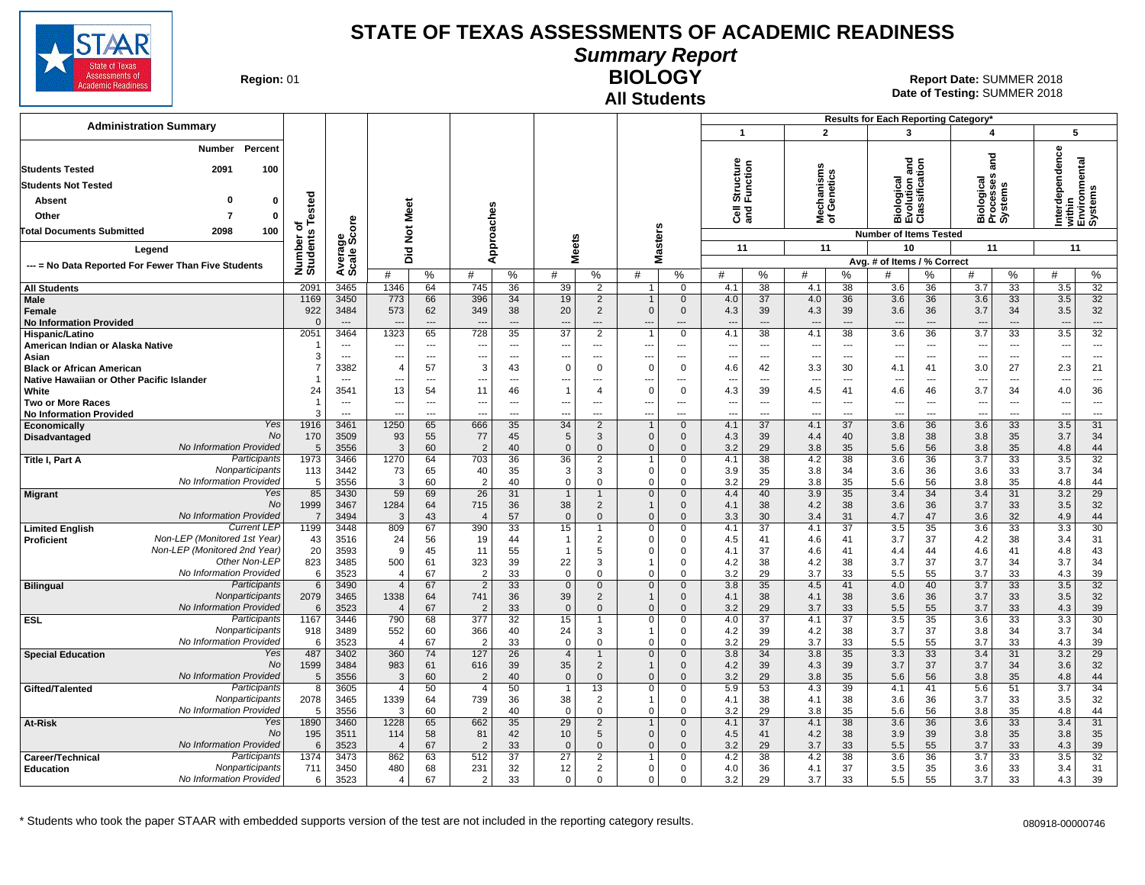

### **Summary Report**

**Region: 01** 

#### **All Students BIOLOGY**

**Date of Testing:**  SUMMER 2018 01 **Report Date:** SUMMER 2018

|                                                                            |                             |                                            |                                        |                   |                                        |                            |                                      |                                                              |                                                      |                                 |                         |                                      |                                            |                                      | Results for Each Reporting Category*                 |                 |                                    |                                      |                                        |                                                                                            |
|----------------------------------------------------------------------------|-----------------------------|--------------------------------------------|----------------------------------------|-------------------|----------------------------------------|----------------------------|--------------------------------------|--------------------------------------------------------------|------------------------------------------------------|---------------------------------|-------------------------|--------------------------------------|--------------------------------------------|--------------------------------------|------------------------------------------------------|-----------------|------------------------------------|--------------------------------------|----------------------------------------|--------------------------------------------------------------------------------------------|
| <b>Administration Summary</b>                                              |                             |                                            |                                        |                   |                                        |                            |                                      |                                                              |                                                      |                                 | $\mathbf{1}$            |                                      | $\overline{2}$                             |                                      | 3                                                    |                 | 4                                  |                                      |                                        | 5                                                                                          |
| <b>Number</b><br>Percent<br><b>Students Tested</b><br>2091<br>100          |                             |                                            |                                        |                   |                                        |                            |                                      |                                                              |                                                      |                                 | Structure<br>Function   |                                      |                                            |                                      | 콛                                                    |                 | and                                |                                      |                                        | Interdependence<br>within<br>Environmental<br>Systems<br>rithin<br>:nvironmental<br>ystems |
|                                                                            |                             |                                            |                                        |                   |                                        |                            |                                      |                                                              |                                                      |                                 |                         |                                      |                                            |                                      |                                                      |                 |                                    |                                      |                                        |                                                                                            |
| <b>Students Not Tested</b>                                                 |                             |                                            |                                        |                   |                                        |                            |                                      |                                                              |                                                      |                                 |                         |                                      | lechanisms<br>f Genetics                   |                                      | <b>Biological</b><br>Evolution and<br>Classification |                 | iiological<br>Irocesses<br>iystems |                                      |                                        |                                                                                            |
| <b>Absent</b><br>0<br>$\mathbf 0$                                          | Tested                      |                                            | Meet                                   |                   |                                        |                            |                                      |                                                              |                                                      |                                 |                         |                                      |                                            |                                      |                                                      |                 |                                    |                                      |                                        |                                                                                            |
| $\overline{7}$<br>Other<br>$\mathbf{0}$                                    | ৳                           |                                            |                                        |                   |                                        |                            |                                      |                                                              |                                                      |                                 | ិច<br>តូ                |                                      | 울ㅎ                                         |                                      |                                                      |                 | m rū vī                            |                                      |                                        |                                                                                            |
| 100<br>Total Documents Submitted<br>2098                                   |                             | ge<br>Score                                | $\frac{5}{2}$                          |                   |                                        |                            |                                      |                                                              | asters                                               |                                 |                         |                                      |                                            |                                      | <b>Number of Items Tested</b>                        |                 |                                    |                                      |                                        |                                                                                            |
| Legend                                                                     |                             |                                            | Did                                    |                   |                                        | Approaches                 |                                      | <b>Meets</b>                                                 |                                                      |                                 | 11                      |                                      | 11                                         |                                      | 10                                                   |                 | 11                                 |                                      |                                        | 11                                                                                         |
| --- = No Data Reported For Fewer Than Five Students                        | Number of<br>Students       | Average                                    | #                                      | %                 | #                                      | %                          | #                                    | %                                                            | ž<br>#                                               | %                               | #                       | %                                    | #                                          | %                                    | Avg. # of Items / % Correct<br>#                     | $\%$            | #                                  | %                                    | #                                      | %                                                                                          |
| <b>All Students</b>                                                        | 2091                        | 3465                                       | 1346                                   | 64                | 745                                    | 36                         | 39                                   | 2                                                            | $\mathbf{1}$                                         | $\mathbf 0$                     | 4.1                     | 38                                   | 4.1                                        | 38                                   | 3.6                                                  | 36              | 3.7                                | 33                                   | 3.5                                    | $\overline{32}$                                                                            |
| Male<br>Female<br><b>No Information Provided</b>                           | 1169<br>922<br>$\mathbf{0}$ | 3450<br>3484<br>$\overline{\phantom{a}}$   | 773<br>573<br>$\overline{\phantom{a}}$ | 66<br>62<br>$---$ | 396<br>349<br>$\overline{\phantom{a}}$ | 34<br>38<br>$\overline{a}$ | 19<br>20<br>$\overline{\phantom{a}}$ | $\overline{2}$<br>$\overline{2}$<br>$\overline{\phantom{a}}$ | $\mathbf{1}$<br>$\Omega$<br>---                      | $\Omega$<br>$\mathbf 0$<br>---  | 4.0<br>4.3<br>---       | 37<br>39<br>$\overline{\phantom{a}}$ | 4.0<br>4.3<br>$\overline{\phantom{a}}$     | 36<br>39<br>$\overline{\phantom{a}}$ | 3.6<br>3.6<br>$\overline{a}$                         | 36<br>36<br>--- | 3.6<br>3.7<br>---                  | 33<br>34<br>$\overline{\phantom{a}}$ | 3.5<br>3.5<br>$\overline{\phantom{a}}$ | 32<br>32<br>$\cdots$                                                                       |
| Hispanic/Latino                                                            | 2051                        | 3464                                       | 1323                                   | 65                | 728                                    | 35                         | $\overline{37}$                      | $\overline{2}$                                               | $\overline{1}$                                       | $\mathbf 0$                     | 4.1                     | 38                                   | 4.1                                        | 38                                   | 3.6                                                  | 36              | 3.7                                | 33                                   | 3.5                                    | $\overline{32}$                                                                            |
| American Indian or Alaska Native<br>Asian                                  | -1<br>3                     | $---$<br>$---$                             | ---<br>---                             | $-$<br>$-$        | $\overline{\phantom{a}}$<br>$---$      | $---$<br>$---$             | $---$<br>$---$                       | ---<br>---                                                   | ---<br>---                                           | ---<br>$---$                    | $\overline{a}$<br>$---$ | $---$<br>$---$                       | $\sim$<br>$\overline{\phantom{a}}$         | $\sim$<br>$\sim$                     | $\sim$<br>---                                        | $---$<br>$---$  | ---<br>---                         | $\sim$<br>$---$                      | $\sim$<br>$\overline{\phantom{a}}$     | $\overline{a}$<br>$---$                                                                    |
| <b>Black or African American</b>                                           | $\overline{7}$              | 3382                                       | $\overline{4}$                         | 57                | 3                                      | 43                         | $\Omega$                             | $\Omega$                                                     | $\Omega$                                             | 0                               | 4.6                     | 42                                   | 3.3                                        | 30                                   | 4.1                                                  | 41              | 3.0                                | 27                                   | 2.3                                    | 21                                                                                         |
| Native Hawaiian or Other Pacific Islander                                  | -1                          | $---$                                      |                                        | $\overline{a}$    |                                        | $---$                      | ---                                  | ---                                                          | --                                                   | $---$                           |                         | $---$                                | $\overline{\phantom{a}}$                   | ---                                  | $\overline{\phantom{a}}$                             | ---             |                                    | $\overline{a}$                       | $\overline{\phantom{a}}$               | $---$                                                                                      |
| White                                                                      | 24                          | 3541                                       | 13                                     | 54                | 11                                     | 46                         | $\overline{1}$                       | $\overline{4}$                                               | $\mathbf 0$                                          | $\Omega$                        | 4.3                     | 39                                   | 4.5                                        | 41                                   | 4.6                                                  | 46              | 3.7                                | 34                                   | 4.0                                    | 36                                                                                         |
| <b>Two or More Races</b><br><b>No Information Provided</b>                 | -1<br>3                     | $\overline{\phantom{a}}$<br>$\overline{a}$ | …                                      | $\sim$<br>---     |                                        | $\ldots$<br>$\overline{a}$ | ---<br>$\overline{a}$                | ---<br>---                                                   | $\overline{\phantom{a}}$<br>$\overline{\phantom{a}}$ | $\overline{\phantom{a}}$<br>--- | ---<br>---              | $\hspace{0.05cm} \ldots$<br>---      | $\hspace{0.05cm} \cdots$<br>$\overline{a}$ | ---<br>---                           | $\overline{\phantom{a}}$<br>$\overline{\phantom{a}}$ | ---<br>---      | ---                                | $\scriptstyle\cdots$<br>---          | ---<br>---                             | $\cdots$<br>$\overline{\phantom{a}}$                                                       |
| Yes<br>Economically                                                        | 1916                        | 3461                                       | 1250                                   | 65                | 666                                    | 35                         | 34                                   | 2                                                            | $\overline{1}$                                       | $\mathbf{0}$                    | 4.1                     | $\overline{37}$                      | 4.1                                        | $\overline{37}$                      | 3.6                                                  | 36              | 3.6                                | 33                                   | 3.5                                    | 31                                                                                         |
| No<br>Disadvantaged                                                        | 170                         | 3509                                       | 93                                     | 55                | 77                                     | 45                         | 5                                    | 3                                                            | $\Omega$                                             | $\Omega$                        | 4.3                     | 39                                   | 4.4                                        | 40                                   | 3.8                                                  | 38              | 3.8                                | 35                                   | 3.7                                    | 34                                                                                         |
| No Information Provided<br>Participants<br><b>Title I, Part A</b>          | 5<br>1973                   | 3556<br>3466                               | 3<br>1270                              | 60<br>64          | $\overline{2}$<br>703                  | 40<br>36                   | $\Omega$<br>36                       | $\mathbf{0}$<br>$\overline{2}$                               | $\mathbf{0}$<br>$\mathbf 1$                          | $\Omega$<br>0                   | 3.2<br>4.1              | 29<br>38                             | 3.8<br>4.2                                 | 35<br>38                             | 5.6<br>3.6                                           | 56<br>36        | 3.8<br>3.7                         | 35<br>33                             | 4.8<br>3.5                             | 44<br>32                                                                                   |
| Nonparticipants                                                            | 113                         | 3442                                       | 73                                     | 65                | 40                                     | 35                         | 3                                    | 3                                                            | $\Omega$                                             | $\Omega$                        | 3.9                     | 35                                   | 3.8                                        | 34                                   | 3.6                                                  | 36              | 3.6                                | 33                                   | 3.7                                    | 34                                                                                         |
| No Information Provided                                                    | 5                           | 3556                                       | $\overline{3}$                         | 60                | $\overline{2}$                         | 40                         | $\Omega$                             | $\mathbf 0$                                                  | $\Omega$                                             | $\Omega$                        | 3.2                     | 29                                   | 3.8                                        | 35                                   | 5.6                                                  | 56              | 3.8                                | 35                                   | 4.8                                    | 44                                                                                         |
| Yes<br><b>Migrant</b><br>No                                                | 85<br>1999                  | 3430<br>3467                               | 59<br>1284                             | 69<br>64          | 26<br>715                              | 31<br>36                   | $\overline{1}$<br>38                 | $\overline{1}$<br>$\overline{2}$                             | $\mathbf 0$                                          | $\mathbf{0}$<br>$\mathbf 0$     | 4.4<br>4.1              | 40<br>38                             | 3.9<br>4.2                                 | 35<br>38                             | 3.4<br>3.6                                           | 34<br>36        | 3.4<br>3.7                         | 31<br>33                             | 3.2<br>3.5                             | 29<br>32                                                                                   |
| No Information Provided                                                    | $\overline{7}$              | 3494                                       | 3                                      | 43                |                                        | 57                         | $\Omega$                             | $\Omega$                                                     | $\Omega$                                             | $\Omega$                        | 3.3                     | 30                                   | 3.4                                        | 31                                   | 4.7                                                  | 47              | 3.6                                | 32                                   | 4.9                                    | 44                                                                                         |
| <b>Current LEP</b><br><b>Limited English</b>                               | 1199                        | 3448                                       | 809                                    | 67                | 390                                    | 33                         | 15                                   |                                                              | $\mathbf 0$                                          | 0                               | 4.1                     | 37                                   | 4.1                                        | 37                                   | 3.5                                                  | 35              | 3.6                                | 33                                   | 3.3                                    | 30                                                                                         |
| Non-LEP (Monitored 1st Year)<br>Proficient<br>Non-LEP (Monitored 2nd Year) | 43<br>20                    | 3516                                       | 24<br>9                                | 56                | 19<br>11                               | 44                         | $\mathbf{1}$<br>$\mathbf{1}$         | 2                                                            | $\Omega$<br>$\Omega$                                 | $\Omega$<br>$\mathbf 0$         | 4.5                     | 41                                   | 4.6                                        | 41                                   | 3.7                                                  | 37<br>44        | 4.2                                | 38                                   | 3.4                                    | 31                                                                                         |
| Other Non-LEP                                                              | 823                         | 3593<br>3485                               | 500                                    | 45<br>61          | 323                                    | 55<br>39                   | 22                                   | 5<br>3                                                       |                                                      | $\Omega$                        | 4.1<br>4.2              | 37<br>38                             | 4.6<br>4.2                                 | 41<br>38                             | 4.4<br>3.7                                           | 37              | 4.6<br>3.7                         | 41<br>34                             | 4.8<br>3.7                             | 43<br>34                                                                                   |
| No Information Provided                                                    | 6                           | 3523                                       | $\overline{\mathbf{A}}$                | 67                | $\overline{2}$                         | 33                         | $\Omega$                             | $\Omega$                                                     | $\Omega$                                             | 0                               | 3.2                     | 29                                   | 3.7                                        | 33                                   | 5.5                                                  | 55              | 3.7                                | 33                                   | 4.3                                    | 39                                                                                         |
| Participants<br><b>Bilingual</b>                                           | 6                           | 3490                                       | $\overline{4}$                         | 67                | $\overline{2}$                         | 33                         | $\mathbf 0$                          | $\mathbf 0$                                                  | $\mathbf 0$                                          | $\mathbf 0$                     | 3.8                     | 35                                   | 4.5                                        | 41                                   | 4.0                                                  | 40              | 3.7                                | 33                                   | 3.5                                    | 32                                                                                         |
| Nonparticipants<br>No Information Provided                                 | 2079<br>6                   | 3465<br>3523                               | 1338<br>$\overline{4}$                 | 64<br>67          | 741<br>$\overline{2}$                  | 36<br>33                   | 39<br>$\mathbf{0}$                   | $\overline{c}$<br>$\mathbf{0}$                               | $\mathbf{1}$<br>$\Omega$                             | $\Omega$<br>$\mathbf{0}$        | 4.1<br>3.2              | 38<br>29                             | 4.1<br>3.7                                 | 38<br>33                             | 3.6<br>5.5                                           | 36<br>55        | 3.7<br>3.7                         | 33<br>33                             | 3.5<br>4.3                             | 32<br>39                                                                                   |
| Participants<br><b>ESL</b>                                                 | 1167                        | 3446                                       | 790                                    | 68                | 377                                    | 32                         | 15                                   | -1                                                           | $\mathbf 0$                                          | $\Omega$                        | 4.0                     | 37                                   | 4.1                                        | 37                                   | 3.5                                                  | 35              | 3.6                                | 33                                   | 3.3                                    | 30                                                                                         |
| Nonparticipants                                                            | 918                         | 3489                                       | 552                                    | 60                | 366                                    | 40                         | 24                                   | 3                                                            | -1                                                   | $\mathbf{0}$                    | 4.2                     | 39                                   | 4.2                                        | 38                                   | 3.7                                                  | 37              | 3.8                                | 34                                   | 3.7                                    | 34                                                                                         |
| No Information Provided                                                    | 6                           | 3523                                       | $\overline{4}$                         | 67                | $\overline{2}$                         | 33                         | $\mathbf 0$                          | $\mathbf 0$                                                  | $\Omega$                                             | $\Omega$                        | 3.2                     | 29                                   | 3.7                                        | 33                                   | 5.5                                                  | 55              | 3.7                                | 33                                   | 4.3                                    | 39                                                                                         |
| Yes<br><b>Special Education</b><br>No                                      | 487<br>1599                 | 3402<br>3484                               | 360<br>983                             | 74<br>61          | 127<br>616                             | 26<br>39                   | $\overline{4}$<br>35                 | $\mathbf 1$<br>$\overline{2}$                                | $\mathbf 0$<br>$\mathbf{1}$                          | $\mathbf{0}$<br>$\mathbf{0}$    | 3.8<br>4.2              | 34<br>39                             | 3.8<br>4.3                                 | 35<br>39                             | 3.3<br>3.7                                           | 33<br>37        | 3.4<br>3.7                         | 31<br>34                             | 3.2<br>3.6                             | $\overline{29}$<br>32                                                                      |
| No Information Provided                                                    | $\sqrt{5}$                  | 3556                                       | 3                                      | 60                | $\overline{2}$                         | 40                         | $\mathbf 0$                          | $\mathbf 0$                                                  | $\Omega$                                             | $\Omega$                        | 3.2                     | 29                                   | 3.8                                        | 35                                   | 5.6                                                  | 56              | 3.8                                | 35                                   | 4.8                                    | 44                                                                                         |
| Participants<br>Gifted/Talented                                            | 8                           | 3605                                       | $\overline{4}$                         | 50                | $\overline{4}$                         | 50                         | $\overline{1}$                       | 13                                                           | $\mathbf 0$                                          | 0                               | 5.9                     | 53                                   | 4.3                                        | 39                                   | 4.1                                                  | 41              | 5.6                                | 51                                   | 3.7                                    | 34                                                                                         |
| Nonparticipants<br>No Information Provided                                 | 2078                        | 3465                                       | 1339                                   | 64                | 739                                    | 36                         | 38                                   | 2                                                            |                                                      | 0                               | 4.1                     | 38                                   | 4.1                                        | 38                                   | 3.6                                                  | 36              | 3.7                                | 33                                   | 3.5                                    | 32                                                                                         |
| Yes<br>At-Risk                                                             | 5<br>1890                   | 3556<br>3460                               | -3<br>1228                             | 60<br>65          | $\overline{2}$<br>662                  | 40<br>35                   | $\mathbf 0$<br>$\overline{29}$       | 0<br>$\overline{2}$                                          | $\Omega$                                             | $\Omega$<br>$\mathbf{0}$        | 3.2<br>4.1              | 29<br>37                             | 3.8<br>4.1                                 | 35<br>$\overline{38}$                | 5.6<br>3.6                                           | 56<br>36        | 3.8<br>3.6                         | 35<br>$\overline{33}$                | 4.8<br>3.4                             | 44<br>$\overline{31}$                                                                      |
| No                                                                         | 195                         | 3511                                       | 114                                    | 58                | 81                                     | 42                         | 10                                   | 5                                                            | $\mathbf{0}$                                         | $\mathbf 0$                     | 4.5                     | 41                                   | 4.2                                        | 38                                   | 3.9                                                  | 39              | 3.8                                | 35                                   | 3.8                                    | 35                                                                                         |
| No Information Provided                                                    | 6                           | 3523                                       | $\overline{\mathbf{A}}$                | 67                | $\overline{2}$                         | 33                         | $\mathbf 0$                          | $\mathbf{0}$                                                 | $\mathbf{0}$                                         | $\Omega$                        | 3.2                     | 29                                   | 3.7                                        | 33                                   | 5.5                                                  | 55              | 3.7                                | 33                                   | 4.3                                    | 39                                                                                         |
| Participants<br>Career/Technical                                           | 1374                        | 3473                                       | 862                                    | 63                | 512                                    | 37                         | 27                                   | 2                                                            | $\mathbf 1$                                          | 0                               | 4.2                     | 38                                   | 4.2                                        | 38                                   | 3.6                                                  | 36              | 3.7                                | 33                                   | 3.5                                    | 32                                                                                         |
| Nonparticipants<br><b>Education</b><br>No Information Provided             | 711<br>6                    | 3450<br>3523                               | 480<br>$\overline{4}$                  | 68<br>67          | 231<br>2                               | 32<br>33                   | 12<br>$\Omega$                       | 2<br>$\Omega$                                                | $\Omega$<br>$\Omega$                                 | $\Omega$<br>$\Omega$            | 4.0<br>3.2              | 36<br>29                             | 4.1<br>3.7                                 | 37<br>33                             | 3.5<br>5.5                                           | 35<br>55        | 3.6<br>3.7                         | 33<br>33                             | 3.4<br>4.3                             | 31<br>39                                                                                   |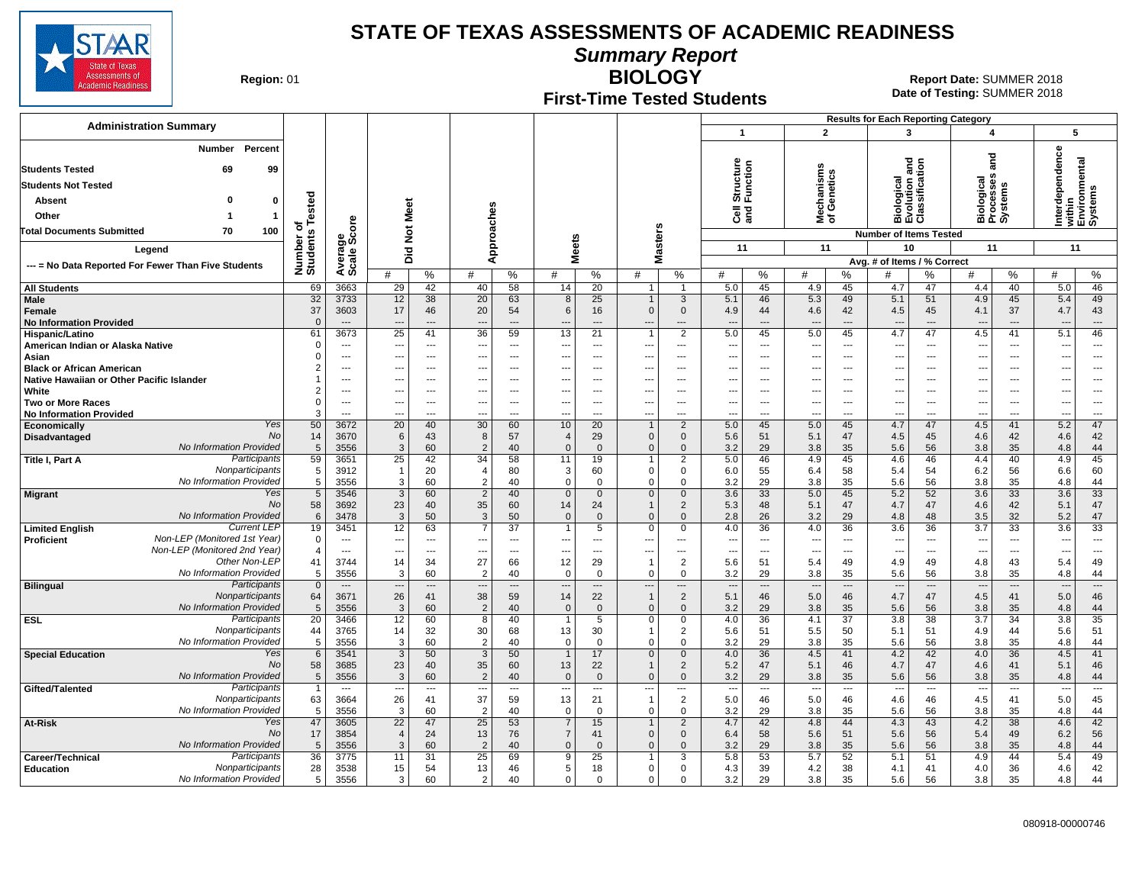

**Summary Report**

**Region: 01** 

### **First-Time Tested Students**

**BIOLOGY** 01 **Report Date:** SUMMER 2018 **Date of Testing:**  SUMMER 2018

|                                                                         |                       |                                            |                      |                          |                      |                          |                               |                                                      |                                                      |                              |                          |                          |                                 |                | <b>Results for Each Reporting Category</b>    |                                |                                                      |                          |              |                                                      |
|-------------------------------------------------------------------------|-----------------------|--------------------------------------------|----------------------|--------------------------|----------------------|--------------------------|-------------------------------|------------------------------------------------------|------------------------------------------------------|------------------------------|--------------------------|--------------------------|---------------------------------|----------------|-----------------------------------------------|--------------------------------|------------------------------------------------------|--------------------------|--------------|------------------------------------------------------|
| <b>Administration Summary</b>                                           |                       |                                            |                      |                          |                      |                          |                               |                                                      |                                                      |                              | $\mathbf{1}$             |                          | $\overline{2}$                  |                | 3                                             |                                | 4                                                    |                          | 5            |                                                      |
| Percent<br>Number                                                       |                       |                                            |                      |                          |                      |                          |                               |                                                      |                                                      |                              |                          |                          |                                 |                |                                               |                                |                                                      |                          |              |                                                      |
|                                                                         |                       |                                            |                      |                          |                      |                          |                               |                                                      |                                                      |                              |                          |                          |                                 |                | gue                                           |                                | and                                                  |                          | erdependence | within<br>Environmental<br>Systems                   |
| <b>Students Tested</b><br>69<br>99                                      |                       |                                            |                      |                          |                      |                          |                               |                                                      |                                                      |                              | Structure<br>Function    |                          | lechanisms<br>f Genetics        |                | Biological<br>Evolution and<br>Classification |                                |                                                      |                          |              |                                                      |
| <b>Students Not Tested</b>                                              |                       |                                            |                      |                          |                      |                          |                               |                                                      |                                                      |                              |                          |                          |                                 |                |                                               |                                | Biological<br>Processes<br>Systems                   |                          |              |                                                      |
| Absent<br>$\mathbf{0}$                                                  |                       |                                            |                      |                          |                      |                          |                               |                                                      |                                                      |                              |                          |                          |                                 |                |                                               |                                |                                                      |                          |              |                                                      |
| Other<br>1                                                              | Tested                |                                            | Meet                 |                          |                      |                          |                               |                                                      |                                                      |                              | ලි දි                    |                          | ౾ౕ                              |                |                                               |                                |                                                      |                          |              |                                                      |
| <b>Total Documents Submitted</b><br>70<br>100                           | ъ                     | Average<br>Scale Score                     | $\breve{\mathbf{z}}$ |                          | Approaches           |                          |                               |                                                      | Masters                                              |                              |                          |                          |                                 |                | <b>Number of Items Tested</b>                 |                                |                                                      |                          |              |                                                      |
| Legend                                                                  | Number of<br>Students |                                            |                      |                          |                      |                          | <b>Meets</b>                  |                                                      |                                                      |                              | 11                       |                          | 11                              |                | 10                                            |                                | 11                                                   |                          | 11           |                                                      |
| --- = No Data Reported For Fewer Than Five Students                     |                       |                                            | Did                  |                          |                      |                          |                               |                                                      |                                                      |                              |                          |                          |                                 |                | Avg. # of Items / % Correct                   |                                |                                                      |                          |              |                                                      |
|                                                                         |                       |                                            | #                    | %                        | #                    | %                        | #                             | %                                                    | #                                                    | %                            | #                        | %                        | #                               | ℅              | #                                             | %                              | #                                                    | %                        | #            | %                                                    |
| <b>All Students</b>                                                     | 69                    | 3663                                       | 29                   | 42                       | 40                   | 58                       | 14                            | 20                                                   | $\mathbf{1}$                                         | $\overline{1}$               | 5.0                      | 45                       | 4.9                             | 45             | 4.7                                           | 47                             | 4.4                                                  | 40                       | 5.0          | 46                                                   |
| Male                                                                    | 32                    | 3733                                       | 12                   | 38                       | 20                   | 63                       | 8                             | 25                                                   | $\overline{1}$                                       | 3                            | 5.1                      | 46                       | 5.3                             | 49             | 5.1                                           | 51                             | 4.9                                                  | 45                       | 5.4          | 49                                                   |
| Female<br><b>No Information Provided</b>                                | 37<br>$\Omega$        | 3603<br>$---$                              | 17<br>---            | 46<br>$---$              | 20<br>$---$          | 54<br>$---$              | 6<br>$\overline{\phantom{a}}$ | 16<br>$---$                                          | $\mathbf{0}$<br>$\overline{\phantom{a}}$             | $\Omega$<br>$---$            | 4.9<br>$---$             | 44<br>$---$              | 4.6<br>$\overline{\phantom{a}}$ | 42<br>$---$    | 4.5<br>$\overline{a}$                         | 45<br>$\overline{\phantom{a}}$ | 4.1<br>$\overline{\phantom{a}}$                      | 37<br>$---$              | 4.7<br>$---$ | 43<br>$\cdots$                                       |
| Hispanic/Latino                                                         | 61                    | 3673                                       | 25                   | 41                       | 36                   | 59                       | 13                            | 21                                                   |                                                      | $\overline{2}$               | 5.0                      | 45                       | 5.0                             | 45             | 4.7                                           | 47                             | 4.5                                                  | 41                       | 5.1          | 46                                                   |
| American Indian or Alaska Native                                        | $\Omega$              | $---$                                      | ---                  | $-$                      | ---                  | $---$                    | $\ddotsc$                     | $\overline{\phantom{a}}$                             | $\sim$                                               | $---$                        | $\overline{\phantom{a}}$ | $---$                    | $\ddotsc$                       | $---$          | ---                                           | ---                            | ---                                                  | $---$                    | ---          | ---                                                  |
| Asian                                                                   | $\Omega$              | $---$                                      | ---                  | $-$                      |                      | $---$                    | $\sim$                        | $- - -$                                              | $\overline{\phantom{a}}$                             | $\overline{a}$               | $---$                    | $---$                    | $\sim$                          | $---$          | $\overline{a}$                                | $\sim$                         | ---                                                  | $---$                    | ---          | $\overline{\phantom{a}}$                             |
| <b>Black or African American</b>                                        |                       | $---$                                      | ---                  | $-$                      | $---$                | $---$                    | ---                           | $- - -$                                              | ---                                                  | $---$                        | ---                      | $---$                    | $\ddotsc$                       | $---$          | ---                                           | ---                            | ---                                                  | $---$                    | ---          | $---$                                                |
| Native Hawaiian or Other Pacific Islander<br>White                      | $\overline{2}$        | $\overline{\phantom{a}}$<br>$\overline{a}$ | ---<br>---           | ---<br>$\sim$            |                      | ---<br>$---$             | ---<br>---                    | $\overline{\phantom{a}}$<br>$\overline{\phantom{a}}$ | $\overline{\phantom{a}}$<br>$\overline{\phantom{a}}$ | ---<br>$---$                 | ---<br>---               | ---<br>$---$             | ---<br>$\sim$                   | ---<br>---     | ---<br>$\overline{a}$                         | ---<br>---                     | $\overline{\phantom{a}}$<br>$\overline{\phantom{a}}$ | ---<br>$\overline{a}$    |              | $\overline{\phantom{a}}$<br>$\overline{\phantom{a}}$ |
| <b>Two or More Races</b>                                                | $\mathbf 0$           | ---                                        | ---                  | ---                      |                      | $\overline{\phantom{a}}$ | ---                           | $\overline{\phantom{a}}$                             | ---                                                  | ---                          | ---                      | $\hspace{0.05cm} \ldots$ | $\overline{\phantom{a}}$        | ---            | $\overline{\phantom{a}}$                      | ---                            | ---                                                  | ---                      | ---          | $\overline{\phantom{a}}$                             |
| <b>No Information Provided</b>                                          | 3                     | $\sim$                                     | Ξ.                   | $\overline{a}$           |                      | $\overline{a}$           | ---                           | $\overline{\phantom{a}}$                             | $\overline{a}$                                       | $\overline{a}$               | ---                      | $\overline{a}$           | $\overline{\phantom{a}}$        | $\overline{a}$ | $\overline{a}$                                | ---                            | $\overline{\phantom{a}}$                             | $\overline{a}$           |              | $\overline{a}$                                       |
| Yes<br>Economically                                                     | 50                    | 3672                                       | $\overline{20}$      | 40                       | 30                   | 60                       | 10                            | $\overline{20}$                                      | $\overline{1}$                                       | $\overline{2}$               | 5.0                      | 45                       | 5.0                             | 45             | 4.7                                           | 47                             | 4.5                                                  | 41                       | 5.2          | 47                                                   |
| No<br>Disadvantaged<br>No Information Provided                          | 14<br>5               | 3670<br>3556                               | 6<br>$\mathbf{3}$    | 43<br>60                 | 8<br>$\overline{2}$  | 57<br>40                 | $\overline{4}$<br>$\Omega$    | 29<br>$\Omega$                                       | $\mathbf 0$<br>$\Omega$                              | $\mathbf 0$<br>$\Omega$      | 5.6<br>3.2               | 51<br>29                 | 5.1<br>3.8                      | 47<br>35       | 4.5<br>5.6                                    | 45<br>56                       | 4.6<br>3.8                                           | 42<br>35                 | 4.6<br>4.8   | 42<br>44                                             |
| Participants<br>Title I, Part A                                         | 59                    | 3651                                       | 25                   | 42                       | 34                   | 58                       | 11                            | 19                                                   | $\mathbf 1$                                          | $\overline{2}$               | 5.0                      | 46                       | 4.9                             | 45             | 4.6                                           | 46                             | 4.4                                                  | 40                       | 4.9          | 45                                                   |
| Nonparticipants                                                         | 5                     | 3912                                       | $\overline{1}$       | 20                       | $\overline{4}$       | 80                       | 3                             | 60                                                   | $\Omega$                                             | 0                            | 6.0                      | 55                       | 6.4                             | 58             | 5.4                                           | 54                             | 6.2                                                  | 56                       | 6.6          | 60                                                   |
| No Information Provided                                                 | $\,$ 5 $\,$           | 3556                                       | 3                    | 60                       | $\overline{2}$       | 40                       | $\mathbf 0$                   | $\mathbf 0$                                          | $\mathbf 0$                                          | $\mathbf 0$                  | 3.2                      | 29                       | 3.8                             | 35             | 5.6                                           | 56                             | 3.8                                                  | 35                       | 4.8          | 44                                                   |
| Yes<br><b>Migrant</b><br>No                                             | $5\overline{)}$       | 3546                                       | $\mathbf{3}$         | 60                       | $\overline{2}$       | 40                       | $\mathbf 0$                   | $\mathbf{0}$                                         | $\Omega$                                             | $\mathbf{0}$                 | 3.6                      | 33                       | 5.0                             | 45             | 5.2                                           | 52                             | 3.6                                                  | 33                       | 3.6          | 33                                                   |
| No Information Provided                                                 | 58<br>6               | 3692<br>3478                               | 23<br>3              | 40<br>50                 | 35<br>3              | 60<br>50                 | 14<br>$\overline{0}$          | 24<br>$\Omega$                                       | $\Omega$                                             | $\overline{2}$<br>$\Omega$   | 5.3<br>2.8               | 48<br>26                 | 5.1<br>3.2                      | 47<br>29       | 4.7<br>4.8                                    | 47<br>48                       | 4.6<br>3.5                                           | 42<br>32                 | 5.1<br>5.2   | 47<br>47                                             |
| <b>Current LEP</b><br><b>Limited English</b>                            | 19                    | 3451                                       | 12                   | 63                       | 7                    | 37                       | $\overline{1}$                | 5                                                    | $\Omega$                                             | $\Omega$                     | 4.0                      | 36                       | 4.0                             | 36             | 3.6                                           | 36                             | 3.7                                                  | 33                       | 3.6          | 33                                                   |
| Non-LEP (Monitored 1st Year)<br>Proficient                              | $\mathbf 0$           | $\overline{\phantom{a}}$                   | ---                  | $---$                    | ---                  | $---$                    | $\overline{\phantom{a}}$      | $---$                                                | ---                                                  | ---                          | $\overline{\phantom{a}}$ | $\overline{\phantom{a}}$ | $\hspace{0.05cm} \ldots$        | ---            | $\overline{a}$                                | ---                            | ---                                                  | ---                      | ---          | $\overline{\phantom{a}}$                             |
| Non-LEP (Monitored 2nd Year)                                            | $\overline{4}$        | $\overline{a}$                             | ---                  | $---$                    | ---                  | ---                      | ---                           | $-$                                                  | ---                                                  | ---                          | $\overline{\phantom{a}}$ | $\overline{a}$           | ---                             | ---            | ---                                           | ---                            | ---                                                  | ---                      | ---          | $\overline{\phantom{a}}$                             |
| Other Non-LEP<br>No Information Provided                                | 41<br>5               | 3744<br>3556                               | 14<br>3              | 34                       | 27<br>$\overline{2}$ | 66                       | 12<br>$\mathbf 0$             | 29<br>$\Omega$                                       | $\overline{\mathbf{1}}$<br>$\Omega$                  | $\boldsymbol{2}$<br>$\Omega$ | 5.6<br>3.2               | 51<br>29                 | 5.4                             | 49<br>35       | 4.9                                           | 49<br>56                       | 4.8                                                  | 43<br>35                 | 5.4          | 49<br>44                                             |
| Participants<br><b>Bilingual</b>                                        | $\mathbf 0$           | $---$                                      | ---                  | 60<br>$---$              | $\overline{a}$       | 40<br>$\overline{a}$     | $\overline{a}$                | $---$                                                | $\overline{a}$                                       | $\overline{a}$               | $---$                    | $\cdots$                 | 3.8<br>$\overline{\phantom{a}}$ | ---            | 5.6<br>$\overline{\phantom{a}}$               | ---                            | 3.8<br>---                                           | $---$                    | 4.8<br>---   | $\cdots$                                             |
| Nonparticipants                                                         | 64                    | 3671                                       | 26                   | 41                       | 38                   | 59                       | 14                            | 22                                                   | $\overline{1}$                                       | 2                            | 5.1                      | 46                       | 5.0                             | 46             | 4.7                                           | 47                             | 4.5                                                  | 41                       | 5.0          | 46                                                   |
| No Information Provided                                                 | 5                     | 3556                                       | $\mathbf{3}$         | 60                       | 2                    | 40                       | $\mathbf 0$                   | $\Omega$                                             | $\mathbf{0}$                                         | $\mathbf{0}$                 | 3.2                      | 29                       | 3.8                             | 35             | 5.6                                           | 56                             | 3.8                                                  | 35                       | 4.8          | 44                                                   |
| Participants<br><b>ESL</b>                                              | 20                    | 3466                                       | 12                   | 60                       | 8                    | 40                       | $\overline{1}$                | 5                                                    | $\Omega$                                             | $\mathbf 0$                  | 4.0                      | 36                       | 4.1                             | 37             | 3.8                                           | 38                             | 3.7                                                  | 34                       | 3.8          | 35                                                   |
| Nonparticipants<br>No Information Provided                              | 44<br>5               | 3765<br>3556                               | 14<br>3              | 32<br>60                 | 30<br>$\overline{2}$ | 68<br>40                 | 13<br>$\mathbf 0$             | 30<br>$\mathbf 0$                                    | $\Omega$                                             | 2<br>$\mathbf 0$             | 5.6<br>3.2               | 51<br>29                 | 5.5<br>3.8                      | 50<br>35       | 5.1<br>5.6                                    | 51<br>56                       | 4.9<br>3.8                                           | 44<br>35                 | 5.6<br>4.8   | 51<br>44                                             |
| Yes<br><b>Special Education</b>                                         | $6\phantom{1}6$       | 3541                                       | $\mathbf{3}$         | 50                       | 3                    | 50                       | $\overline{1}$                | 17                                                   | $\mathbf 0$                                          | $\mathbf{0}$                 | 4.0                      | 36                       | 4.5                             | 41             | 4.2                                           | 42                             | 4.0                                                  | 36                       | 4.5          | 41                                                   |
| No                                                                      | 58                    | 3685                                       | 23                   | 40                       | 35                   | 60                       | 13                            | 22                                                   |                                                      | $\overline{2}$               | 5.2                      | 47                       | 5.1                             | 46             | 4.7                                           | 47                             | 4.6                                                  | 41                       | 5.1          | 46                                                   |
| No Information Provided                                                 | $5\phantom{.0}$       | 3556                                       | $\mathbf{3}$         | 60                       | $\overline{2}$       | 40                       | $\mathbf{0}$                  | $\Omega$                                             | $\Omega$                                             | $\Omega$                     | 3.2                      | 29                       | 3.8                             | 35             | 5.6                                           | 56                             | 3.8                                                  | 35                       | 4.8          | 44                                                   |
| Participants<br>Gifted/Talented                                         | $\overline{1}$        | $\overline{\phantom{a}}$                   |                      | $\overline{\phantom{a}}$ |                      | $\overline{\phantom{a}}$ | $\overline{\phantom{a}}$      | $\hspace{0.05cm} \ldots$                             | $\overline{\phantom{a}}$                             | ---                          | $\overline{\phantom{a}}$ | $\overline{\phantom{a}}$ | $\overline{\phantom{a}}$        | ---            | $\sim$                                        | ---                            | ---                                                  | $\overline{\phantom{a}}$ | ---          | $\sim$                                               |
| Nonparticipants<br>No Information Provided                              | 63<br>5               | 3664<br>3556                               | 26<br>3              | 41<br>60                 | 37<br>2              | 59<br>40                 | 13<br>$\mathbf 0$             | 21<br>$\Omega$                                       | $\overline{1}$<br>$\mathbf 0$                        | $\overline{2}$<br>$\Omega$   | 5.0<br>3.2               | 46<br>29                 | 5.0<br>3.8                      | 46<br>35       | 4.6<br>5.6                                    | 46<br>56                       | 4.5<br>3.8                                           | 41<br>35                 | 5.0<br>4.8   | 45<br>44                                             |
| Yes<br>At-Risk                                                          | 47                    | 3605                                       | $\overline{22}$      | 47                       | $\overline{25}$      | 53                       | $\overline{7}$                | 15                                                   | $\mathbf{1}$                                         | $\overline{2}$               | 4.7                      | 42                       | 4.8                             | 44             | 4.3                                           | 43                             | 4.2                                                  | $\overline{38}$          | 4.6          | 42                                                   |
| No                                                                      | 17                    | 3854                                       | $\overline{4}$       | 24                       | 13                   | 76                       | $\overline{7}$                | 41                                                   | $\Omega$                                             | $\Omega$                     | 6.4                      | 58                       | 5.6                             | 51             | 5.6                                           | 56                             | 5.4                                                  | 49                       | 6.2          | 56                                                   |
| No Information Provided                                                 | 5                     | 3556                                       | $\overline{3}$       | 60                       | $\overline{2}$       | 40                       | $\mathbf{0}$                  | $\Omega$                                             | $\Omega$                                             | $\Omega$                     | 3.2                      | 29                       | 3.8                             | 35             | 5.6                                           | 56                             | 3.8                                                  | 35                       | 4.8          | 44                                                   |
| Participants<br>Career/Technical<br>Nonparticipants<br><b>Education</b> | 36<br>28              | 3775                                       | 11<br>15             | 31                       | 25                   | 69<br>46                 | 9                             | 25                                                   | $\mathbf 0$                                          | 3<br>$\Omega$                | 5.8                      | 53                       | 5.7                             | 52             | 5.1                                           | 51                             | 4.9                                                  | 44                       | 5.4          | 49<br>42                                             |
| No Information Provided                                                 | 5                     | 3538<br>3556                               | 3                    | 54<br>60                 | 13<br>$\overline{2}$ | 40                       | 5<br>$\mathbf 0$              | 18<br>$\Omega$                                       | $\mathbf 0$                                          | $\mathbf 0$                  | 4.3<br>3.2               | 39<br>29                 | 4.2<br>3.8                      | 38<br>35       | 4.1<br>5.6                                    | 41<br>56                       | 4.0<br>3.8                                           | 36<br>35                 | 4.6<br>4.8   | 44                                                   |
|                                                                         |                       |                                            |                      |                          |                      |                          |                               |                                                      |                                                      |                              |                          |                          |                                 |                |                                               |                                |                                                      |                          |              |                                                      |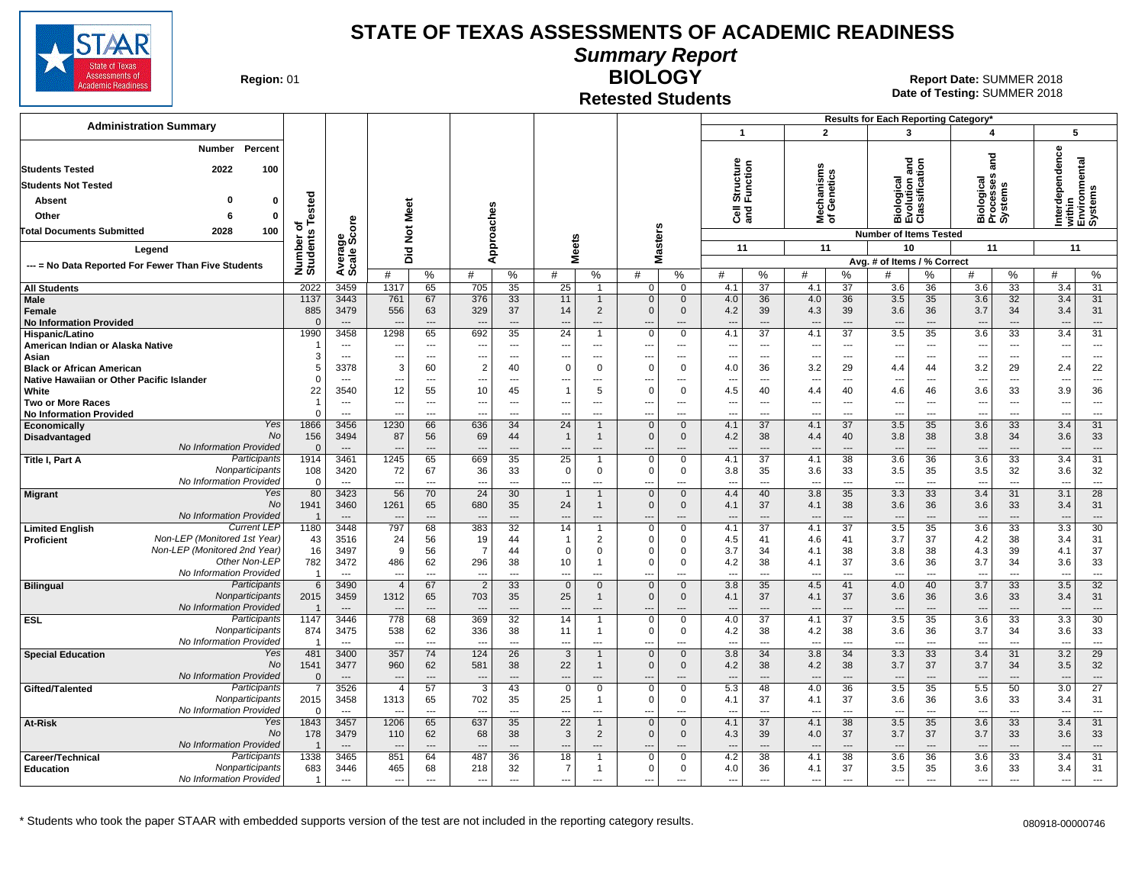

**Summary Report**

**Region: 01** 

#### **Retested Students BIOLOGY**

| <b>Administration Summary</b>                                                     |                                |                                                      |                                            |                                                      |                               |                                            |                                      |                               |                      |                                |                       |                                   |                                                      | $\overline{2}$                              | Results for Each Reporting Category*                 |                          | $\overline{\mathbf{A}}$                              |                      |                                 |                                              |
|-----------------------------------------------------------------------------------|--------------------------------|------------------------------------------------------|--------------------------------------------|------------------------------------------------------|-------------------------------|--------------------------------------------|--------------------------------------|-------------------------------|----------------------|--------------------------------|-----------------------|-----------------------------------|------------------------------------------------------|---------------------------------------------|------------------------------------------------------|--------------------------|------------------------------------------------------|----------------------|---------------------------------|----------------------------------------------|
|                                                                                   |                                |                                                      |                                            |                                                      |                               |                                            |                                      |                               |                      |                                | $\mathbf{1}$          |                                   |                                                      |                                             | $\mathbf{3}$                                         |                          |                                                      |                      | 5                               |                                              |
| Percent<br><b>Number</b>                                                          |                                |                                                      |                                            |                                                      |                               |                                            |                                      |                               |                      |                                |                       |                                   |                                                      |                                             |                                                      |                          |                                                      |                      |                                 |                                              |
| <b>Students Tested</b><br>2022<br>100                                             |                                |                                                      |                                            |                                                      |                               |                                            |                                      |                               |                      |                                |                       |                                   |                                                      |                                             |                                                      |                          | ត<br>ត                                               |                      |                                 |                                              |
| <b>Students Not Tested</b>                                                        |                                |                                                      |                                            |                                                      |                               |                                            |                                      |                               |                      |                                |                       |                                   |                                                      |                                             |                                                      |                          |                                                      |                      |                                 |                                              |
| Absent<br>$\Omega$<br>0                                                           | ed                             |                                                      |                                            |                                                      |                               |                                            |                                      |                               |                      |                                | Structure<br>Function |                                   |                                                      | echanisms<br>f Genetics                     |                                                      |                          |                                                      |                      |                                 |                                              |
| Other<br>$\mathbf 0$<br>6                                                         |                                |                                                      |                                            | Meet                                                 |                               |                                            |                                      |                               |                      |                                | $\overline{e}$        |                                   |                                                      |                                             | Biological<br>Evolution and<br>Classification        |                          | iological<br>rocesses<br>ystems                      |                      | Interdependence                 | within<br>Environmental<br>Systems           |
| 100<br><b>Total Documents Submitted</b><br>2028                                   |                                |                                                      |                                            |                                                      |                               |                                            |                                      |                               |                      |                                |                       |                                   |                                                      | হঁ আ                                        |                                                      |                          | ក្ខក្ខុ                                              |                      |                                 |                                              |
|                                                                                   | Number of<br>Students Teste    | ige<br>Score                                         |                                            | $\breve{\mathbf{z}}$                                 |                               | Approaches                                 | leets                                |                               | sters                |                                |                       |                                   |                                                      |                                             | <b>Number of Items Tested</b>                        |                          |                                                      |                      |                                 |                                              |
| Legend                                                                            |                                | Average:                                             | Did                                        |                                                      |                               |                                            | ż                                    |                               | Ñ,<br>Σ              |                                | 11                    |                                   |                                                      | 11                                          | 10                                                   |                          | 11                                                   |                      | 11                              |                                              |
| --- = No Data Reported For Fewer Than Five Students                               |                                |                                                      |                                            |                                                      |                               |                                            |                                      |                               |                      |                                | #                     |                                   | #                                                    |                                             | Avg. # of Items / % Correct                          |                          | #                                                    |                      | #                               |                                              |
| <b>All Students</b>                                                               | 2022                           | 3459                                                 | #<br>1317                                  | %<br>65                                              | #<br>705                      | %<br>35                                    | #<br>25                              | %<br>$\overline{1}$           | #<br>$\mathbf 0$     | $\%$<br>$\Omega$               | 4.1                   | %<br>$\overline{37}$              | 4.1                                                  | %<br>$\overline{37}$                        | 3.6                                                  | %<br>36                  | 3.6                                                  | %<br>$\overline{33}$ | 3.4                             | %<br>31                                      |
| Male                                                                              | 1137                           | 3443                                                 | 761                                        | 67                                                   | 376                           | 33                                         | 11                                   | $\mathbf{1}$                  | $\mathbf 0$          | $\mathbf{0}$                   | 4.0                   | 36                                | 4.0                                                  | 36                                          | 3.5                                                  | 35                       | 3.6                                                  | 32                   | 3.4                             | 31                                           |
| Female                                                                            | 885                            | 3479                                                 | 556                                        | 63                                                   | 329                           | 37                                         | 14                                   | 2                             | $\Omega$             | $\mathbf{0}$                   | 4.2                   | 39                                | 4.3                                                  | 39                                          | 3.6                                                  | 36                       | 3.7                                                  | 34                   | 3.4                             | 31                                           |
| <b>No Information Provided</b>                                                    | $\Omega$                       | $\overline{\phantom{a}}$                             | $\overline{\phantom{a}}$                   | $\overline{\phantom{a}}$                             |                               | $\overline{\phantom{a}}$                   | $\overline{a}$                       | ---                           | ---                  | ---                            | ---                   | $\overline{a}$                    | $\overline{\phantom{a}}$                             | $\overline{\phantom{a}}$                    | $\overline{\phantom{a}}$                             | ---                      | $\overline{\phantom{a}}$                             | ---                  | $\overline{\phantom{a}}$        | $\hspace{1.5cm} \cdots$                      |
| Hispanic/Latino                                                                   | 1990                           | 3458                                                 | 1298                                       | 65                                                   | 692                           | $\overline{35}$                            | $\overline{24}$                      | $\overline{1}$                | $\Omega$             | $\Omega$                       | 4.1                   | $\overline{37}$                   | 4.1                                                  | $\overline{37}$                             | 3.5                                                  | $\overline{35}$          | 3.6                                                  | $\overline{33}$      | 3.4                             | $\overline{31}$                              |
| American Indian or Alaska Native<br>Asian                                         | 3                              | $\overline{\phantom{a}}$<br>$\overline{\phantom{a}}$ | ---<br>---                                 | $\overline{\phantom{a}}$<br>$\overline{\phantom{a}}$ | ---                           | $\hspace{0.05cm} \ldots$<br>$\overline{a}$ | ---<br>---                           | ---<br>---                    | ---<br>---           | ---<br>---                     | ---<br>$\overline{a}$ | $\overline{a}$<br>$\overline{a}$  | $\overline{\phantom{a}}$<br>$\overline{\phantom{a}}$ | ---<br>$\overline{\phantom{a}}$             | $\overline{\phantom{a}}$<br>$\overline{\phantom{a}}$ | ---<br>---               | $\overline{\phantom{a}}$<br>$\overline{\phantom{a}}$ | $\sim$<br>$\sim$     | $\overline{\phantom{a}}$<br>--- | $\scriptstyle\cdots$<br>$\scriptstyle\cdots$ |
| <b>Black or African American</b>                                                  | 5                              | 3378                                                 | 3                                          | 60                                                   | $\overline{2}$                | 40                                         | $\Omega$                             | $\Omega$                      | $\Omega$             | $\Omega$                       | 4.0                   | 36                                | 3.2                                                  | 29                                          | 4.4                                                  | 44                       | 3.2                                                  | 29                   | 2.4                             | 22                                           |
| Native Hawaiian or Other Pacific Islander                                         | $\Omega$                       | $---$                                                | ---                                        | $- - -$                                              |                               | $---$                                      | ---                                  | ---                           | $\overline{a}$       | ---                            | ---                   | $\sim$                            | $\sim$                                               | $\sim$                                      | $\sim$                                               | $---$                    | $-$                                                  | $---$                | ---                             | $\sim$                                       |
| White                                                                             | 22                             | 3540                                                 | 12                                         | 55                                                   | 10                            | 45                                         | $\mathbf{1}$                         | 5                             | $\Omega$             | $\Omega$                       | 4.5                   | 40                                | 4.4                                                  | 40                                          | 4.6                                                  | 46                       | 3.6                                                  | 33                   | 3.9                             | 36                                           |
| <b>Two or More Races</b>                                                          | $\mathbf 1$                    | $---$                                                | ---                                        | $\sim$                                               | $\overline{a}$                | $---$                                      | $---$                                | ---                           | ---                  | $---$                          | ---                   | $---$                             | $\overline{\phantom{a}}$                             | $\overline{\phantom{a}}$                    | $\overline{a}$                                       | $\overline{a}$           | $---$                                                | $\overline{a}$       | $\overline{a}$                  | $\sim$                                       |
| <b>No Information Provided</b><br>Yes<br>Economically                             | $\Omega$<br>1866               | $---$<br>3456                                        | ---<br>1230                                | $---$<br>66                                          | $\overline{a}$<br>636         | $---$<br>34                                | $\overline{a}$<br>24                 | ---                           | ---<br>$\mathbf 0$   | $\overline{a}$<br>$\mathbf{0}$ | $\overline{a}$<br>4.1 | $\overline{a}$<br>37              | $\overline{\phantom{a}}$<br>4.1                      | $\overline{\phantom{a}}$<br>37              | $\overline{a}$<br>3.5                                | $\overline{a}$<br>35     | $\overline{a}$<br>3.6                                | $\overline{a}$<br>33 | ---<br>3.4                      | $---$<br>31                                  |
| <b>No</b><br><b>Disadvantaged</b>                                                 | 156                            | 3494                                                 | 87                                         | 56                                                   | 69                            | 44                                         | $\mathbf{1}$                         | $\overline{\mathbf{1}}$       | $\mathbf 0$          | 0                              | 4.2                   | 38                                | 4.4                                                  | 40                                          | 3.8                                                  | 38                       | 3.8                                                  | 34                   | 3.6                             | 33                                           |
| No Information Provided                                                           | $\Omega$                       | $---$                                                | $\overline{a}$                             | $\overline{a}$                                       |                               | $\overline{a}$                             | $\overline{a}$                       | $---$                         | $\overline{a}$       | ---                            | $\overline{a}$        | $---$                             | $\overline{\phantom{a}}$                             | $\overline{\phantom{a}}$                    | $\overline{a}$                                       | $\overline{a}$           | $\overline{a}$                                       | ---                  | $\overline{\phantom{a}}$        | $---$                                        |
| Participants<br>Title I, Part A                                                   | 1914                           | 3461                                                 | 1245                                       | 65                                                   | 669                           | 35                                         | 25                                   | -1                            | $\mathbf 0$          | $\Omega$                       | 4.1                   | 37                                | 4.1                                                  | 38                                          | 3.6                                                  | 36                       | 3.6                                                  | 33                   | 3.4                             | 31                                           |
| Nonparticipants<br>No Information Provided                                        | 108                            | 3420                                                 | 72                                         | 67                                                   | 36                            | 33                                         | $\mathbf 0$                          | $\mathbf{0}$                  | $\mathbf 0$          | 0                              | 3.8                   | 35                                | 3.6                                                  | 33                                          | 3.5                                                  | 35                       | 3.5                                                  | 32                   | 3.6                             | 32                                           |
| Yes<br><b>Migrant</b>                                                             | $\mathbf 0$<br>80              | $\overline{\phantom{a}}$<br>3423                     | $\overline{\phantom{a}}$<br>56             | $\overline{a}$<br>70                                 | $\overline{a}$<br>24          | $\overline{a}$<br>30                       | ---<br>$\overline{1}$                | ---<br>$\mathbf{1}$           | ---<br>$\mathbf{0}$  | ---<br>$\mathbf{0}$            | $\overline{a}$<br>4.4 | $\overline{a}$<br>40              | $\overline{\phantom{a}}$<br>3.8                      | $\overline{\phantom{a}}$<br>35              | $\overline{a}$<br>3.3                                | ---<br>33                | $\overline{\phantom{a}}$<br>3.4                      | $\overline{a}$<br>31 | ---<br>3.1                      | $\sim$<br>28                                 |
| <b>No</b>                                                                         | 1941                           | 3460                                                 | 1261                                       | 65                                                   | 680                           | 35                                         | 24                                   | $\mathbf{1}$                  | $\Omega$             | $\Omega$                       | 4.1                   | 37                                | 4.1                                                  | 38                                          | 3.6                                                  | 36                       | 3.6                                                  | 33                   | 3.4                             | 31                                           |
| No Information Provided                                                           | $\overline{1}$                 | $\overline{a}$                                       |                                            | $\overline{a}$                                       |                               | $\sim$                                     | $\overline{a}$                       | $\overline{\phantom{a}}$      |                      | ---                            |                       | $\overline{a}$                    | $\overline{\phantom{a}}$                             | $\overline{\phantom{a}}$                    |                                                      | ---                      |                                                      | ---                  | $\overline{a}$                  | $\overline{\phantom{a}}$                     |
| <b>Current LEP</b><br><b>Limited English</b>                                      | 1180                           | 3448                                                 | 797                                        | 68                                                   | 383                           | $\overline{32}$                            | 14                                   |                               | $\mathbf 0$          | $\Omega$                       | 4.1                   | $\overline{37}$                   | 4.1                                                  | $\overline{37}$                             | 3.5                                                  | 35                       | 3.6                                                  | $\overline{33}$      | 3.3                             | 30                                           |
| Non-LEP (Monitored 1st Year)<br><b>Proficient</b><br>Non-LEP (Monitored 2nd Year) | 43<br>16                       | 3516<br>3497                                         | 24<br>9                                    | 56<br>56                                             | 19<br>$\overline{7}$          | 44<br>44                                   | $\mathbf{1}$<br>$\Omega$             | $\overline{2}$<br>$\mathbf 0$ | $\Omega$<br>$\Omega$ | 0<br>$\Omega$                  | 4.5<br>3.7            | 41<br>34                          | 4.6<br>4.1                                           | 41<br>38                                    | 3.7<br>3.8                                           | 37<br>38                 | 4.2<br>4.3                                           | 38<br>39             | 3.4<br>4.1                      | 31<br>37                                     |
| Other Non-LEP                                                                     | 782                            | 3472                                                 | 486                                        | 62                                                   | 296                           | 38                                         | 10                                   | $\overline{1}$                | $\Omega$             | $\Omega$                       | 4.2                   | 38                                | 4.1                                                  | 37                                          | 3.6                                                  | 36                       | 3.7                                                  | 34                   | 3.6                             | 33                                           |
| No Information Provided                                                           | $\overline{1}$                 | $---$                                                | ---                                        | $\overline{a}$                                       | $\sim$                        | $\overline{a}$                             | $\overline{a}$                       | ---                           | $\overline{a}$       | ---                            | ---                   | $\overline{a}$                    | $\overline{a}$                                       | $\overline{\phantom{a}}$                    | $\overline{a}$                                       | $\overline{a}$           | $\sim$                                               | $\overline{a}$       | $\overline{a}$                  | $\overline{\phantom{a}}$                     |
| Participants<br><b>Bilingual</b>                                                  | 6                              | 3490                                                 | $\overline{4}$                             | 67                                                   | $\overline{2}$                | 33                                         | $\Omega$                             | $\mathbf{0}$                  | $\mathbf{0}$         | $\Omega$                       | 3.8                   | 35                                | 4.5                                                  | 41                                          | 4.0                                                  | 40                       | 3.7                                                  | 33                   | 3.5                             | 32                                           |
| Nonparticipants<br>No Information Provided                                        | 2015                           | 3459                                                 | 1312                                       | 65                                                   | 703                           | 35                                         | 25                                   | $\mathbf{1}$                  | $\mathbf{0}$         | $\mathbf{0}$                   | 4.1                   | 37                                | 4.1                                                  | 37                                          | 3.6                                                  | 36                       | 3.6                                                  | 33                   | 3.4                             | 31                                           |
| Participants<br><b>ESL</b>                                                        | -1<br>1147                     | $---$<br>3446                                        | 778                                        | 68                                                   | 369                           | $\overline{a}$<br>32                       | ---<br>14                            | ---<br>$\overline{1}$         | $\overline{0}$       | $\mathbf 0$                    | 4.0                   | $\overline{a}$<br>$\overline{37}$ | $\overline{\phantom{a}}$<br>4.1                      | $\overline{\phantom{a}}$<br>$\overline{37}$ | $\overline{\phantom{a}}$<br>3.5                      | ---<br>35                | $\overline{\phantom{a}}$<br>3.6                      | $\overline{a}$<br>33 | $\overline{\phantom{a}}$<br>3.3 | $\overline{\phantom{a}}$<br>30               |
| Nonparticipants                                                                   | 874                            | 3475                                                 | 538                                        | 62                                                   | 336                           | 38                                         | 11                                   | -1                            | $\Omega$             | 0                              | 4.2                   | 38                                | 4.2                                                  | 38                                          | 3.6                                                  | 36                       | 3.7                                                  | 34                   | 3.6                             | 33                                           |
| No Information Provided                                                           | -1                             | $\overline{a}$                                       | $\overline{a}$                             | $\sim$                                               |                               | $\overline{a}$                             | $\overline{a}$                       | $\overline{\phantom{a}}$      | $\overline{a}$       | ---                            | $\overline{a}$        | $\overline{a}$                    | $\overline{a}$                                       | $\overline{\phantom{a}}$                    | $\overline{a}$                                       | $\overline{\phantom{a}}$ | $\overline{\phantom{a}}$                             | $\overline{a}$       | $\overline{\phantom{a}}$        | $\overline{\phantom{a}}$                     |
| Yes<br><b>Special Education</b>                                                   | 481                            | 3400                                                 | 357                                        | 74                                                   | 124                           | 26                                         | 3                                    | $\mathbf{1}$                  | $\mathbf{0}$         | $\Omega$                       | 3.8                   | 34                                | 3.8                                                  | 34                                          | 3.3                                                  | 33                       | 3.4                                                  | 31                   | 3.2                             | $\overline{29}$                              |
| No<br>No Information Provided                                                     | 1541                           | 3477                                                 | 960                                        | 62                                                   | 581                           | 38<br>$\overline{a}$                       | 22                                   | $\mathbf{1}$                  | $\Omega$             | $\mathbf{0}$                   | 4.2                   | 38<br>$\overline{a}$              | 4.2                                                  | 38                                          | 3.7                                                  | 37                       | 3.7                                                  | 34<br>---            | 3.5                             | 32                                           |
| Participants<br>Gifted/Talented                                                   | $\mathbf{0}$<br>$\overline{7}$ | $\overline{\phantom{a}}$<br>3526                     | $\overline{\phantom{a}}$<br>$\overline{4}$ | $---$<br>57                                          | $\overline{\phantom{a}}$<br>3 | 43                                         | $\overline{\phantom{a}}$<br>$\Omega$ | $---$<br>$\mathbf 0$          | ---<br>$\mathbf 0$   | ---<br>$\Omega$                | $---$<br>5.3          | 48                                | $\overline{\phantom{a}}$<br>4.0                      | ---<br>36                                   | $\overline{\phantom{a}}$<br>3.5                      | $---$<br>35              | $\overline{\phantom{a}}$<br>5.5                      | 50                   | ---<br>3.0                      | $\cdots$<br>27                               |
| Nonparticipants                                                                   | 2015                           | 3458                                                 | 1313                                       | 65                                                   | 702                           | 35                                         | 25                                   | -1                            | $\Omega$             | 0                              | 4.1                   | 37                                | 4.1                                                  | 37                                          | 3.6                                                  | 36                       | 3.6                                                  | 33                   | 3.4                             | 31                                           |
| No Information Provided                                                           | $\Omega$                       | $\overline{a}$                                       | --                                         | $\overline{a}$                                       |                               | $-$                                        | $\sim$                               | $\overline{a}$                | $\overline{a}$       | ---                            | $\overline{a}$        | $\sim$                            | $\overline{a}$                                       | $\overline{a}$                              | $\overline{a}$                                       | $\sim$                   | $\sim$                                               | $\overline{a}$       | $\overline{a}$                  | $\overline{\phantom{a}}$                     |
| Yes<br>At-Risk                                                                    | 1843                           | 3457                                                 | 1206                                       | 65                                                   | 637                           | 35                                         | 22                                   |                               | $\mathbf{0}$         | $\Omega$                       | 4.1                   | 37                                | 4.1                                                  | 38                                          | 3.5                                                  | 35                       | 3.6                                                  | 33                   | 3.4                             | 31                                           |
| <b>No</b><br>No Information Provided                                              | 178                            | 3479                                                 | 110                                        | 62                                                   | 68                            | 38                                         | $\mathbf{3}$                         | $\overline{2}$                | $\mathbf{0}$         | 0                              | 4.3                   | 39                                | 4.0                                                  | 37                                          | 3.7                                                  | 37                       | 3.7                                                  | 33                   | 3.6                             | 33                                           |
| Participants<br>Career/Technical                                                  | $\overline{1}$<br>1338         | $---$<br>3465                                        | ---<br>851                                 | $---$<br>64                                          | 487                           | $---$<br>36                                | $---$<br>18                          | ---<br>$\overline{1}$         | ---<br>$\mathbf 0$   | ---<br>$\Omega$                | $---$<br>4.2          | $\overline{a}$<br>38              | $\overline{\phantom{a}}$<br>4.1                      | $\overline{\phantom{a}}$<br>38              | $\overline{a}$<br>3.6                                | ---<br>36                | $--$<br>3.6                                          | ---<br>33            | ---<br>3.4                      | $---$<br>31                                  |
| Nonparticipants<br><b>Education</b>                                               | 683                            | 3446                                                 | 465                                        | 68                                                   | 218                           | 32                                         | $\overline{7}$                       | $\overline{1}$                | $\mathbf 0$          | 0                              | 4.0                   | 36                                | 4.1                                                  | 37                                          | 3.5                                                  | 35                       | 3.6                                                  | 33                   | 3.4                             | 31                                           |
| No Information Provided                                                           | $\overline{1}$                 | $\overline{a}$                                       | ---                                        | $\sim$                                               | $\overline{a}$                | $\overline{a}$                             | $\overline{\phantom{a}}$             | $\overline{\phantom{a}}$      | ---                  |                                | ---                   | $\overline{a}$                    | $\overline{\phantom{a}}$                             | $\overline{\phantom{a}}$                    | $\overline{\phantom{a}}$                             | $\overline{a}$           | $\overline{\phantom{a}}$                             | $\overline{a}$       | ---                             | $\overline{\phantom{a}}$                     |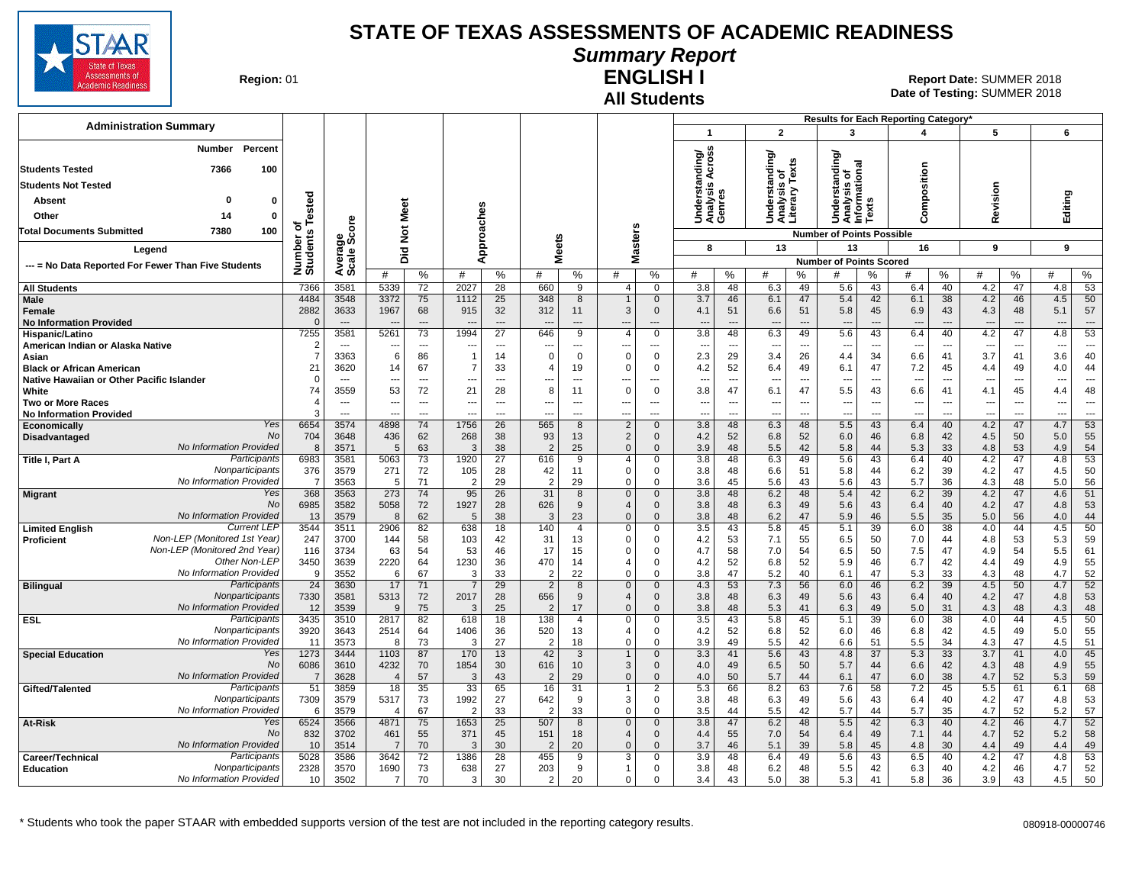

### **Summary Report**

**Region: 01** 

#### **All Students ENGLISH I**

**Date of Testing:**  SUMMER 2018 01 **Report Date:** SUMMER 2018

|                                                                         |                       |                                  |                                |                               |                                |                       |                          |                      |                                |                                |                                 |                                |                                 |                      | Results for Each Reporting Category'       |                      |                                 |                                |                                 |                                |                          |                                |
|-------------------------------------------------------------------------|-----------------------|----------------------------------|--------------------------------|-------------------------------|--------------------------------|-----------------------|--------------------------|----------------------|--------------------------------|--------------------------------|---------------------------------|--------------------------------|---------------------------------|----------------------|--------------------------------------------|----------------------|---------------------------------|--------------------------------|---------------------------------|--------------------------------|--------------------------|--------------------------------|
| <b>Administration Summary</b>                                           |                       |                                  |                                |                               |                                |                       |                          |                      |                                |                                | $\mathbf{1}$                    |                                | $\overline{2}$                  |                      | 3                                          |                      | 4                               |                                | 5                               |                                | 6                        |                                |
| Percent<br>Number                                                       |                       |                                  |                                |                               |                                |                       |                          |                      |                                |                                |                                 |                                |                                 |                      |                                            |                      |                                 |                                |                                 |                                |                          |                                |
| 7366<br>100<br><b>Students Tested</b>                                   |                       |                                  |                                |                               |                                |                       |                          |                      |                                |                                | ding/<br>cross                  |                                | ding/                           | is of<br>v Texts     | tanding/<br>त्त                            |                      |                                 |                                |                                 |                                |                          |                                |
| <b>Students Not Tested</b>                                              |                       |                                  |                                |                               |                                |                       |                          |                      |                                |                                | ⋖<br>त्व<br>$\mathbf{v}$        |                                | rstan                           |                      |                                            |                      |                                 |                                |                                 |                                |                          |                                |
| Absent<br>0<br>0                                                        |                       |                                  |                                |                               |                                |                       |                          |                      |                                |                                | Underst<br>Analysis<br>Genres   |                                |                                 | λä,                  | Understandi<br>Analysis of<br>Informationa | S                    | Composition                     |                                | Revision                        |                                | Editing                  |                                |
| Other<br>14<br>0                                                        | Tested                |                                  |                                | Meet                          |                                |                       |                          |                      |                                |                                |                                 |                                | Under<br>Analys<br>Litera       |                      |                                            | š                    |                                 |                                |                                 |                                |                          |                                |
| Total Documents Submitted<br>7380<br>100                                | ৳                     | င်                               |                                | $\rm \breve{z}$               |                                |                       |                          |                      |                                |                                |                                 |                                |                                 |                      | <b>Number of Points Possible</b>           |                      |                                 |                                |                                 |                                |                          |                                |
| Legend                                                                  | Number of<br>Students | క్రిట్                           |                                |                               | Approaches                     |                       |                          | eets                 |                                | asters                         | 8                               |                                | 13                              |                      | 13                                         |                      | 16                              |                                | 9                               |                                | 9                        |                                |
|                                                                         |                       | Average:                         |                                | 흐<br>۵                        |                                |                       | ż.                       |                      |                                | ż                              |                                 |                                |                                 |                      | <b>Number of Points Scored</b>             |                      |                                 |                                |                                 |                                |                          |                                |
| --- = No Data Reported For Fewer Than Five Students                     |                       |                                  | #                              | %                             | #                              | %                     | #                        | %                    | #                              | %                              | #                               | %                              | #                               | %                    | #                                          | ℅                    | #                               | %                              | #                               | %                              | #                        | %                              |
| <b>All Students</b>                                                     | 7366                  | 3581                             | 5339                           | 72                            | 2027                           | 28                    | 660                      | 9                    | $\overline{4}$                 | $\mathbf 0$                    | 3.8                             | 48                             | 6.3                             | 49                   | 5.6                                        | 43                   | 6.4                             | 40                             | 4.2                             | 47                             | 4.8                      | 53                             |
| Male<br>Female                                                          | 4484<br>2882          | 3548<br>3633                     | 3372<br>1967                   | 75<br>68                      | 1112<br>915                    | 25<br>32              | 348<br>312               | 8<br>11              | 3                              | $\Omega$<br>$\mathbf{0}$       | 3.7<br>4.1                      | 46<br>51                       | 6.1<br>6.6                      | 47<br>51             | 5.4<br>5.8                                 | 42<br>45             | 6.1<br>6.9                      | 38<br>43                       | 4.2<br>4.3                      | 46<br>48                       | 4.5<br>5.1               | 50<br>57                       |
| <b>No Information Provided</b>                                          | $\Omega$              | $---$                            |                                | $\hspace{1.5cm} \textbf{---}$ | $\overline{\phantom{a}}$       | ---                   | $\overline{\phantom{a}}$ | $---$                | ---                            | ---                            | ---                             | ---                            | $\overline{\phantom{a}}$        | ---                  | $\overline{\phantom{a}}$                   | $---$                | $---$                           | $---$                          | $\overline{\phantom{a}}$        | $---$                          | $\overline{\phantom{a}}$ | ---                            |
| Hispanic/Latino                                                         | 7255                  | 3581                             | 5261                           | 73                            | 1994                           | 27                    | 646                      | 9                    | $\overline{4}$                 | $\Omega$                       | 3.8                             | 48                             | 6.3                             | 49                   | 5.6                                        | 43                   | 6.4                             | 40                             | 4.2                             | 47                             | 4.8                      | 53                             |
| American Indian or Alaska Native<br>Asian                               | $\overline{2}$<br>-7  | $---$<br>3363                    | $\overline{\phantom{a}}$<br>6  | $\overline{a}$<br>86          | ---<br>$\overline{1}$          | $---$<br>14           | ---<br>$\Omega$          | $---$<br>$\mathbf 0$ | ---<br>$\Omega$                | ---<br>$\mathbf 0$             | $\overline{\phantom{a}}$<br>2.3 | $\overline{\phantom{a}}$<br>29 | $\overline{\phantom{a}}$<br>3.4 | $---$<br>26          | ---<br>4.4                                 | ---<br>34            | $\overline{\phantom{a}}$<br>6.6 | $\overline{\phantom{a}}$<br>41 | $\overline{\phantom{a}}$<br>3.7 | $\overline{\phantom{a}}$<br>41 | ---<br>3.6               | $\overline{\phantom{a}}$<br>40 |
| <b>Black or African American</b>                                        | 21                    | 3620                             | 14                             | 67                            | -7                             | 33                    | $\overline{4}$           | 19                   | $\Omega$                       | $\Omega$                       | 4.2                             | 52                             | 6.4                             | 49                   | 6.1                                        | 47                   | 7.2                             | 45                             | 4.4                             | 49                             | 4.0                      | 44                             |
| Native Hawaiian or Other Pacific Islander                               | $\mathbf 0$<br>74     | $\overline{\phantom{a}}$<br>3559 | $\overline{\phantom{a}}$       | ---<br>72                     | ---                            | $\overline{a}$        | ---<br>8                 | $\overline{a}$       | ---<br>$\mathbf 0$             | $\overline{a}$                 | $\overline{\phantom{a}}$        | $\sim$                         | $\overline{\phantom{a}}$        | $\overline{a}$<br>47 | ---                                        | $\overline{a}$<br>43 | $\overline{\phantom{a}}$        | $\overline{a}$<br>41           | $\overline{\phantom{a}}$        | $\overline{a}$<br>45           | ---                      | $\overline{a}$                 |
| White<br><b>Two or More Races</b>                                       | $\sqrt{2}$            | $\overline{\phantom{a}}$         | 53<br>$\overline{\phantom{a}}$ | ---                           | 21<br>$\overline{\phantom{a}}$ | 28<br>$---$           | ---                      | 11<br>$---$          | ---                            | $\mathbf 0$<br>---             | 3.8<br>$\sim$                   | 47<br>$\overline{\phantom{a}}$ | 6.1<br>$\overline{\phantom{a}}$ | ---                  | 5.5<br>---                                 | $\overline{a}$       | 6.6<br>$\overline{\phantom{a}}$ | $\overline{\phantom{a}}$       | 4.1<br>$\overline{\phantom{a}}$ | $\sim$                         | 4.4<br>---               | 48<br>$\overline{\phantom{a}}$ |
| <b>No Information Provided</b>                                          |                       | $---$                            | $\sim$                         | ---                           | ---                            | $---$                 | --                       | $---$                | ---                            | ---                            | $\sim$                          | ---                            | ---                             | ---                  | ---                                        | ---                  | $\overline{a}$                  | $\overline{\phantom{a}}$       | $\overline{\phantom{a}}$        | $\overline{\phantom{a}}$       | ---                      | ---                            |
| Yes<br>Economically<br>No<br><b>Disadvantaged</b>                       | 6654<br>704           | 3574<br>3648                     | 4898<br>436                    | 74<br>62                      | 1756<br>268                    | $\overline{26}$<br>38 | 565<br>93                | 8<br>13              | $\overline{2}$<br>2            | $\mathbf{0}$<br>$\mathbf 0$    | 3.8<br>4.2                      | 48<br>52                       | 6.3<br>6.8                      | 48<br>52             | 5.5<br>6.0                                 | 43<br>46             | 6.4<br>6.8                      | 40<br>42                       | 4.2<br>4.5                      | 47<br>50                       | 4.7<br>5.0               | 53<br>55                       |
| No Information Provided                                                 | 8                     | 3571                             | 5                              | 63                            | -3                             | 38                    | 2                        | 25                   | $\mathbf{0}$                   | $\Omega$                       | 3.9                             | 48                             | 5.5                             | 42                   | 5.8                                        | 44                   | 5.3                             | 33                             | 4.8                             | 53                             | 4.9                      | 54                             |
| Participants<br>Title I, Part A                                         | 6983                  | 3581                             | 5063                           | 73                            | 1920                           | $\overline{27}$       | 616                      | 9                    | $\overline{4}$                 | 0                              | 3.8                             | 48                             | 6.3                             | 49                   | 5.6                                        | 43                   | 6.4                             | 40                             | 4.2                             | 47                             | 4.8                      | 53                             |
| Nonparticipants<br>No Information Provided                              | 376<br>7              | 3579<br>3563                     | 271<br>-5                      | 72<br>71                      | 105<br>$\overline{2}$          | 28<br>29              | 42<br>2                  | 11<br>29             | $\Omega$<br>$\Omega$           | $\Omega$<br>$\Omega$           | 3.8<br>3.6                      | 48<br>45                       | 6.6<br>5.6                      | 51<br>43             | 5.8<br>5.6                                 | 44<br>43             | 6.2<br>5.7                      | 39<br>36                       | 4.2<br>4.3                      | 47<br>48                       | 4.5<br>5.0               | 50<br>56                       |
| Yes<br><b>Migrant</b>                                                   | 368                   | 3563                             | 273                            | 74                            | 95                             | 26                    | 31                       | 8                    | $\mathbf{0}$                   | $\Omega$                       | 3.8                             | 48                             | 6.2                             | 48                   | 5.4                                        | 42                   | 6.2                             | 39                             | 4.2                             | 47                             | 4.6                      | 51                             |
| No                                                                      | 6985                  | 3582                             | 5058                           | 72                            | 1927                           | 28                    | 626                      | 9                    | $\overline{4}$                 | $\Omega$                       | 3.8                             | 48                             | 6.3                             | 49                   | 5.6                                        | 43                   | 6.4                             | 40                             | 4.2                             | 47                             | 4.8                      | 53                             |
| No Information Provided<br><b>Current LEP</b><br><b>Limited English</b> | 13<br>3544            | 3579<br>3511                     | $\mathsf{R}$<br>2906           | 62<br>82                      | 5<br>638                       | 38<br>18              | 3<br>140                 | 23<br>$\overline{4}$ | $\mathbf{0}$<br>$\mathbf 0$    | $\Omega$<br>$\Omega$           | 3.8<br>3.5                      | 48<br>43                       | 6.2<br>5.8                      | 47<br>45             | 5.9<br>5.1                                 | 46<br>39             | 5.5<br>6.0                      | 35<br>38                       | 5.0<br>4.0                      | 56<br>44                       | 4.0<br>4.5               | 44<br>50                       |
| Non-LEP (Monitored 1st Year)<br>Proficient                              | 247                   | 3700                             | 144                            | 58                            | 103                            | 42                    | 31                       | 13                   | $\Omega$                       | $\Omega$                       | 4.2                             | 53                             | 7.1                             | 55                   | 6.5                                        | 50                   | 7.0                             | 44                             | 4.8                             | 53                             | 5.3                      | 59                             |
| Non-LEP (Monitored 2nd Year)<br>Other Non-LEP                           | 116                   | 3734                             | 63                             | 54                            | 53                             | 46                    | 17                       | 15                   | $\Omega$                       | $\Omega$                       | 4.7                             | 58                             | 7.0                             | 54                   | 6.5                                        | 50                   | 7.5                             | 47                             | 4.9                             | 54                             | 5.5                      | 61                             |
| No Information Provided                                                 | 3450<br>9             | 3639<br>3552                     | 2220<br>6                      | 64<br>67                      | 1230<br>3                      | 36<br>33              | 470<br>$\overline{2}$    | 14<br>22             | $\Omega$                       | $\Omega$<br>$\Omega$           | 4.2<br>3.8                      | 52<br>47                       | 6.8<br>5.2                      | 52<br>40             | 5.9<br>6.1                                 | 46<br>47             | 6.7<br>5.3                      | 42<br>33                       | 4.4<br>4.3                      | 49<br>48                       | 4.9<br>4.7               | 55<br>52                       |
| Participants<br><b>Bilingual</b>                                        | 24                    | 3630                             | 17                             | 71                            |                                | 29                    | $\overline{2}$           | 8                    | $\mathbf{0}$                   | $\Omega$                       | 4.3                             | 53                             | 7.3                             | 56                   | 6.0                                        | 46                   | 6.2                             | 39                             | 4.5                             | 50                             | 4.7                      | 52                             |
| Nonparticipants<br>No Information Provided                              | 7330<br>12            | 3581<br>3539                     | 5313<br><b>q</b>               | 72<br>75                      | 2017<br>-3                     | 28<br>25              | 656<br>$\overline{2}$    | 9<br>17              | $\overline{4}$<br>$\mathbf{0}$ | $\mathbf{0}$<br>$\Omega$       | 3.8<br>3.8                      | 48<br>48                       | 6.3<br>5.3                      | 49<br>41             | 5.6<br>6.3                                 | 43<br>49             | 6.4<br>5.0                      | 40<br>31                       | 4.2<br>4.3                      | 47<br>48                       | 4.8<br>4.3               | 53<br>48                       |
| Participants<br><b>ESL</b>                                              | 3435                  | 3510                             | 2817                           | 82                            | 618                            | 18                    | 138                      | $\overline{4}$       | $\Omega$                       | 0                              | 3.5                             | 43                             | 5.8                             | 45                   | 5.1                                        | 39                   | 6.0                             | 38                             | 4.0                             | 44                             | 4.5                      | 50                             |
| Nonparticipants                                                         | 3920                  | 3643                             | 2514                           | 64                            | 1406                           | 36                    | 520                      | 13                   | $\overline{4}$                 | 0                              | 4.2                             | 52                             | 6.8                             | 52                   | 6.0                                        | 46                   | 6.8                             | 42                             | 4.5                             | 49                             | 5.0                      | 55                             |
| No Information Provided<br>Yes                                          | 11<br>1273            | 3573<br>3444                     | 8<br>1103                      | 73<br>87                      | -3<br>170                      | 27<br>13              | $\overline{2}$<br>42     | 18<br>3              | $\mathbf 0$<br>$\mathbf{1}$    | $\mathbf 0$<br>$\mathbf 0$     | 3.9<br>3.3                      | 49<br>41                       | 5.5<br>5.6                      | 42<br>43             | 6.6<br>4.8                                 | 51<br>37             | 5.5<br>5.3                      | 34<br>33                       | 4.3<br>3.7                      | 47<br>41                       | 4.5<br>4.0               | 51<br>45                       |
| <b>Special Education</b><br><b>No</b>                                   | 6086                  | 3610                             | 4232                           | 70                            | 1854                           | 30                    | 616                      | 10                   | 3                              | $\Omega$                       | 4.0                             | 49                             | 6.5                             | 50                   | 5.7                                        | 44                   | 6.6                             | 42                             | 4.3                             | 48                             | 4.9                      | 55                             |
| No Information Provided                                                 | $\overline{7}$        | 3628                             | $\overline{4}$                 | 57                            | 3                              | 43                    | $\overline{2}$           | 29                   | $\Omega$                       | $\Omega$                       | 4.0                             | 50                             | 5.7                             | 44                   | 6.1                                        | 47                   | 6.0                             | 38                             | 4.7                             | 52                             | 5.3                      | 59                             |
| Participants<br>Gifted/Talented<br>Nonparticipants                      | 51<br>7309            | 3859<br>3579                     | 18<br>5317                     | 35<br>73                      | 33<br>1992                     | 65<br>27              | 16<br>642                | 31<br>9              | $\overline{1}$<br>3            | $\overline{2}$<br>$\mathbf{0}$ | 5.3<br>3.8                      | 66<br>48                       | 8.2<br>6.3                      | 63<br>49             | 7.6<br>5.6                                 | 58<br>43             | 7.2<br>6.4                      | 45<br>40                       | 5.5<br>4.2                      | 61<br>47                       | 6.1<br>4.8               | 68<br>53                       |
| No Information Provided                                                 | -6                    | 3579                             | $\overline{4}$                 | 67                            | $\overline{2}$                 | 33                    | $\overline{2}$           | 33                   | $\Omega$                       | $\Omega$                       | 3.5                             | 44                             | 5.5                             | 42                   | 5.7                                        | 44                   | 5.7                             | 35                             | 4.7                             | 52                             | 5.2                      | 57                             |
| Yes<br><b>At-Risk</b>                                                   | 6524                  | 3566                             | 4871                           | 75                            | 1653                           | $\overline{25}$       | 507                      | 8                    | $\mathbf{0}$                   | $\mathbf{0}$                   | 3.8                             | 47                             | 6.2                             | 48                   | 5.5                                        | 42                   | 6.3                             | 40                             | 4.2                             | 46                             | 4.7                      | 52                             |
| No<br>No Information Provided                                           | 832<br>10             | 3702<br>3514                     | 461<br>$\overline{7}$          | 55<br>70                      | 371<br>-3                      | 45<br>30              | 151<br>$\overline{2}$    | 18<br>20             | $\overline{4}$<br>$\Omega$     | $\mathbf 0$<br>$\Omega$        | 4.4<br>3.7                      | 55<br>46                       | 7.0<br>5.1                      | 54<br>39             | 6.4<br>5.8                                 | 49<br>45             | 7.1<br>4.8                      | 44<br>30                       | 4.7<br>4.4                      | 52<br>49                       | 5.2<br>4.4               | 58<br>49                       |
| Participants<br>Career/Technical                                        | 5028                  | 3586                             | 3642                           | 72                            | 1386                           | 28                    | 455                      | 9                    | 3                              | $\Omega$                       | 3.9                             | 48                             | 6.4                             | 49                   | 5.6                                        | 43                   | 6.5                             | 40                             | 4.2                             | 47                             | 4.8                      | 53                             |
| Nonparticipants<br><b>Education</b>                                     | 2328                  | 3570                             | 1690                           | 73                            | 638                            | 27                    | 203                      | 9                    | -1                             | 0                              | 3.8                             | 48                             | 6.2                             | 48                   | 5.5                                        | 42                   | 6.3                             | 40                             | 4.2                             | 46                             | 4.7                      | 52                             |
| No Information Provided                                                 | 10                    | 3502                             | 7                              | 70                            | 3                              | 30                    | $\overline{2}$           | 20                   | $\Omega$                       | $\Omega$                       | 3.4                             | 43                             | 5.0                             | 38                   | 5.3                                        | 41                   | 5.8                             | 36                             | 3.9                             | 43                             | 4.5                      | 50                             |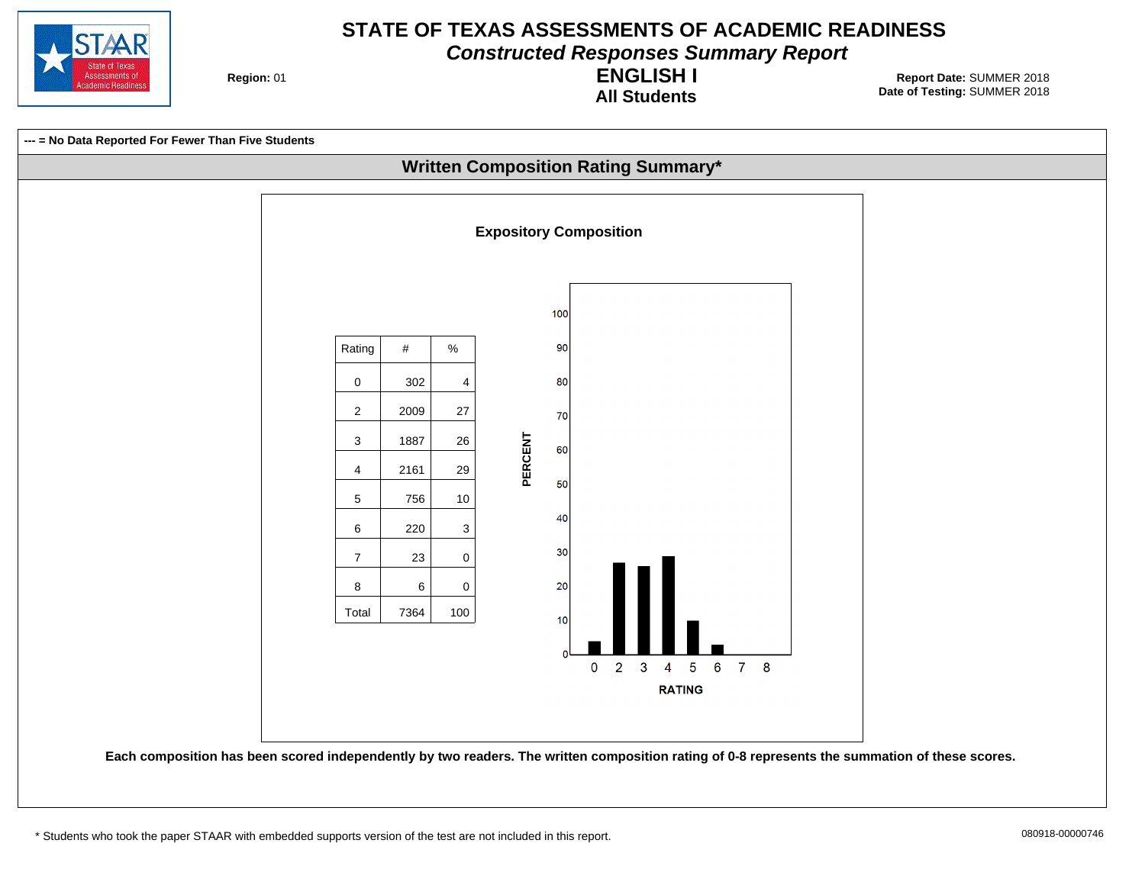

**Constructed Responses Summary Report**

**Region: 01** 

**All Students ENGLISH I**

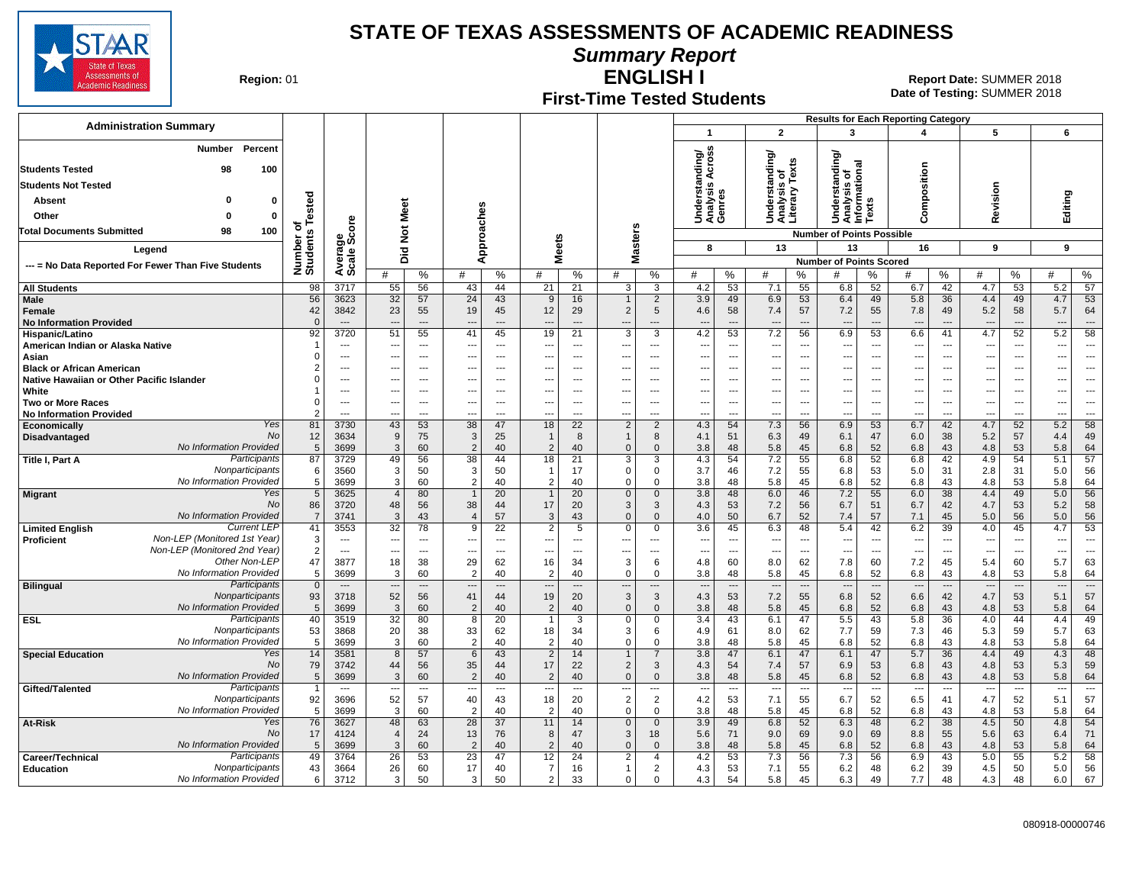

**Summary Report**

**Region: 01** 

### **First-Time Tested Students**

**ENGLISH I** 01 **Report Date:** SUMMER 2018 **Date of Testing:**  SUMMER 2018

| <b>Administration Summary</b>                                              |                               |                          |                      |                          |                          |                          |                                  |                                  |                                            |                                            |                                 |                                   |                                  |                          |                                                        |                                | <b>Results for Each Reporting Category</b> |                                |                                 |                          |                          |                                |
|----------------------------------------------------------------------------|-------------------------------|--------------------------|----------------------|--------------------------|--------------------------|--------------------------|----------------------------------|----------------------------------|--------------------------------------------|--------------------------------------------|---------------------------------|-----------------------------------|----------------------------------|--------------------------|--------------------------------------------------------|--------------------------------|--------------------------------------------|--------------------------------|---------------------------------|--------------------------|--------------------------|--------------------------------|
|                                                                            |                               |                          |                      |                          |                          |                          |                                  |                                  |                                            |                                            | $\overline{\mathbf{1}}$         |                                   | $\overline{2}$                   |                          | 3                                                      |                                | 4                                          |                                | 5                               |                          | 6                        |                                |
| Percent<br>Number                                                          |                               |                          |                      |                          |                          |                          |                                  |                                  |                                            |                                            |                                 |                                   |                                  |                          | টা                                                     |                                |                                            |                                |                                 |                          |                          |                                |
| <b>Students Tested</b><br>98<br>100                                        |                               |                          |                      |                          |                          |                          |                                  |                                  |                                            |                                            | nding/<br>Across                |                                   |                                  |                          | 틈                                                      |                                |                                            |                                |                                 |                          |                          |                                |
|                                                                            |                               |                          |                      |                          |                          |                          |                                  |                                  |                                            |                                            | e<br>≌ s                        |                                   | erstanding                       | is of<br>/ Texts         | Understanding<br>Analysis of<br>Informational<br>Texts |                                | omposition                                 |                                |                                 |                          |                          |                                |
| <b>Students Not Tested</b>                                                 |                               |                          |                      |                          |                          |                          |                                  |                                  |                                            |                                            |                                 |                                   |                                  |                          |                                                        |                                |                                            |                                | evision                         |                          |                          |                                |
| O<br>Absent<br>0                                                           | ested                         |                          |                      |                          |                          |                          |                                  |                                  |                                            |                                            |                                 |                                   |                                  |                          |                                                        |                                |                                            |                                |                                 |                          |                          |                                |
| Other<br>$\Omega$<br>$\Omega$                                              |                               |                          | Meet                 |                          |                          |                          |                                  |                                  |                                            |                                            | Underst<br>Analysis<br>Genres   |                                   | Underst:<br>Analysis<br>Literary |                          |                                                        |                                | ت                                          |                                | ≃                               |                          | Editing                  |                                |
| <b>Total Documents Submitted</b><br>98<br>100                              | ৳                             | δã                       | $\breve{\mathbf{z}}$ |                          |                          |                          |                                  |                                  | s                                          |                                            |                                 |                                   |                                  |                          | <b>Number of Points Possible</b>                       |                                |                                            |                                |                                 |                          |                          |                                |
| Legend                                                                     |                               | န္မွတ္ကိ                 |                      |                          | Approaches               |                          | <b>Meets</b>                     |                                  | laster:                                    |                                            | 8                               |                                   | 13                               |                          | 13                                                     |                                | 16                                         |                                | 9                               |                          | 9                        |                                |
|                                                                            |                               |                          | Did                  |                          |                          |                          |                                  |                                  | Σ                                          |                                            |                                 |                                   |                                  |                          | <b>Number of Points Scored</b>                         |                                |                                            |                                |                                 |                          |                          |                                |
| --- = No Data Reported For Fewer Than Five Students                        | Number of<br>Students         | Avera                    | #                    | %                        | #                        | $\%$                     | #                                | %                                | #                                          | %                                          | #                               | %                                 | #                                | %                        | #                                                      | ℅                              | #                                          | %                              | #                               | %                        | #                        | %                              |
| <b>All Students</b>                                                        | 98                            | 3717                     | 55                   | 56                       | 43                       | 44                       | 21                               | 21                               | 3                                          | 3                                          | 4.2                             | 53                                | 7.1                              | 55                       | 6.8                                                    | 52                             | 6.7                                        | 42                             | 4.7                             | 53                       | 5.2                      | 57                             |
| Male                                                                       | 56                            | 3623                     | 32                   | 57                       | 24                       | 43                       | 9                                | 16                               |                                            | $\overline{2}$                             | 3.9                             | 49                                | 6.9                              | 53                       | 6.4                                                    | 49                             | 5.8                                        | 36                             | 4.4                             | 49                       | 4.7                      | 53                             |
| Female                                                                     | 42                            | 3842                     | 23                   | 55                       | 19                       | 45                       | 12                               | 29                               | $\overline{2}$                             | 5                                          | 4.6                             | 58                                | 7.4                              | 57                       | 7.2                                                    | 55                             | 7.8                                        | 49                             | 5.2                             | 58                       | 5.7                      | 64                             |
| <b>No Information Provided</b>                                             | $\Omega$                      | $---$                    | ---                  | $---$                    | $\overline{\phantom{a}}$ | $---$                    | ---                              | $---$                            | ---                                        | $---$                                      | $\overline{a}$                  | ---                               | $\overline{\phantom{a}}$         | $\overline{a}$           | $\overline{\phantom{a}}$                               | $---$                          | $\overline{\phantom{a}}$                   | $\overline{\phantom{a}}$       | $---$                           | $---$                    | $---$                    | $\overline{\phantom{a}}$       |
| Hispanic/Latino<br>American Indian or Alaska Native                        | 92<br>-1                      | 3720<br>---              | 51<br>---            | 55<br>$---$              | 41<br>---                | 45<br>$---$              | 19<br>---                        | 21<br>$---$                      | $\overline{3}$<br>$\overline{\phantom{a}}$ | $\overline{3}$<br>$\overline{\phantom{a}}$ | 4.2<br>---                      | $\overline{53}$<br>$\overline{a}$ | 7.2<br>---                       | 56<br>$\overline{a}$     | 6.9<br>---                                             | 53<br>$\overline{\phantom{a}}$ | 6.6<br>$\overline{a}$                      | 41<br>$\overline{\phantom{a}}$ | 4.7<br>$\overline{\phantom{a}}$ | 52<br>---                | 5.2<br>---               | 58<br>$\overline{a}$           |
| Asian                                                                      | $\Omega$                      | $\overline{\phantom{a}}$ | ---                  | ---                      | ---                      | $\overline{\phantom{a}}$ | ---                              | $\overline{a}$                   | $\overline{\phantom{a}}$                   | $\overline{\phantom{a}}$                   | ---                             | ---                               | ---                              | ---                      | ---                                                    | $\overline{\phantom{a}}$       | ---                                        | $\overline{\phantom{a}}$       | ---                             | $\overline{\phantom{a}}$ | ---                      | $\overline{\phantom{a}}$       |
| <b>Black or African American</b>                                           | $\overline{2}$                | ---                      | ---                  | $\overline{a}$           | ---                      | $\overline{a}$           | ---                              | $\overline{a}$                   | $\overline{\phantom{a}}$                   | $\overline{a}$                             | $\overline{\phantom{a}}$        | $\overline{a}$                    | ---                              | $\overline{a}$           | ---                                                    | $\overline{\phantom{a}}$       | ---                                        | $\overline{\phantom{a}}$       | ---                             | ---                      | ---                      | $\overline{a}$                 |
| Native Hawaiian or Other Pacific Islander                                  | $\Omega$                      | ---                      | ---                  | $\overline{\phantom{a}}$ | ---                      | ---                      |                                  | ---                              | ---                                        | $\overline{\phantom{a}}$                   | $\overline{\phantom{a}}$        | ---                               | ---                              | ---                      | ---                                                    | ---                            | ---                                        | ---                            | ---                             |                          | ---                      | ---                            |
| White                                                                      |                               | ---                      | ---                  | ---                      |                          | ---                      |                                  | ---                              | ---                                        | $\overline{a}$                             | $\overline{\phantom{a}}$        |                                   | ---                              | ---                      | ---                                                    | ---                            | ---                                        | ---                            | ---                             | ---                      | $\overline{\phantom{a}}$ |                                |
| <b>Two or More Races</b>                                                   | $\mathbf 0$<br>$\overline{2}$ | ---                      | ---                  | ---                      | $\overline{\phantom{a}}$ | $\overline{a}$           |                                  | $\overline{a}$<br>$\overline{a}$ | $\overline{\phantom{a}}$                   | $\overline{\phantom{a}}$                   | $\overline{\phantom{a}}$        | ---                               | ---<br>÷.,                       | ---                      | −−                                                     | ---                            | ---                                        | $\overline{\phantom{a}}$       | ---                             | $\overline{\phantom{a}}$ | ---                      | $\overline{\phantom{a}}$       |
| <b>No Information Provided</b><br>Yes<br>Economically                      | 81                            | ---<br>3730              | ---<br>43            | ---<br>53                | ---<br>38                | ---<br>47                | ---<br>18                        | $\overline{22}$                  | $\overline{\phantom{a}}$<br>$\overline{2}$ | $\overline{a}$<br>$\overline{2}$           | $\overline{\phantom{a}}$<br>4.3 | ---<br>54                         | 7.3                              | ---<br>56                | ---<br>6.9                                             | ---<br>53                      | ---<br>6.7                                 | ---<br>42                      | ---<br>4.7                      | 52                       | ---<br>5.2               | 58                             |
| No<br>Disadvantaged                                                        | 12                            | 3634                     | 9                    | 75                       | 3                        | 25                       | $\mathbf{1}$                     | 8                                | $\mathbf{1}$                               | 8                                          | 4.1                             | 51                                | 6.3                              | 49                       | 6.1                                                    | 47                             | 6.0                                        | 38                             | 5.2                             | 57                       | 4.4                      | 49                             |
| No Information Provided                                                    | 5                             | 3699                     | 3                    | 60                       | $\overline{2}$           | 40                       | 2                                | 40                               | $\mathbf{0}$                               | $\Omega$                                   | 3.8                             | 48                                | 5.8                              | 45                       | 6.8                                                    | 52                             | 6.8                                        | 43                             | 4.8                             | 53                       | 5.8                      | 64                             |
| Participants<br>Title I, Part A                                            | 87                            | 3729                     | 49                   | 56                       | 38                       | 44                       | 18                               | 21                               | 3                                          | 3                                          | 4.3                             | 54                                | 7.2                              | 55                       | 6.8                                                    | 52                             | 6.8                                        | 42                             | 4.9                             | 54                       | 5.1                      | 57                             |
| Nonparticipants<br>No Information Provided                                 | 6                             | 3560                     | 3                    | 50                       | 3<br>$\overline{2}$      | 50                       | 1<br>$\overline{2}$              | 17                               | $\mathbf 0$<br>$\Omega$                    | 0<br>$\Omega$                              | 3.7                             | 46                                | 7.2                              | 55                       | 6.8                                                    | 53                             | 5.0                                        | 31                             | 2.8                             | 31                       | 5.0                      | 56                             |
| Yes<br><b>Migrant</b>                                                      | 5<br>$5\overline{)}$          | 3699<br>3625             | 3<br>$\overline{4}$  | 60<br>80                 | $\overline{1}$           | 40<br>20                 | $\overline{1}$                   | 40<br>20                         | $\mathbf{0}$                               | $\mathbf 0$                                | 3.8<br>3.8                      | 48<br>48                          | 5.8<br>6.0                       | 45<br>46                 | 6.8<br>7.2                                             | 52<br>55                       | 6.8<br>6.0                                 | 43<br>38                       | 4.8<br>4.4                      | 53<br>49                 | 5.8<br>$5.0$             | 64<br>56                       |
| No                                                                         | 86                            | 3720                     | 48                   | 56                       | 38                       | 44                       | 17                               | 20                               | 3                                          | 3                                          | 4.3                             | 53                                | 7.2                              | 56                       | 6.7                                                    | 51                             | 6.7                                        | 42                             | 4.7                             | 53                       | 5.2                      | 58                             |
| No Information Provided                                                    | $\overline{7}$                | 3741                     | 3                    | 43                       | $\overline{4}$           | 57                       | 3                                | 43                               | $\Omega$                                   | $\Omega$                                   | 4.0                             | 50                                | 6.7                              | 52                       | 7.4                                                    | 57                             | 7.1                                        | 45                             | 5.0                             | 56                       | 5.0                      | 56                             |
| <b>Current LEP</b><br><b>Limited English</b>                               | 41                            | 3553                     | $\overline{32}$      | 78                       | 9                        | 22                       | $\overline{2}$                   | 5                                | $\mathbf 0$                                | 0                                          | 3.6                             | 45                                | 6.3                              | 48                       | 5.4                                                    | 42                             | 6.2                                        | 39                             | 4.0                             | 45                       | 4.7                      | 53                             |
| Non-LEP (Monitored 1st Year)<br>Proficient<br>Non-LEP (Monitored 2nd Year) | 3                             | $\overline{\phantom{a}}$ | ---                  | $\overline{a}$           | ---                      | $\overline{\phantom{a}}$ | ---                              | $---$                            | $\overline{\phantom{a}}$                   | $\overline{\phantom{a}}$                   | $\overline{\phantom{a}}$        | ---                               | $\overline{\phantom{a}}$         | $\overline{\phantom{a}}$ | ---                                                    | $\overline{\phantom{a}}$       | $\overline{\phantom{a}}$                   | $\overline{\phantom{a}}$       | $\overline{\phantom{a}}$        | ---                      | $\cdots$                 | $\ddotsc$                      |
| Other Non-LEP                                                              | $\overline{2}$<br>47          | $\overline{a}$<br>3877   | ---<br>18            | $\overline{a}$<br>38     | $\overline{a}$<br>29     | $\overline{a}$<br>62     | ---<br>16                        | $---$<br>34                      | $\overline{\phantom{a}}$<br>3              | $\overline{a}$<br>6                        | $\overline{\phantom{a}}$<br>4.8 | ---<br>60                         | $\overline{\phantom{a}}$<br>8.0  | ---<br>62                | ---<br>7.8                                             | $\sim$<br>60                   | $\overline{a}$<br>7.2                      | $\overline{a}$<br>45           | $\overline{a}$<br>5.4           | $\overline{a}$<br>60     | $\overline{a}$<br>5.7    | $\sim$<br>63                   |
| No Information Provided                                                    | 5                             | 3699                     | 3                    | 60                       | $\mathcal{P}$            | 40                       | $\overline{2}$                   | 40                               | $\mathbf 0$                                | $\Omega$                                   | 3.8                             | 48                                | 5.8                              | 45                       | 6.8                                                    | 52                             | 6.8                                        | 43                             | 4.8                             | 53                       | 5.8                      | 64                             |
| Participants<br><b>Bilingual</b>                                           | $\overline{0}$                | $---$                    | ---                  | $\overline{\phantom{a}}$ | $\overline{\phantom{a}}$ | $---$                    | ---                              | $\overline{a}$                   | $\overline{\phantom{a}}$                   | $\cdots$                                   | $\overline{a}$                  | ---                               | $\overline{\phantom{a}}$         | $\overline{\phantom{a}}$ | $\overline{\phantom{a}}$                               | $\overline{\phantom{a}}$       | $\overline{\phantom{a}}$                   | $\overline{\phantom{a}}$       | $\overline{\phantom{a}}$        | $\overline{\phantom{a}}$ | $\overline{\phantom{a}}$ | $\overline{\phantom{a}}$       |
| Nonparticipants                                                            | 93                            | 3718                     | 52                   | 56                       | 41                       | 44                       | 19                               | 20                               | 3                                          | 3                                          | 4.3                             | 53                                | 7.2                              | 55                       | 6.8                                                    | 52                             | 6.6                                        | 42                             | 4.7                             | 53                       | 5.1                      | 57                             |
| No Information Provided                                                    | 5                             | 3699                     | 3                    | 60                       | $\overline{2}$           | 40                       | 2                                | 40                               | $\Omega$                                   | $\mathbf{0}$                               | 3.8                             | 48                                | 5.8                              | 45                       | 6.8                                                    | 52                             | 6.8                                        | 43                             | 4.8                             | 53                       | 5.8                      | 64                             |
| Participants<br><b>ESL</b><br>Nonparticipants                              | 40<br>53                      | 3519<br>3868             | 32<br>20             | 80<br>38                 | 8<br>33                  | 20<br>62                 | $\mathbf{1}$<br>18               | 3<br>34                          | $\mathbf 0$<br>3                           | 0<br>6                                     | 3.4<br>4.9                      | 43<br>61                          | 6.1<br>8.0                       | 47<br>62                 | 5.5<br>7.7                                             | 43<br>59                       | 5.8<br>7.3                                 | 36<br>46                       | 4.0<br>5.3                      | 44<br>59                 | 4.4<br>5.7               | 49<br>63                       |
| No Information Provided                                                    | 5                             | 3699                     | 3                    | 60                       | $\overline{2}$           | 40                       | $\overline{c}$                   | 40                               | $\mathbf 0$                                | $\mathbf 0$                                | 3.8                             | 48                                | 5.8                              | 45                       | 6.8                                                    | 52                             | 6.8                                        | 43                             | 4.8                             | 53                       | 5.8                      | 64                             |
| Yes<br><b>Special Education</b>                                            | 14                            | 3581                     | $\overline{8}$       | 57                       | 6                        | 43                       | $\overline{2}$                   | 14                               | $\mathbf{1}$                               | $\overline{7}$                             | 3.8                             | 47                                | 6.1                              | 47                       | 6.1                                                    | 47                             | 5.7                                        | 36                             | 4.4                             | 49                       | 4.3                      | 48                             |
| No                                                                         | 79                            | 3742                     | 44                   | 56                       | 35                       | 44                       | 17                               | 22                               | $\overline{2}$                             | 3                                          | 4.3                             | 54                                | 7.4                              | 57                       | 6.9                                                    | 53                             | 6.8                                        | 43                             | 4.8                             | 53                       | 5.3                      | 59                             |
| No Information Provided                                                    | $\sqrt{5}$                    | 3699                     | $\overline{3}$       | 60                       | $\overline{2}$           | 40                       | 2                                | 40                               | $\mathbf{0}$                               | $\mathbf{0}$                               | 3.8                             | 48                                | 5.8                              | 45                       | 6.8                                                    | 52                             | 6.8                                        | 43                             | 4.8                             | 53                       | 5.8                      | 64                             |
| Participants<br>Gifted/Talented<br>Nonparticipants                         |                               | $\cdots$<br>3696         | ---                  | $\sim$                   | $\overline{\phantom{a}}$ | $\cdots$                 | ---                              | ---<br>20                        | $\overline{\phantom{a}}$<br>$\overline{2}$ | $\sim$<br>$\overline{2}$                   | $\overline{\phantom{a}}$        | ---                               | $\overline{\phantom{a}}$         | $\sim$                   | $\overline{\phantom{a}}$                               | $\sim$                         | $\overline{\phantom{a}}$                   | $\overline{\phantom{a}}$<br>41 | $\overline{\phantom{a}}$        | $\sim$                   | $\sim$                   | $\overline{\phantom{a}}$<br>57 |
| No Information Provided                                                    | 92<br>5                       | 3699                     | 52<br>3              | 57<br>60                 | 40<br>$\mathcal{P}$      | 43<br>40                 | 18<br>$\overline{2}$             | 40                               | $\mathbf 0$                                | $\Omega$                                   | 4.2<br>3.8                      | 53<br>48                          | 7.1<br>5.8                       | 55<br>45                 | 6.7<br>6.8                                             | 52<br>52                       | 6.5<br>6.8                                 | 43                             | 4.7<br>4.8                      | 52<br>53                 | 5.1<br>5.8               | 64                             |
| Yes<br>At-Risk                                                             | 76                            | 3627                     | 48                   | 63                       | 28                       | 37                       | 11                               | 14                               | $\mathbf 0$                                | $\mathbf 0$                                | 3.9                             | 49                                | 6.8                              | 52                       | 6.3                                                    | 48                             | 6.2                                        | 38                             | 4.5                             | 50                       | 4.8                      | 54                             |
| No                                                                         | 17                            | 4124                     | $\overline{4}$       | 24                       | 13                       | 76                       | 8                                | 47                               | 3                                          | 18                                         | 5.6                             | 71                                | 9.0                              | 69                       | 9.0                                                    | 69                             | 8.8                                        | 55                             | 5.6                             | 63                       | 6.4                      | 71                             |
| No Information Provided                                                    | 5                             | 3699                     | 3                    | 60                       | $\overline{2}$           | 40                       | $\overline{2}$                   | 40                               | $\Omega$                                   | $\Omega$                                   | 3.8                             | 48                                | 5.8                              | 45                       | 6.8                                                    | 52                             | 6.8                                        | 43                             | 4.8                             | 53                       | 5.8                      | 64                             |
| Participants<br>Career/Technical                                           | 49                            | 3764                     | 26                   | 53                       | 23                       | 47                       | 12                               | 24                               | 2                                          | $\overline{4}$                             | 4.2                             | 53                                | 7.3                              | 56                       | 7.3                                                    | 56                             | 6.9                                        | 43                             | 5.0                             | 55                       | 5.2                      | 58                             |
| Nonparticipants<br><b>Education</b><br>No Information Provided             | 43<br>6                       | 3664<br>3712             | 26<br>3              | 60<br>50                 | 17<br>3                  | 40<br>50                 | $\overline{7}$<br>$\overline{2}$ | 16<br>33                         | $\mathbf{1}$<br>$\mathbf 0$                | 2<br>$\Omega$                              | 4.3<br>4.3                      | 53<br>54                          | 7.1<br>5.8                       | 55<br>45                 | 6.2<br>6.3                                             | 48<br>49                       | 6.2<br>7.7                                 | 39<br>48                       | 4.5<br>4.3                      | 50<br>48                 | 5.0<br>6.0               | 56<br>67                       |
|                                                                            |                               |                          |                      |                          |                          |                          |                                  |                                  |                                            |                                            |                                 |                                   |                                  |                          |                                                        |                                |                                            |                                |                                 |                          |                          |                                |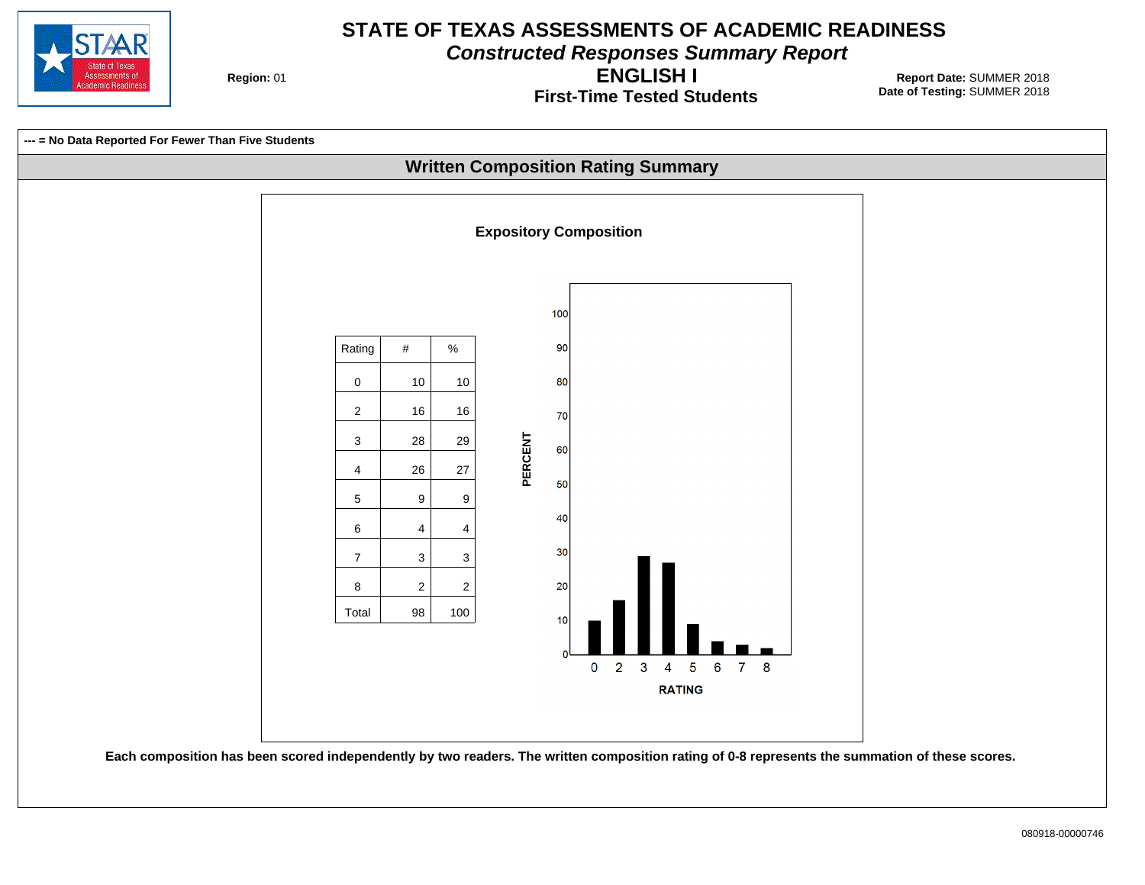

**Constructed Responses Summary Report**

**Region: 01** 

**First-Time Tested Students ENGLISH I**

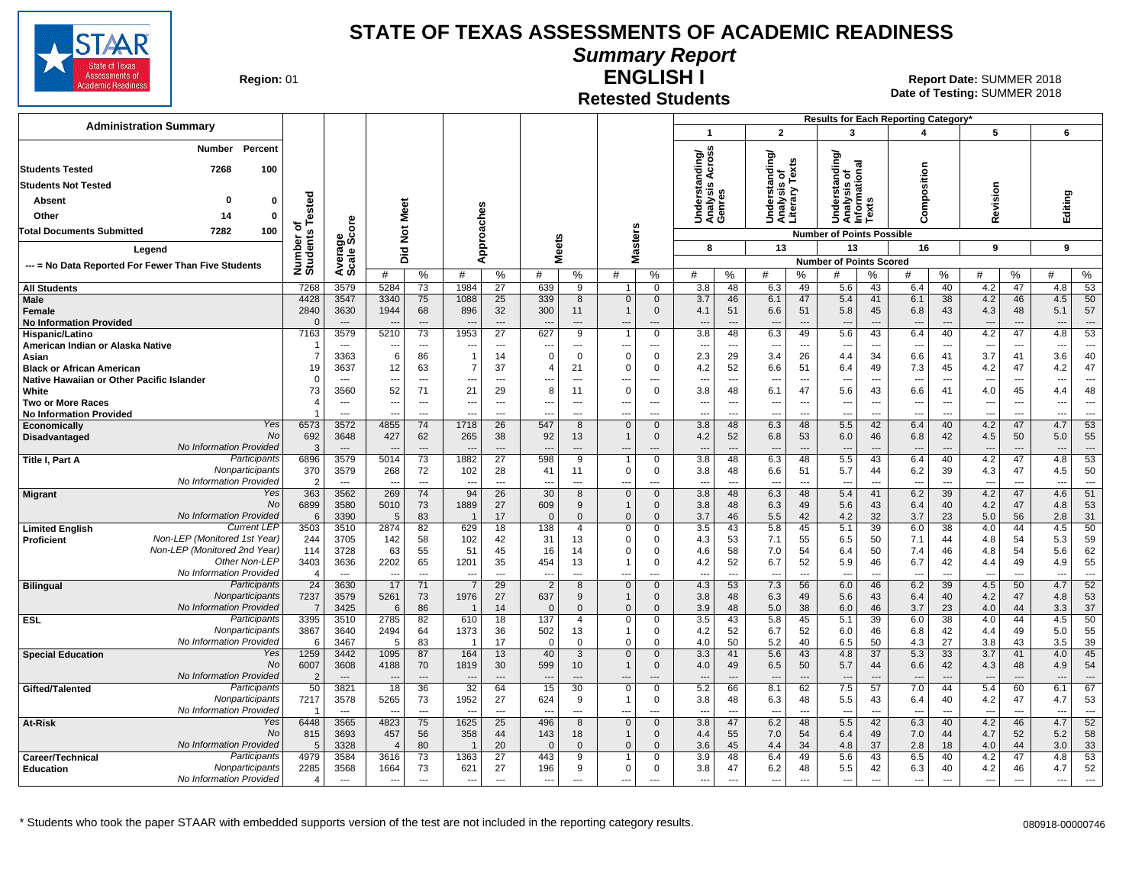

**Summary Report**

**Region: 01** 

#### **Retested Students ENGLISH I**

**Date of Testing:**  SUMMER 2018 01 **Report Date:** SUMMER 2018

|                                                                                   |                              |                                  |                          |                                            |                          |                                            |                          |                            |                                                      |                               |                                     |                                            |                                                      |                                            |                                                                    |                       | Results for Each Reporting Category' |                                                      |                                 |                                |                                    |                                 |
|-----------------------------------------------------------------------------------|------------------------------|----------------------------------|--------------------------|--------------------------------------------|--------------------------|--------------------------------------------|--------------------------|----------------------------|------------------------------------------------------|-------------------------------|-------------------------------------|--------------------------------------------|------------------------------------------------------|--------------------------------------------|--------------------------------------------------------------------|-----------------------|--------------------------------------|------------------------------------------------------|---------------------------------|--------------------------------|------------------------------------|---------------------------------|
| <b>Administration Summary</b>                                                     |                              |                                  |                          |                                            |                          |                                            |                          |                            |                                                      |                               | $\mathbf{1}$                        |                                            | $\mathbf{2}$                                         |                                            | 3                                                                  |                       | $\overline{\mathbf{A}}$              |                                                      | 5                               |                                | 6                                  |                                 |
| Number<br>Percent                                                                 |                              |                                  |                          |                                            |                          |                                            |                          |                            |                                                      |                               |                                     |                                            |                                                      |                                            |                                                                    |                       |                                      |                                                      |                                 |                                |                                    |                                 |
| 7268<br>100<br><b>Students Tested</b>                                             |                              |                                  |                          |                                            |                          |                                            |                          |                            |                                                      |                               | Across<br>ding/                     |                                            | Understanding/<br>Analysis of<br>Literary Texts      |                                            | tanding/<br>Understanding<br>Analysis of<br>Informational<br>Texts |                       |                                      |                                                      |                                 |                                |                                    |                                 |
| <b>Students Not Tested</b>                                                        |                              |                                  |                          |                                            |                          |                                            |                          |                            |                                                      |                               | Inderstanc<br>Inalysis Ao<br>Genres |                                            |                                                      |                                            |                                                                    |                       | omposition                           |                                                      |                                 |                                |                                    |                                 |
| <b>Absent</b><br>0<br>0                                                           |                              |                                  |                          |                                            |                          |                                            |                          |                            |                                                      |                               |                                     |                                            |                                                      |                                            |                                                                    |                       |                                      |                                                      | evision                         |                                | Editing                            |                                 |
| Other<br>14<br>$\mathbf 0$                                                        |                              |                                  |                          | Meet                                       |                          |                                            |                          |                            |                                                      |                               |                                     |                                            |                                                      |                                            |                                                                    |                       |                                      |                                                      |                                 |                                |                                    |                                 |
| 7282<br>100<br><b>Total Documents Submitted</b>                                   |                              | ö                                |                          | $\frac{5}{2}$                              |                          | oaches                                     |                          |                            |                                                      |                               | ⊃∢೮                                 |                                            |                                                      |                                            | <b>Number of Points Possible</b>                                   |                       | Ö                                    |                                                      | œ                               |                                |                                    |                                 |
| Legend                                                                            | Number or<br>Students Tested | န္တပ္တိ                          |                          |                                            |                          | ă                                          | leets                    |                            | asters                                               |                               | 8                                   |                                            | 13                                                   |                                            | 13                                                                 |                       | 16                                   |                                                      | 9                               |                                | 9                                  |                                 |
|                                                                                   |                              | Average                          |                          | 흐<br>۵                                     |                          | ⋖                                          | ż                        |                            | Σ                                                    |                               |                                     |                                            |                                                      |                                            | <b>Number of Points Scored</b>                                     |                       |                                      |                                                      |                                 |                                |                                    |                                 |
| --- = No Data Reported For Fewer Than Five Students                               |                              |                                  | #                        | $\%$                                       | #                        | %                                          | #                        | %                          | #                                                    | $\%$                          | #                                   | %                                          | #                                                    | $\%$                                       | #                                                                  | %                     | #                                    | %                                                    | #                               | %                              | #                                  | %                               |
| <b>All Students</b>                                                               | 7268                         | 3579                             | 5284                     | 73                                         | 1984                     | 27                                         | 639                      | 9                          | $\mathbf{1}$                                         | $\Omega$                      | 3.8                                 | 48                                         | 6.3                                                  | 49                                         | 5.6                                                                | 43                    | 6.4                                  | 40                                                   | 4.2                             | 47                             | 4.8                                | 53                              |
| Male<br><b>Female</b>                                                             | 4428<br>2840                 | 3547<br>3630                     | 3340<br>1944             | 75<br>68                                   | 1088<br>896              | 25<br>32                                   | 339<br>300               | 8<br>11                    | $\mathbf{0}$<br>-1                                   | $\mathbf{0}$<br>$\mathbf{0}$  | 3.7<br>4.1                          | 46<br>51                                   | 6.1<br>6.6                                           | 47<br>51                                   | 5.4<br>5.8                                                         | 41<br>45              | 6.1<br>6.8                           | 38<br>43                                             | 4.2<br>4.3                      | 46<br>48                       | 4.5<br>5.1                         | 50<br>57                        |
| <b>No Information Provided</b>                                                    | $\Omega$                     | $\overline{\phantom{a}}$         |                          | $\overline{a}$                             | $\overline{a}$           | $\overline{a}$                             | $\overline{\phantom{a}}$ | $---$                      | $\overline{\phantom{a}}$                             | $---$                         | $\overline{a}$                      | $\overline{a}$                             | $\overline{a}$                                       | $\overline{\phantom{a}}$                   | $\overline{\phantom{a}}$                                           | $\overline{a}$        | $\overline{\phantom{a}}$             | $\overline{a}$                                       |                                 | $---$                          | $\overline{\phantom{a}}$           | $---$                           |
| Hispanic/Latino                                                                   | 7163                         | 3579                             | 5210                     | 73                                         | 1953                     | $\overline{27}$                            | 627                      | 9                          | $\overline{1}$                                       | $\mathbf 0$                   | 3.8                                 | 48                                         | 6.3                                                  | 49                                         | 5.6                                                                | 43                    | 6.4                                  | 40                                                   | 4.2                             | 47                             | 4.8                                | 53                              |
| American Indian or Alaska Native                                                  |                              | $---$<br>3363                    | 6                        | $\overline{\phantom{a}}$<br>86             | ---<br>$\overline{1}$    | $\overline{\phantom{a}}$<br>14             | ---<br>$\Omega$          | ---<br>$\Omega$            | $\overline{\phantom{a}}$<br>$\Omega$                 | ---<br>$\Omega$               | ---<br>2.3                          | $\overline{\phantom{a}}$<br>29             | $\overline{\phantom{a}}$<br>3.4                      | $---$<br>26                                | ---<br>4.4                                                         | ---<br>34             | $\overline{\phantom{a}}$<br>6.6      | $\sim$<br>41                                         | $\overline{\phantom{a}}$<br>3.7 | $\overline{\phantom{a}}$<br>41 | $\overline{\phantom{a}}$           | $\overline{\phantom{a}}$<br>40  |
| Asian<br><b>Black or African American</b>                                         | 19                           | 3637                             | 12                       | 63                                         | $\overline{7}$           | 37                                         | $\overline{4}$           | 21                         | $\mathbf 0$                                          | $\mathbf 0$                   | 4.2                                 | 52                                         | 6.6                                                  | 51                                         | 6.4                                                                | 49                    | 7.3                                  | 45                                                   | 4.2                             | 47                             | 3.6<br>4.2                         | 47                              |
| Native Hawaiian or Other Pacific Islander                                         | $\mathbf 0$                  | $\sim$                           | $\overline{\phantom{a}}$ | $---$                                      | ---                      | $\overline{a}$                             | ---                      | $\overline{a}$             | $\overline{\phantom{a}}$                             | ---                           | ---                                 | $\sim$                                     | $\overline{\phantom{a}}$                             | $\overline{a}$                             | ---                                                                | ---                   | ---                                  | $\overline{a}$                                       |                                 | $-$                            | $\overline{\phantom{a}}$           | $\overline{\phantom{a}}$        |
| White                                                                             | 73                           | 3560                             | 52                       | 71                                         | 21                       | 29                                         | 8                        | 11                         | $\Omega$                                             | $\mathbf 0$                   | 3.8                                 | 48                                         | 6.1                                                  | 47                                         | 5.6                                                                | 43                    | 6.6                                  | 41                                                   | 4.0                             | 45                             | 4.4                                | 48                              |
| <b>Two or More Races</b><br><b>No Information Provided</b>                        |                              | $\ddotsc$                        | $\overline{a}$           | $\overline{\phantom{a}}$<br>$\overline{a}$ | ---                      | $\overline{\phantom{a}}$<br>$\overline{a}$ | ---                      | ---<br>---                 | $\overline{\phantom{a}}$<br>$\overline{\phantom{a}}$ | ---<br>$\overline{a}$         | $\overline{\phantom{a}}$<br>---     | $\overline{\phantom{a}}$<br>$\overline{a}$ | $\overline{\phantom{a}}$<br>$\overline{\phantom{a}}$ | $\overline{\phantom{a}}$<br>$\overline{a}$ | $\qquad \qquad \cdots$                                             | ---<br>---            | $\overline{a}$                       | $\overline{\phantom{a}}$<br>$\overline{\phantom{a}}$ | $\ddotsc$                       | $-$<br>---                     | $\overline{\phantom{a}}$<br>$\sim$ | $\overline{\phantom{a}}$<br>--- |
| Yes<br>Economically                                                               | 6573                         | 3572                             | 4855                     | 74                                         | 1718                     | 26                                         | 547                      | 8                          | $\mathbf{0}$                                         | $\mathbf{0}$                  | 3.8                                 | 48                                         | 6.3                                                  | 48                                         | 5.5                                                                | 42                    | 6.4                                  | 40                                                   | 4.2                             | 47                             | 4.7                                | 53                              |
| <b>No</b><br>Disadvantaged                                                        | 692                          | 3648                             | 427                      | 62                                         | 265                      | 38                                         | 92                       | 13                         |                                                      | $\mathbf 0$                   | 4.2                                 | 52                                         | 6.8                                                  | 53                                         | 6.0                                                                | 46                    | 6.8                                  | 42                                                   | 4.5                             | 50                             | 5.0                                | 55                              |
| No Information Provided<br>Participants<br>Title I, Part A                        | -3<br>6896                   | $---$<br>3579                    | 5014                     | $\overline{a}$<br>$\overline{73}$          | $\sim$<br>1882           | $\overline{a}$<br>$\overline{27}$          | ---<br>598               | ---<br>9                   | $\overline{\phantom{a}}$                             | $\overline{a}$<br>$\mathbf 0$ | $\overline{a}$<br>3.8               | $\overline{\phantom{a}}$<br>48             | $\sim$<br>6.3                                        | $\overline{a}$<br>48                       | $\overline{a}$<br>5.5                                              | $\overline{a}$<br>43  | $\overline{a}$<br>6.4                | $\overline{\phantom{a}}$<br>40                       | $\overline{\phantom{a}}$<br>4.2 | $\overline{a}$<br>47           | $\sim$<br>4.8                      | $\sim$<br>53                    |
| Nonparticipants                                                                   | 370                          | 3579                             | 268                      | 72                                         | 102                      | 28                                         | 41                       | 11                         | $\mathbf{0}$                                         | $\mathbf 0$                   | 3.8                                 | 48                                         | 6.6                                                  | 51                                         | 5.7                                                                | 44                    | 6.2                                  | 39                                                   | 4.3                             | 47                             | 4.5                                | 50                              |
| No Information Provided                                                           | $\mathcal{P}$                | $-$                              |                          | $\overline{a}$                             | $\overline{a}$           | ---                                        | ---                      | ---                        | $\sim$                                               | $\overline{a}$                | $\overline{a}$                      | ---                                        | $\sim$                                               | $---$                                      | $\overline{a}$                                                     | ---                   | $\overline{a}$                       | $\overline{\phantom{a}}$                             | $\sim$                          | $\overline{\phantom{a}}$       | $\sim$                             | $\overline{\phantom{a}}$        |
| Yes<br><b>Migrant</b><br>No                                                       | 363<br>6899                  | 3562<br>3580                     | 269<br>5010              | 74<br>73                                   | 94<br>1889               | 26<br>27                                   | 30<br>609                | 8<br>9                     | $\mathbf 0$<br>$\mathbf{1}$                          | $\mathbf{0}$<br>$\Omega$      | 3.8<br>3.8                          | 48<br>48                                   | 6.3<br>6.3                                           | 48<br>49                                   | 5.4<br>5.6                                                         | 41<br>43              | 6.2<br>6.4                           | 39<br>40                                             | 4.2<br>4.2                      | 47<br>47                       | 4.6<br>4.8                         | 51<br>53                        |
| No Information Provided                                                           | 6                            | 3390                             | 5                        | 83                                         | -1                       | 17                                         | $\mathbf 0$              | $\Omega$                   | $\mathbf{0}$                                         | $\Omega$                      | 3.7                                 | 46                                         | 5.5                                                  | 42                                         | 4.2                                                                | 32                    | 3.7                                  | 23                                                   | 5.0                             | 56                             | 2.8                                | 31                              |
| <b>Current LEP</b><br><b>Limited English</b>                                      | 3503                         | 3510                             | 2874                     | 82                                         | 629                      | 18                                         | 138                      | $\overline{4}$             | $\mathbf 0$                                          | $\mathbf 0$                   | 3.5                                 | 43                                         | 5.8                                                  | 45                                         | 5.1                                                                | 39                    | 6.0                                  | 38                                                   | 4.0                             | 44                             | 4.5                                | 50                              |
| Non-LEP (Monitored 1st Year)<br><b>Proficient</b><br>Non-LEP (Monitored 2nd Year) | 244<br>114                   | 3705<br>3728                     | 142<br>63                | 58<br>55                                   | 102<br>51                | 42<br>45                                   | 31<br>16                 | 13<br>14                   | $\mathbf 0$<br>$\Omega$                              | $\mathbf 0$<br>$\Omega$       | 4.3                                 | 53<br>58                                   | 7.1<br>7.0                                           | 55<br>54                                   | 6.5<br>6.4                                                         | 50<br>50              | 7.1<br>7.4                           | 44<br>46                                             | 4.8                             | 54<br>54                       | 5.3<br>5.6                         | 59<br>62                        |
| Other Non-LEP                                                                     | 3403                         | 3636                             | 2202                     | 65                                         | 1201                     | 35                                         | 454                      | 13                         |                                                      | $\mathbf 0$                   | 4.6<br>4.2                          | 52                                         | 6.7                                                  | 52                                         | 5.9                                                                | 46                    | 6.7                                  | 42                                                   | 4.8<br>4.4                      | 49                             | 4.9                                | 55                              |
| No Information Provided                                                           | $\overline{4}$               | $\sim$                           | $\sim$                   | $\overline{a}$                             | $\overline{\phantom{a}}$ | $\overline{a}$                             | ---                      | $\overline{a}$             | $\sim$                                               | $\overline{a}$                | $\overline{a}$                      | $\overline{a}$                             | ---                                                  | $\overline{a}$                             | $\overline{a}$                                                     | $\overline{a}$        | $\overline{a}$                       | $\sim$                                               | $\sim$                          | $\overline{a}$                 | $\sim$                             | $\overline{a}$                  |
| Participants<br><b>Bilingual</b>                                                  | 24                           | 3630                             | 17                       | 71                                         | $\overline{7}$           | 29                                         | $\overline{2}$           | 8                          | $\mathbf 0$                                          | $\mathbf{0}$                  | 4.3                                 | 53                                         | 7.3                                                  | 56                                         | 6.0                                                                | 46                    | 6.2                                  | 39                                                   | 4.5                             | 50                             | 4.7                                | 52                              |
| Nonparticipants<br>No Information Provided                                        | 7237<br>$\overline{7}$       | 3579<br>3425                     | 5261<br>6                | 73<br>86                                   | 1976                     | 27<br>14                                   | 637<br>$\Omega$          | 9<br>$\Omega$              | $\mathbf{1}$<br>$\Omega$                             | $\mathbf 0$<br>$\Omega$       | 3.8<br>3.9                          | 48<br>48                                   | 6.3<br>5.0                                           | 49<br>38                                   | 5.6<br>6.0                                                         | 43<br>46              | 6.4<br>3.7                           | 40<br>23                                             | 4.2<br>4.0                      | 47<br>44                       | 4.8<br>3.3                         | 53<br>37                        |
| Participants<br><b>ESL</b>                                                        | 3395                         | 3510                             | 2785                     | 82                                         | 610                      | $\overline{18}$                            | 137                      | $\overline{4}$             | $\mathbf 0$                                          | $\mathbf 0$                   | $\overline{3.5}$                    | 43                                         | 5.8                                                  | 45                                         | 5.1                                                                | $\overline{39}$       | 6.0                                  | $\overline{38}$                                      | 4.0                             | 44                             | 4.5                                | 50                              |
| Nonparticipants                                                                   | 3867                         | 3640                             | 2494                     | 64                                         | 1373                     | 36                                         | 502                      | 13                         |                                                      | $\mathbf 0$                   | 4.2                                 | 52                                         | 6.7                                                  | 52                                         | 6.0                                                                | 46                    | 6.8                                  | 42                                                   | 4.4                             | 49                             | 5.0                                | 55                              |
| No Information Provided<br>Yes<br><b>Special Education</b>                        | 6<br>1259                    | 3467<br>3442                     | 5<br>1095                | 83<br>87                                   | - 1<br>164               | 17<br>13                                   | $\mathbf 0$<br>40        | $\Omega$<br>$\overline{3}$ | $\mathbf{0}$<br>$\mathbf{0}$                         | $\Omega$<br>$\mathbf{0}$      | 4.0<br>3.3                          | 50<br>41                                   | 5.2<br>5.6                                           | 40<br>43                                   | 6.5<br>4.8                                                         | 50<br>$\overline{37}$ | 4.3<br>5.3                           | 27<br>33                                             | 3.8<br>3.7                      | 43<br>41                       | 3.5<br>4.0                         | 39<br>45                        |
| No                                                                                | 6007                         | 3608                             | 4188                     | 70                                         | 1819                     | 30                                         | 599                      | 10 <sup>°</sup>            | $\overline{1}$                                       | $\mathbf{0}$                  | 4.0                                 | 49                                         | 6.5                                                  | 50                                         | 5.7                                                                | 44                    | 6.6                                  | 42                                                   | 4.3                             | 48                             | 4.9                                | 54                              |
| No Information Provided                                                           |                              | $\overline{\phantom{a}}$         |                          | $\overline{\phantom{a}}$                   | $\overline{\phantom{a}}$ | $\overline{a}$                             | ---                      |                            | $\overline{\phantom{a}}$                             | $---$                         | $\overline{\phantom{a}}$            | $\overline{\phantom{a}}$                   | ---                                                  | $\overline{\phantom{a}}$                   | $\overline{\phantom{a}}$                                           | ---                   | $\overline{\phantom{a}}$             | $\overline{\phantom{a}}$                             | $\overline{\phantom{a}}$        | $\overline{\phantom{a}}$       | $\overline{\phantom{a}}$           | $\cdots$                        |
| Participants<br>Gifted/Talented                                                   | 50                           | 3821                             | 18                       | 36                                         | 32                       | 64                                         | 15                       | 30                         | 0                                                    | $\Omega$                      | 5.2                                 | 66                                         | 8.1                                                  | 62                                         | 7.5                                                                | 57                    | 7.0                                  | 44                                                   | 5.4                             | 60                             | 6.1                                | 67                              |
| Nonparticipants<br>No Information Provided                                        | 7217                         | 3578<br>$\overline{\phantom{a}}$ | 5265                     | 73<br>$\overline{a}$                       | 1952                     | 27<br>$\overline{a}$                       | 624<br>$\overline{a}$    | 9<br>---                   | -1<br>$\overline{\phantom{a}}$                       | $\Omega$<br>$\overline{a}$    | 3.8<br>$\overline{\phantom{a}}$     | 48<br>$\sim$                               | 6.3<br>$\overline{\phantom{a}}$                      | 48<br>$\overline{a}$                       | 5.5<br>$\overline{a}$                                              | 43<br>$\overline{a}$  | 6.4<br>$\overline{a}$                | 40<br>$\sim$                                         | 4.2<br>$\overline{\phantom{a}}$ | 47<br>$\overline{a}$           | 4.7<br>$\overline{\phantom{a}}$    | 53<br>$---$                     |
| Yes<br>At-Risk                                                                    | 6448                         | 3565                             | 4823                     | 75                                         | 1625                     | $\overline{25}$                            | 496                      | 8                          | $\mathbf 0$                                          | $\overline{0}$                | 3.8                                 | 47                                         | 6.2                                                  | 48                                         | 5.5                                                                | 42                    | 6.3                                  | 40                                                   | 4.2                             | 46                             | 4.7                                | 52                              |
| <b>No</b>                                                                         | 815                          | 3693                             | 457                      | 56                                         | 358                      | 44                                         | 143                      | 18                         |                                                      | $\mathbf 0$                   | 4.4                                 | 55                                         | 7.0                                                  | 54                                         | 6.4                                                                | 49                    | 7.0                                  | 44                                                   | 4.7                             | 52                             | 5.2                                | 58                              |
| No Information Provided<br>Participants<br>Career/Technical                       | 5<br>4979                    | 3328<br>3584                     | 3616                     | 80<br>73                                   | 1363                     | 20<br>27                                   | $\mathbf{0}$<br>443      | $\Omega$<br>9              | $\mathbf{0}$                                         | $\Omega$<br>$\mathbf 0$       | 3.6<br>3.9                          | 45<br>48                                   | 4.4<br>6.4                                           | 34<br>49                                   | 4.8<br>5.6                                                         | 37<br>43              | 2.8<br>6.5                           | 18<br>40                                             | 4.0<br>4.2                      | 44<br>47                       | 3.0<br>4.8                         | 33<br>53                        |
| Nonparticipants<br><b>Education</b>                                               | 2285                         | 3568                             | 1664                     | 73                                         | 621                      | 27                                         | 196                      | 9                          | 0                                                    | $\mathbf 0$                   | 3.8                                 | 47                                         | 6.2                                                  | 48                                         | 5.5                                                                | 42                    | 6.3                                  | 40                                                   | 4.2                             | 46                             | 4.7                                | 52                              |
| No Information Provided                                                           | $\overline{4}$               | $\overline{a}$                   | $\overline{\phantom{a}}$ | $\overline{a}$                             | $\overline{a}$           | $\sim$                                     | ---                      | $- - -$                    | $\overline{\phantom{a}}$                             | $\sim$                        | ---                                 | $\sim$                                     | $\overline{\phantom{a}}$                             | $\overline{a}$                             | $---$                                                              | $\sim$                | $\overline{\phantom{a}}$             | $\sim$                                               | $\sim$                          | $\overline{a}$                 | $\overline{\phantom{a}}$           | $\overline{\phantom{a}}$        |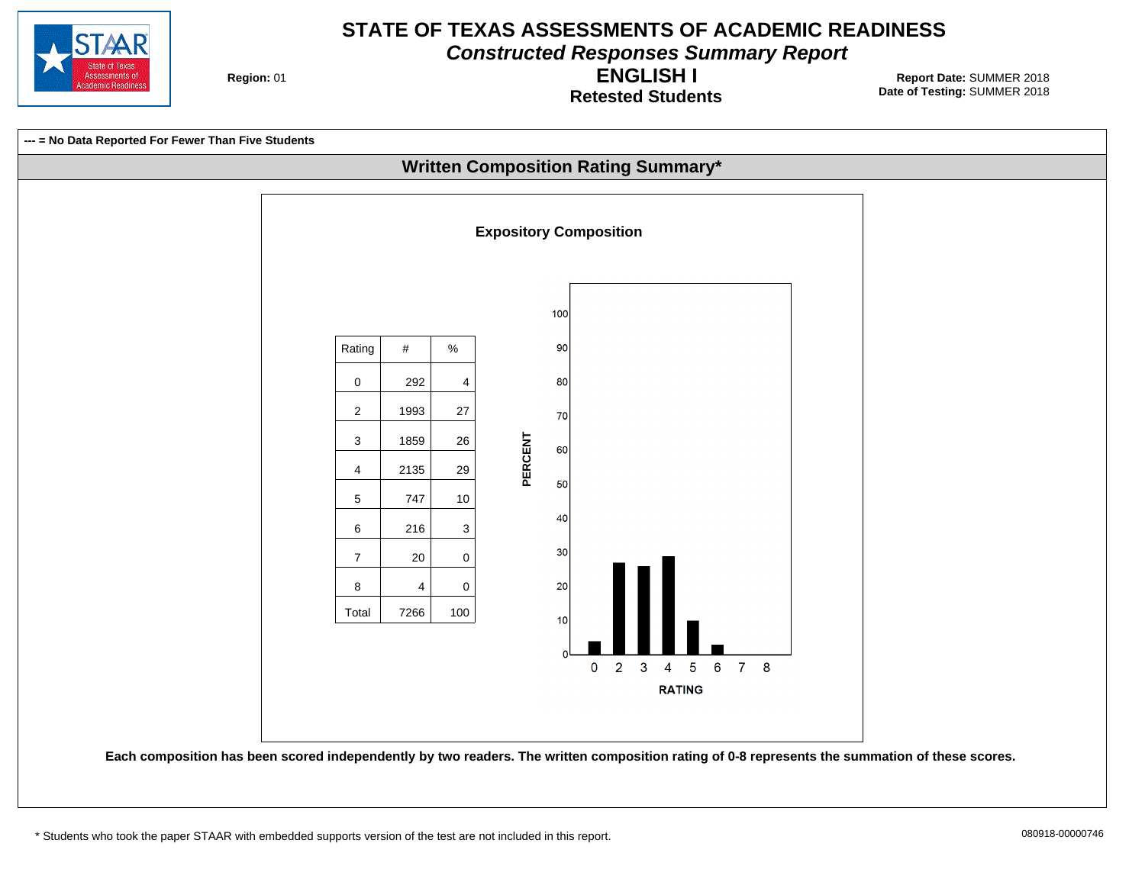

**Constructed Responses Summary Report**

**Region: 01** 

**Retested Students ENGLISH I**

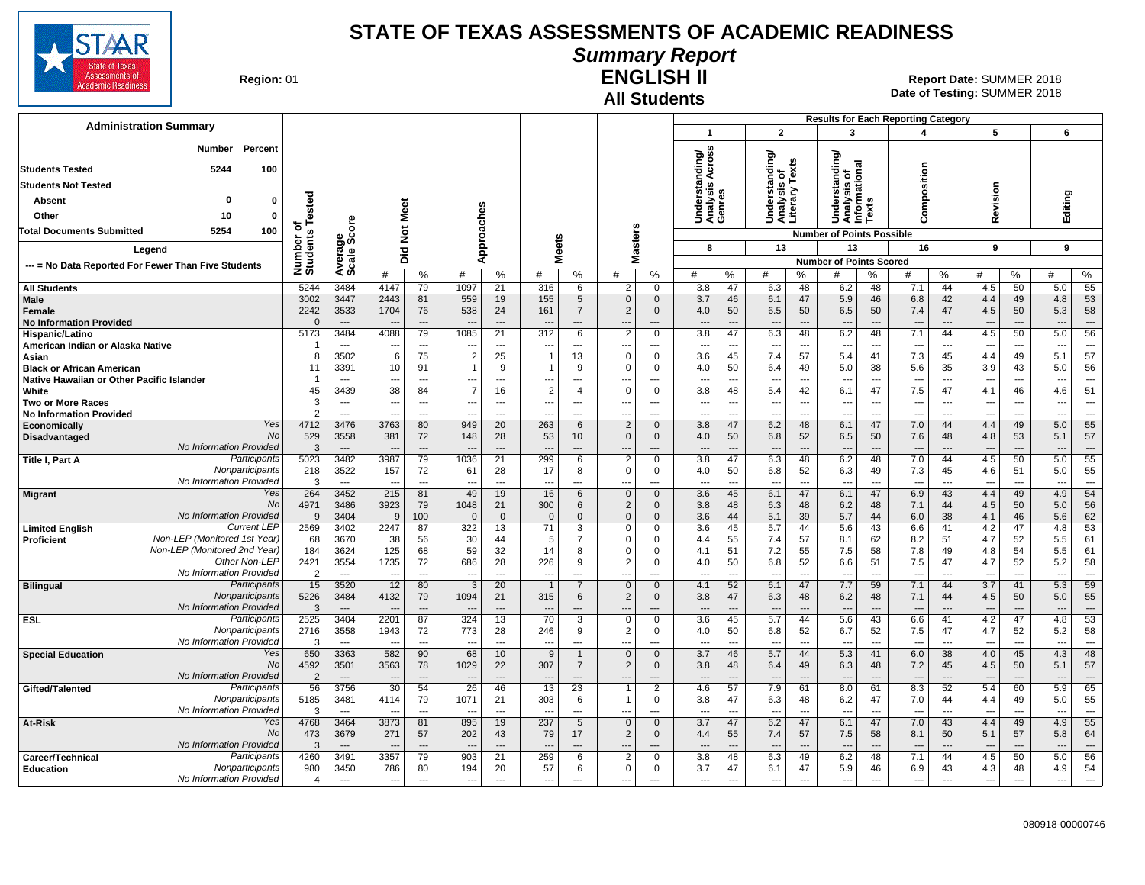

#### **Summary Report**

**Region: 01** 

# **All Students**

**ENGLISH II** 01 **Report Date:** SUMMER 2018 **Date of Testing:**  SUMMER 2018

|                                                                      |                        |                                  |                                  |                                |                                            |                                |                                 |                                  |                          |                             |                                     |                                |                                                |                                | <b>Results for Each Reporting Category</b>             |                                |                                 |                                |                                 |                          |                                 |                                |
|----------------------------------------------------------------------|------------------------|----------------------------------|----------------------------------|--------------------------------|--------------------------------------------|--------------------------------|---------------------------------|----------------------------------|--------------------------|-----------------------------|-------------------------------------|--------------------------------|------------------------------------------------|--------------------------------|--------------------------------------------------------|--------------------------------|---------------------------------|--------------------------------|---------------------------------|--------------------------|---------------------------------|--------------------------------|
| <b>Administration Summary</b>                                        |                        |                                  |                                  |                                |                                            |                                |                                 |                                  |                          |                             | $\overline{\mathbf{1}}$             |                                | $\overline{2}$                                 |                                | 3                                                      |                                | 4                               |                                | 5                               |                          | 6                               |                                |
| Percent<br><b>Number</b>                                             |                        |                                  |                                  |                                |                                            |                                |                                 |                                  |                          |                             | ding/<br>cross                      |                                | ding/                                          |                                | tanding/                                               |                                |                                 |                                |                                 |                          |                                 |                                |
| 5244<br>100<br><b>Students Tested</b>                                |                        |                                  |                                  |                                |                                            |                                |                                 |                                  |                          |                             |                                     |                                |                                                |                                |                                                        |                                |                                 |                                |                                 |                          |                                 |                                |
| <b>Students Not Tested</b>                                           |                        |                                  |                                  |                                |                                            |                                |                                 |                                  |                          |                             |                                     |                                |                                                |                                |                                                        |                                |                                 |                                |                                 |                          |                                 |                                |
| <b>Absent</b><br>0<br>0                                              |                        |                                  |                                  |                                |                                            |                                |                                 |                                  |                          |                             | Understanc<br>Analysis Ao<br>Genres |                                | Understanding<br>Analysis of<br>Literary Texts |                                | Understanding<br>Analysis of<br>Informational<br>Texts |                                | Composition                     |                                | Revision                        |                          | Editing                         |                                |
| Other<br>10<br>$\mathbf 0$                                           | Tested                 |                                  | Meet                             |                                |                                            | Approaches                     |                                 |                                  |                          |                             |                                     |                                |                                                |                                |                                                        |                                |                                 |                                |                                 |                          |                                 |                                |
| 5254<br>Total Documents Submitted<br>100                             | ৳                      | င်                               | $\breve{\mathbf{z}}$             |                                |                                            |                                |                                 |                                  |                          |                             |                                     |                                |                                                |                                | <b>Number of Points Possible</b>                       |                                |                                 |                                |                                 |                          |                                 |                                |
| Legend                                                               | Number of<br>Students  | క్టిట్                           |                                  |                                |                                            |                                | <b>Meets</b>                    |                                  |                          | Masters                     | 8                                   |                                | 13                                             |                                | 13                                                     |                                | 16                              |                                | 9                               |                          | 9                               |                                |
|                                                                      |                        | Average                          | Did                              |                                |                                            |                                |                                 |                                  |                          |                             |                                     |                                |                                                |                                | <b>Number of Points Scored</b>                         |                                |                                 |                                |                                 |                          |                                 |                                |
| --- = No Data Reported For Fewer Than Five Students                  |                        |                                  | #                                | %                              | #                                          | %                              | #                               | %                                | #                        | %                           | #                                   | $\%$                           | #                                              | %                              | #                                                      | %                              | #                               | %                              | #                               | $\%$                     | #                               | $\%$                           |
| <b>All Students</b>                                                  | 5244                   | 3484                             | 4147                             | 79                             | 1097                                       | 21                             | 316                             | 6                                | 2                        | $\mathbf 0$                 | 3.8                                 | 47                             | 6.3                                            | 48                             | 6.2                                                    | 48                             | 7.1                             | 44                             | 4.5                             | 50                       | 5.0                             | 55                             |
| Male                                                                 | 3002                   | 3447                             | 2443                             | 81                             | 559                                        | 19                             | 155                             | 5                                | $\mathbf{0}$             | $\mathbf{0}$                | 3.7                                 | 46                             | 6.1                                            | 47                             | 5.9                                                    | 46                             | 6.8                             | 42                             | 4.4                             | 49                       | 4.8                             | 53                             |
| Female                                                               | 2242                   | 3533<br>$---$                    | 1704                             | 76<br>$\overline{\phantom{a}}$ | 538                                        | 24<br>$\overline{\phantom{a}}$ | 161                             | $\overline{7}$<br>$\cdots$       | 2<br>---                 | $\mathbf{0}$<br>---         | 4.0<br>$\overline{\phantom{a}}$     | 50<br>$\overline{\phantom{a}}$ | 6.5<br>$\overline{\phantom{a}}$                | 50<br>$\overline{\phantom{a}}$ | 6.5<br>$\overline{\phantom{a}}$                        | 50<br>$\overline{\phantom{a}}$ | 7.4<br>$\overline{\phantom{a}}$ | 47<br>$\overline{\phantom{a}}$ | 4.5<br>$\overline{\phantom{a}}$ | 50                       | 5.3<br>---                      | 58<br>$\overline{\phantom{a}}$ |
| <b>No Information Provided</b><br>Hispanic/Latino                    | 5173                   | 3484                             | 4088                             | 79                             | 1085                                       | 21                             | 312                             | 6                                | $\overline{2}$           | 0                           | 3.8                                 | 47                             | 6.3                                            | 48                             | 6.2                                                    | 48                             | 7.1                             | 44                             | 4.5                             | 50                       | 5.0                             | 56                             |
| American Indian or Alaska Native                                     |                        | $\overline{\phantom{a}}$         | $\overline{\phantom{a}}$         | $\overline{\phantom{a}}$       | $\overline{\phantom{a}}$                   | ---                            | ---                             | $\overline{a}$                   | ---                      | ---                         | $\overline{\phantom{a}}$            | $\overline{\phantom{a}}$       | $\overline{\phantom{a}}$                       | $\overline{\phantom{a}}$       | $\overline{\phantom{a}}$                               | ---                            | $\overline{\phantom{a}}$        | ---                            | $\overline{\phantom{a}}$        | $\overline{\phantom{a}}$ | ---                             | ---                            |
| Asian                                                                | -8                     | 3502                             | 6                                | 75                             | $\overline{2}$                             | 25                             | $\mathbf 1$                     | 13                               | $\Omega$                 | $\mathbf 0$                 | 3.6                                 | 45                             | 7.4                                            | 57                             | 5.4                                                    | 41                             | 7.3                             | 45                             | 4.4                             | 49                       | 5.1                             | 57                             |
| <b>Black or African American</b>                                     | 11                     | 3391                             | 10                               | 91                             |                                            | 9                              | $\mathbf 1$                     | 9                                | $\Omega$                 | $\Omega$                    | 4.0                                 | 50                             | 6.4                                            | 49                             | 5.0                                                    | 38                             | 5.6                             | 35                             | 3.9                             | 43                       | 5.0                             | 56                             |
| Native Hawaiian or Other Pacific Islander                            |                        |                                  | $\overline{a}$                   | $---$                          | ---                                        | $\sim$                         |                                 | ---                              |                          | ---                         |                                     | $\sim$                         | $\overline{\phantom{a}}$                       | $\overline{a}$                 | ---                                                    | ---                            |                                 | $\sim$                         |                                 | $---$                    |                                 | $\overline{a}$                 |
| White<br><b>Two or More Races</b>                                    | 45<br>3                | 3439<br>$-$                      | 38<br>$\overline{\phantom{a}}$   | 84<br>---                      | $\overline{7}$<br>$\overline{\phantom{a}}$ | 16<br>$---$                    | $\overline{2}$<br>---           | $\overline{4}$<br>---            | $\Omega$<br>--           | 0<br>$\overline{a}$         | 3.8<br>--                           | 48<br>$\overline{\phantom{a}}$ | 5.4<br>$\overline{\phantom{a}}$                | 42<br>$\overline{\phantom{a}}$ | 6.1<br>---                                             | 47<br>$\overline{\phantom{a}}$ | 7.5<br>---                      | 47<br>$\overline{\phantom{a}}$ | 4.1<br>$\overline{\phantom{a}}$ | 46<br>$\sim$             | 4.6<br>$\overline{\phantom{a}}$ | 51<br>$\overline{\phantom{a}}$ |
| <b>No Information Provided</b>                                       |                        | $\overline{a}$                   | $\overline{\phantom{a}}$         | $\overline{\phantom{a}}$       | $\overline{a}$                             | $---$                          | $- - -$                         | ---                              | ---                      | ---                         | ---                                 | ---                            | $\overline{\phantom{a}}$                       | $\overline{\phantom{a}}$       | ---                                                    | $\overline{a}$                 | $\overline{\phantom{a}}$        | $---$                          | $\overline{\phantom{a}}$        | $\sim$                   | ---                             | $\overline{\phantom{a}}$       |
| Yes<br>Economically                                                  | 4712                   | 3476                             | 3763                             | 80                             | 949                                        | 20                             | 263                             | 6                                | 2                        | $\mathbf{0}$                | 3.8                                 | 47                             | 6.2                                            | 48                             | 6.1                                                    | 47                             | 7.0                             | 44                             | 4.4                             | 49                       | 5.0                             | 55                             |
| <b>No</b><br>Disadvantaged                                           | 529                    | 3558                             | 381                              | 72                             | 148                                        | 28                             | 53                              | 10                               | $\Omega$                 | $\mathbf{0}$                | 4.0                                 | 50                             | 6.8                                            | 52                             | 6.5                                                    | 50                             | 7.6                             | 48                             | 4.8                             | 53                       | 5.1                             | 57                             |
| No Information Provided<br>Participants                              | 3                      | $\overline{\phantom{a}}$<br>3482 | 3987                             | $---$<br>79                    | 1036                                       |                                | 299                             | ---                              | $\overline{2}$           |                             | 3.8                                 | ---                            |                                                | $\overline{a}$                 | 6.2                                                    | $\overline{a}$<br>48           | 7.0                             | $\overline{a}$<br>44           | 4.5                             | 50                       |                                 | $\overline{a}$<br>55           |
| Title I, Part A<br>Nonparticipants                                   | 5023<br>218            | 3522                             | 157                              | 72                             | 61                                         | 21<br>28                       | 17                              | 6<br>8                           | $\mathbf 0$              | 0<br>$\mathbf 0$            | 4.0                                 | 47<br>50                       | 6.3<br>6.8                                     | 48<br>52                       | 6.3                                                    | 49                             | 7.3                             | 45                             | 4.6                             | 51                       | 5.0<br>5.0                      | 55                             |
| No Information Provided                                              |                        | $- - -$                          | $\overline{\phantom{a}}$         | $---$                          | $\sim$                                     | $---$                          | ---                             | $---$                            | ---                      | ---                         | $- - -$                             | $\sim$                         | $\overline{\phantom{a}}$                       | $---$                          | ---                                                    | $---$                          | $\overline{\phantom{a}}$        | $\overline{\phantom{a}}$       | $\sim$                          | $\sim$                   | $\sim$                          | $\cdots$                       |
| Yes<br><b>Migrant</b>                                                | 264                    | 3452                             | 215                              | 81                             | 49                                         | 19                             | 16                              | 6                                | $\mathbf{0}$             | $\mathbf 0$                 | 3.6                                 | 45                             | 6.1                                            | 47                             | 6.1                                                    | 47                             | 6.9                             | 43                             | 4.4                             | 49                       | 4.9                             | 54                             |
| <b>No</b>                                                            | 4971                   | 3486                             | 3923                             | 79                             | 1048                                       | 21                             | 300                             | 6                                | $\overline{2}$           | $\mathbf 0$                 | 3.8                                 | 48                             | 6.3                                            | 48                             | 6.2                                                    | 48                             | 7.1                             | 44                             | 4.5                             | 50                       | 5.0                             | 56                             |
| No Information Provided<br><b>Current LEP</b>                        | 9<br>2569              | 3404<br>3402                     | 9<br>2247                        | 100<br>87                      | $\Omega$<br>322                            | $\overline{0}$<br>13           | $\overline{0}$<br>71            | $\Omega$<br>3                    | $\mathbf{0}$<br>$\Omega$ | $\mathbf{0}$<br>$\mathbf 0$ | 3.6<br>3.6                          | 44<br>45                       | 5.1<br>5.7                                     | 39<br>44                       | 5.7<br>5.6                                             | 44<br>43                       | 6.0<br>6.6                      | 38<br>41                       | 4.1<br>4.2                      | 46<br>47                 | 5.6<br>4.8                      | 62<br>53                       |
| <b>Limited English</b><br>Non-LEP (Monitored 1st Year)<br>Proficient | 68                     | 3670                             | 38                               | 56                             | 30                                         | 44                             | 5                               | $\overline{7}$                   | $\Omega$                 | 0                           | 4.4                                 | 55                             | 7.4                                            | 57                             | 8.1                                                    | 62                             | 8.2                             | 51                             | 4.7                             | 52                       | 5.5                             | 61                             |
| Non-LEP (Monitored 2nd Year)                                         | 184                    | 3624                             | 125                              | 68                             | 59                                         | 32                             | 14                              | 8                                | $\Omega$                 | $\Omega$                    | 4.1                                 | 51                             | 7.2                                            | 55                             | 7.5                                                    | 58                             | 7.8                             | 49                             | 4.8                             | 54                       | 5.5                             | 61                             |
| Other Non-LEP                                                        | 2421                   | 3554                             | 1735                             | 72                             | 686                                        | 28                             | 226                             | 9                                | $\overline{2}$           | $\mathbf 0$                 | 4.0                                 | 50                             | 6.8                                            | 52                             | 6.6                                                    | 51                             | 7.5                             | 47                             | 4.7                             | 52                       | 5.2                             | 58                             |
| No Information Provided                                              |                        | $\sim$                           |                                  | $---$                          | $\sim$                                     | $\overline{a}$                 |                                 | ---                              | --                       | ---                         | $\overline{\phantom{a}}$            | ---                            | $\overline{\phantom{a}}$                       | $\overline{\phantom{a}}$       | ---                                                    | ---                            | ---                             | $\overline{\phantom{a}}$       |                                 | ---                      | ---                             | $\cdots$                       |
| <b>Bilingual</b><br>Participants                                     | 15                     | 3520                             | 12                               | 80                             | -3                                         | 20                             |                                 | $\overline{7}$                   | $\mathbf{0}$             | $\mathbf 0$                 | 4.1                                 | 52                             | 6.1                                            | 47                             | 7.7                                                    | 59                             | 7.1                             | 44                             | 3.7                             | 41                       | 5.3                             | 59                             |
| Nonparticipants<br>No Information Provided                           | 5226<br>$\mathcal{R}$  | 3484                             | 4132                             | 79<br>$-$                      | 1094                                       | 21                             | 315                             | 6                                | $\overline{2}$           | $\mathbf 0$<br>---          | 3.8                                 | 47<br>$\sim$                   | 6.3                                            | 48<br>$\overline{a}$           | 6.2                                                    | 48                             | 7.1                             | 44                             | 4.5                             | 50                       | 5.0<br>$\overline{\phantom{a}}$ | 55<br>$\overline{\phantom{a}}$ |
| Participants<br><b>ESL</b>                                           | 2525                   | 3404                             | 2201                             | 87                             | 324                                        | 13                             | 70                              | 3                                | $\mathbf 0$              | $\mathbf 0$                 | 3.6                                 | 45                             | 5.7                                            | 44                             | 5.6                                                    | 43                             | 6.6                             | 41                             | 4.2                             | 47                       | 4.8                             | 53                             |
| Nonparticipants                                                      | 2716                   | 3558                             | 1943                             | 72                             | 773                                        | 28                             | 246                             | 9                                | $\overline{2}$           | 0                           | 4.0                                 | 50                             | 6.8                                            | 52                             | 6.7                                                    | 52                             | 7.5                             | 47                             | 4.7                             | 52                       | 5.2                             | 58                             |
| No Information Provided                                              | 3                      | $\overline{\phantom{a}}$         | $\overline{\phantom{a}}$         | $\scriptstyle\cdots$           | $\overline{\phantom{a}}$                   | $\overline{a}$                 | ---                             | ---                              | ---                      | ---                         | $\overline{a}$                      | ---                            | $\overline{\phantom{a}}$                       | $\overline{a}$                 | ---                                                    | ---                            | $\overline{a}$                  | $\overline{a}$                 | $\overline{\phantom{a}}$        | $\overline{\phantom{a}}$ | ---                             | $\hspace{0.05cm} \ldots$       |
| Yes<br><b>Special Education</b><br>No                                | 650                    | 3363                             | 582                              | 90                             | 68                                         | 10                             | 9                               |                                  | $\mathbf{0}$             | $\mathbf{0}$                | 3.7                                 | 46                             | 5.7                                            | 44                             | 5.3                                                    | 41                             | 6.0                             | 38                             | 4.0                             | 45                       | 4.3                             | 48                             |
| No Information Provided                                              | 4592<br>$\overline{2}$ | 3501<br>$\overline{\phantom{a}}$ | 3563<br>$\overline{\phantom{a}}$ | 78<br>$\overline{\phantom{a}}$ | 1029                                       | 22                             | 307<br>$\overline{\phantom{a}}$ | $\overline{7}$<br>$\overline{a}$ | $\overline{2}$<br>---    | $\mathbf 0$<br>---          | 3.8<br>$\overline{a}$               | 48                             | 6.4<br>$\overline{\phantom{a}}$                | 49<br>$\overline{a}$           | 6.3<br>$\overline{\phantom{a}}$                        | 48                             | 7.2<br>$\overline{\phantom{a}}$ | 45                             | 4.5<br>$\overline{\phantom{a}}$ | 50                       | 5.1<br>---                      | 57<br>---                      |
| Participants<br>Gifted/Talented                                      | 56                     | 3756                             | 30                               | 54                             | 26                                         | 46                             | 13                              | 23                               |                          | $\overline{2}$              | 4.6                                 | 57                             | 7.9                                            | 61                             | 8.0                                                    | 61                             | 8.3                             | 52                             | 5.4                             | 60                       | 5.9                             | 65                             |
| Nonparticipants                                                      | 5185                   | 3481                             | 4114                             | 79                             | 1071                                       | 21                             | 303                             | 6                                | $\mathbf 1$              | $\mathbf 0$                 | 3.8                                 | 47                             | 6.3                                            | 48                             | 6.2                                                    | 47                             | 7.0                             | 44                             | 4.4                             | 49                       | 5.0                             | 55                             |
| No Information Provided                                              | 3                      | $\sim$                           |                                  | $\overline{a}$                 |                                            | $\overline{\phantom{a}}$       | ---                             | $\overline{a}$                   | $\overline{\phantom{a}}$ | ---                         | ---                                 | $\overline{a}$                 | $\overline{\phantom{a}}$                       | $\overline{a}$                 | $\overline{a}$                                         | ---                            | ---                             | $\overline{\phantom{a}}$       | $\overline{\phantom{a}}$        | ---                      |                                 | $\overline{a}$                 |
| Yes<br>At-Risk                                                       | 4768                   | 3464                             | 3873                             | 81                             | 895                                        | 19                             | 237                             | 5                                | $\mathbf{0}$             | $\mathbf{0}$                | $\overline{3.7}$                    | 47                             | 6.2                                            | 47                             | 6.1                                                    | 47                             | 7.0                             | 43                             | 4.4                             | 49                       | 4.9                             | 55                             |
| No<br>No Information Provided                                        | 473<br>3               | 3679                             | 271                              | 57<br>$\overline{\phantom{a}}$ | 202                                        | 43                             | 79                              | 17                               | $\overline{2}$<br>---    | $\mathbf{0}$                | 4.4                                 | 55                             | 7.4<br>$\overline{\phantom{a}}$                | 57<br>$\overline{a}$           | 7.5                                                    | 58                             | 8.1                             | 50                             | 5.1                             | 57                       | 5.8<br>---                      | 64<br>$---$                    |
| Participants<br>Career/Technical                                     | 4260                   | 3491                             | 3357                             | 79                             | 903                                        | 21                             | 259                             | 6                                | $\overline{2}$           | 0                           | 3.8                                 | 48                             | 6.3                                            | 49                             | 6.2                                                    | 48                             | 7.1                             | 44                             | 4.5                             | 50                       | 5.0                             | 56                             |
| <b>Education</b><br>Nonparticipants                                  | 980                    | 3450                             | 786                              | 80                             | 194                                        | 20                             | 57                              | 6                                | $\Omega$                 | 0                           | 3.7                                 | 47                             | 6.1                                            | 47                             | 5.9                                                    | 46                             | 6.9                             | 43                             | 4.3                             | 48                       | 4.9                             | 54                             |
| No Information Provided                                              | $\overline{4}$         | $\overline{\phantom{a}}$         | $\overline{\phantom{a}}$         | $\overline{\phantom{a}}$       | $\overline{a}$                             | $\overline{a}$                 | ---                             | ---                              | ---                      | ---                         | $\overline{a}$                      | $\overline{a}$                 | $\overline{\phantom{a}}$                       | $\overline{a}$                 | $\overline{\phantom{a}}$                               | $\overline{a}$                 | ---                             | $\overline{\phantom{a}}$       | $\sim$                          | $\overline{\phantom{a}}$ | $\overline{a}$                  | ---                            |
|                                                                      |                        |                                  |                                  |                                |                                            |                                |                                 |                                  |                          |                             |                                     |                                |                                                |                                |                                                        |                                |                                 |                                |                                 |                          |                                 |                                |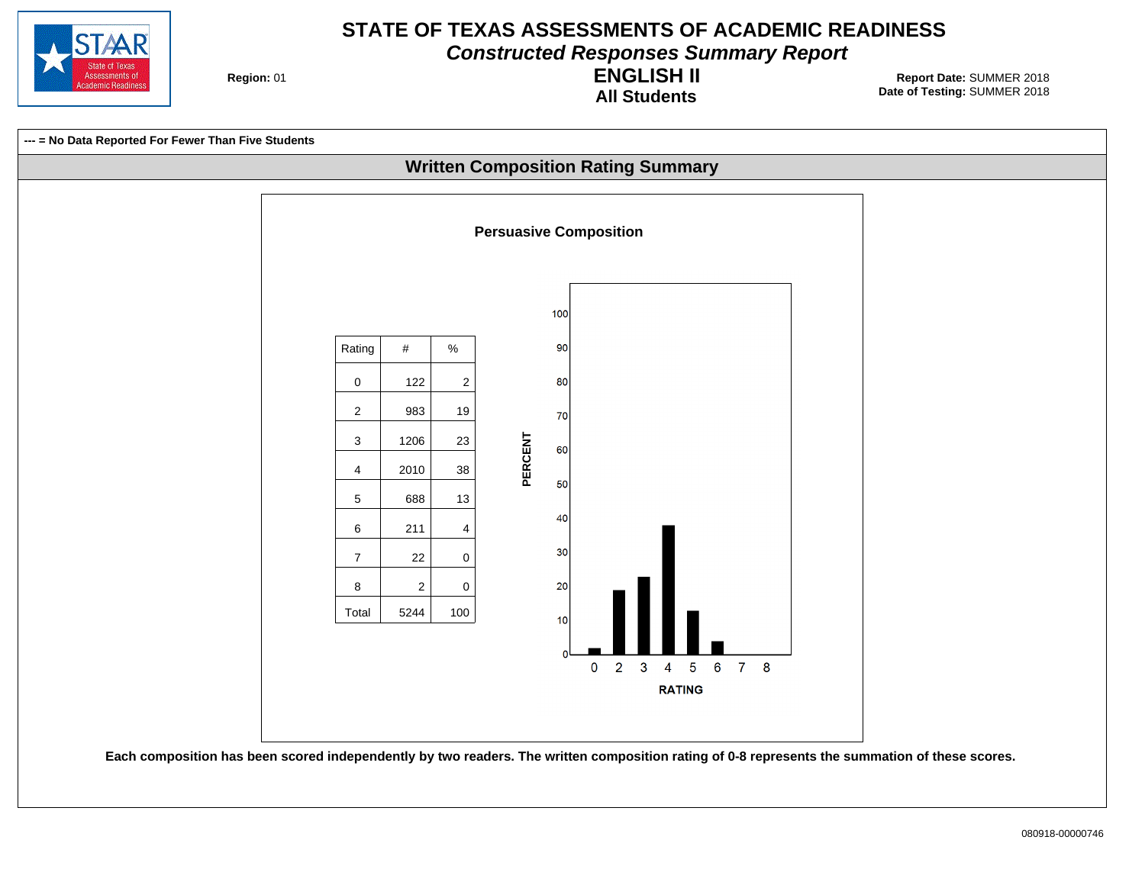

**Constructed Responses Summary Report**

**Region: 01** 

**All Students ENGLISH II**

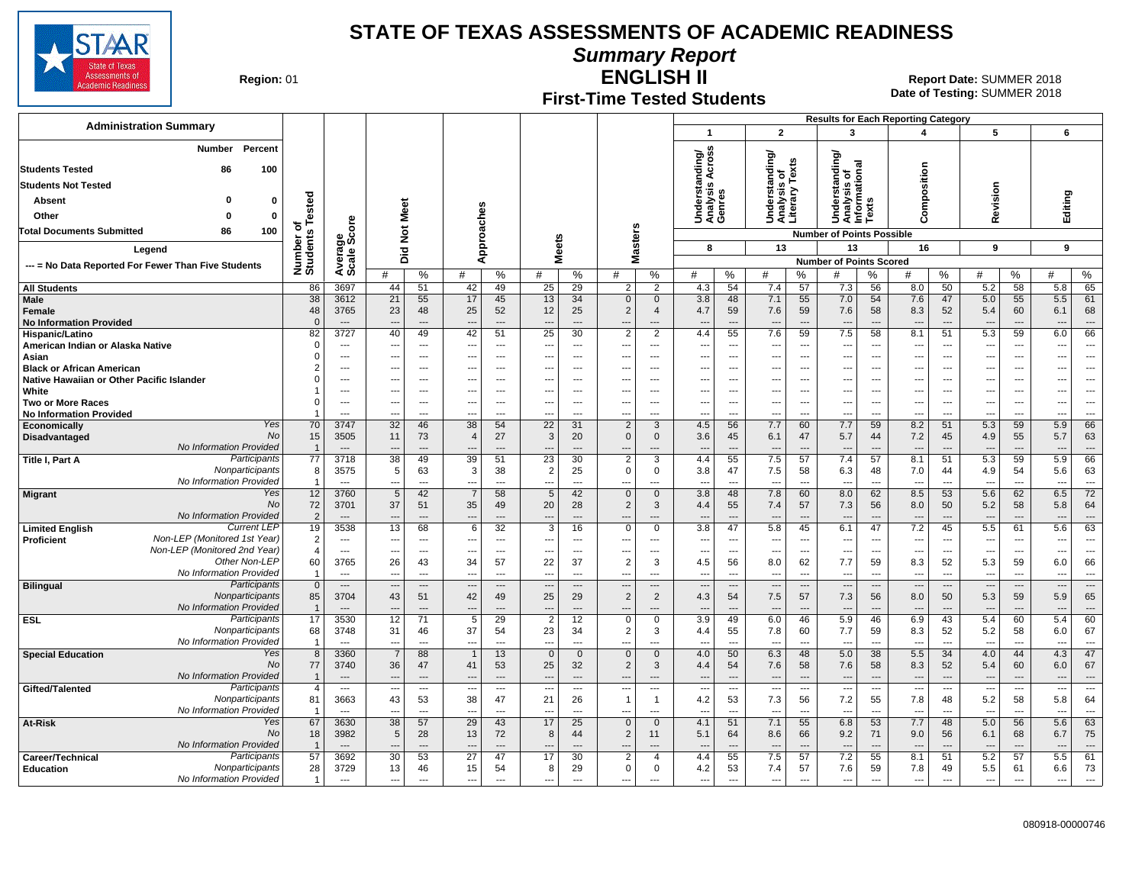

**Summary Report**

**Region: 01** 

## **First-Time Tested Students**

**ENGLISH II** 01 **Report Date:** SUMMER 2018 **Date of Testing:**  SUMMER 2018

| <b>Administration Summary</b>                              |                      |                                  |                      |                                            |                                  |                      |                                |                                       |                                |                                 | $\overline{\mathbf{1}}$             |                                | $\mathbf{2}$                                    |                                                      | 3                                                    |                                 | <b>Results for Each Reporting Category</b><br>4 |                                 | 5                               |                      | 6                               |                                  |
|------------------------------------------------------------|----------------------|----------------------------------|----------------------|--------------------------------------------|----------------------------------|----------------------|--------------------------------|---------------------------------------|--------------------------------|---------------------------------|-------------------------------------|--------------------------------|-------------------------------------------------|------------------------------------------------------|------------------------------------------------------|---------------------------------|-------------------------------------------------|---------------------------------|---------------------------------|----------------------|---------------------------------|----------------------------------|
|                                                            |                      |                                  |                      |                                            |                                  |                      |                                |                                       |                                |                                 |                                     |                                |                                                 |                                                      |                                                      |                                 |                                                 |                                 |                                 |                      |                                 |                                  |
| Number<br>Percent                                          |                      |                                  |                      |                                            |                                  |                      |                                |                                       |                                |                                 | Across                              |                                |                                                 |                                                      |                                                      |                                 |                                                 |                                 |                                 |                      |                                 |                                  |
| <b>Students Tested</b><br>86<br>100                        |                      |                                  |                      |                                            |                                  |                      |                                |                                       |                                |                                 | ding/                               |                                |                                                 |                                                      | tanding/<br>त्त्व                                    |                                 |                                                 |                                 |                                 |                      |                                 |                                  |
| <b>Students Not Tested</b>                                 |                      |                                  |                      |                                            |                                  |                      |                                |                                       |                                |                                 |                                     |                                | is or<br>'' Texts                               |                                                      | ٠ō<br>ō                                              |                                 |                                                 |                                 |                                 |                      |                                 |                                  |
| Absent<br>0<br>0                                           |                      |                                  |                      |                                            |                                  |                      |                                |                                       |                                |                                 | Understanc<br>Analysis Ao<br>Genres |                                | Understanding/<br>Analysis of<br>Literary Texts |                                                      | Understar<br>Analysis c<br>Informatic                |                                 | Composition                                     |                                 | Revision                        |                      | Editing                         |                                  |
| Other<br>$\mathbf{0}$<br>$\mathbf 0$                       | Tested               |                                  | Meet                 |                                            |                                  |                      |                                |                                       |                                |                                 |                                     |                                |                                                 |                                                      |                                                      | <b>Texts</b>                    |                                                 |                                 |                                 |                      |                                 |                                  |
| 100<br><b>Total Documents Submitted</b><br>86              | ৳                    | ge<br>Score                      |                      |                                            | Approaches                       |                      |                                |                                       |                                |                                 |                                     |                                |                                                 |                                                      |                                                      |                                 |                                                 |                                 |                                 |                      |                                 |                                  |
|                                                            |                      |                                  | $\frac{5}{2}$        |                                            |                                  |                      | <b>Meets</b>                   |                                       | <b>Masters</b>                 |                                 |                                     |                                |                                                 |                                                      | <b>Number of Points Possible</b>                     |                                 |                                                 |                                 |                                 |                      |                                 |                                  |
| Legend                                                     |                      |                                  | Did                  |                                            |                                  |                      |                                |                                       |                                |                                 | 8                                   |                                | 13                                              |                                                      | 13<br><b>Number of Points Scored</b>                 |                                 | 16                                              |                                 | 9                               |                      | 9                               |                                  |
| --- = No Data Reported For Fewer Than Five Students        | Number o<br>Students | Avera<br>Scale                   | #                    | %                                          | #                                | %                    | #                              | %                                     | #                              | %                               | #                                   | %                              | #                                               | %                                                    | #                                                    | %                               | #                                               | %                               | #                               | %                    | #                               | $\%$                             |
| <b>All Students</b>                                        | 86                   | 3697                             | 44                   | 51                                         | 42                               | 49                   | 25                             | 29                                    | 2                              | $\overline{2}$                  | 4.3                                 | 54                             | 7.4                                             | 57                                                   | 7.3                                                  | 56                              | 8.0                                             | 50                              | 5.2                             | 58                   | 5.8                             | 65                               |
| Male                                                       | 38                   | 3612                             | 21                   | 55                                         | 17                               | 45                   | 13                             | 34                                    | $\mathbf{0}$                   | $\mathbf 0$                     | 3.8                                 | 48                             | 7.1                                             | 55                                                   | 7.0                                                  | 54                              | 7.6                                             | 47                              | 5.0                             | 55                   | 5.5                             | 61                               |
| Female                                                     | 48                   | 3765                             | 23                   | 48                                         | 25                               | 52                   | 12                             | 25                                    | $\overline{2}$                 | 4                               | 4.7                                 | 59                             | 7.6                                             | 59                                                   | 7.6                                                  | 58                              | 8.3                                             | 52                              | 5.4                             | 60                   | 6.1                             | 68                               |
| <b>No Information Provided</b>                             | $\Omega$<br>82       | $\sim$<br>3727                   | ---<br>40            | $\overline{a}$<br>49                       | ---<br>42                        | $\overline{a}$<br>51 | ---<br>25                      | $\sim$<br>30                          | $\overline{2}$                 | ---<br>$\overline{2}$           | ---                                 | $\overline{\phantom{a}}$<br>55 | $\overline{\phantom{a}}$<br>7.6                 | $\overline{a}$<br>59                                 | ---<br>7.5                                           | $\overline{a}$<br>58            | $\overline{\phantom{a}}$<br>8.1                 | $\overline{\phantom{a}}$<br>51  | $\overline{\phantom{a}}$<br>5.3 | $\overline{a}$<br>59 | $\overline{\phantom{a}}$<br>6.0 | $\overline{a}$<br>66             |
| <b>Hispanic/Latino</b><br>American Indian or Alaska Native | $\mathbf 0$          | ---                              | ⊷                    | $\overline{\phantom{a}}$                   | ---                              | ---                  | ---                            | $\overline{\phantom{a}}$              | --                             | ---                             | 4.4<br>---                          | $\overline{\phantom{a}}$       | $\overline{\phantom{a}}$                        | $\overline{\phantom{a}}$                             | ---                                                  | ---                             | $\overline{\phantom{a}}$                        | $\overline{\phantom{a}}$        | $\overline{\phantom{a}}$        | ---                  | ---                             | $\overline{a}$                   |
| Asian                                                      | $\mathbf 0$          | $\overline{\phantom{a}}$         | ---                  | $\overline{\phantom{a}}$                   | $\overline{\phantom{a}}$         | $\overline{a}$       | ---                            | $\overline{\phantom{a}}$              | $\overline{\phantom{a}}$       | ---                             | ---                                 | $\overline{\phantom{a}}$       | ---                                             | $\overline{\phantom{a}}$                             | $\overline{\phantom{a}}$                             | $\overline{\phantom{a}}$        | $\overline{\phantom{a}}$                        | ---                             | $\overline{\phantom{a}}$        | ---                  | ---                             | $\overline{a}$                   |
| <b>Black or African American</b>                           | $\overline{2}$       | ---                              | ---                  | $\overline{\phantom{a}}$                   | ---                              | ---                  |                                |                                       | --                             | ---                             | ---                                 |                                | ---                                             | ---                                                  | ---                                                  |                                 | ---                                             | ---                             | ---                             |                      | ---                             | $\overline{\phantom{a}}$         |
| Native Hawaiian or Other Pacific Islander                  | $\Omega$             | ---                              | ---                  | ---                                        | $\overline{\phantom{a}}$         | ---                  | ---                            | $\ddotsc$                             | ---                            | $\overline{\phantom{a}}$        | ---                                 | ---                            | ---                                             | $\overline{a}$                                       | $\overline{\phantom{a}}$                             | ---                             | $\cdots$                                        | $\overline{\phantom{a}}$        | $\overline{\phantom{a}}$        | ---                  | ---                             | $\overline{a}$                   |
| White<br><b>Two or More Races</b>                          | $\mathbf 0$          | ---<br>---                       | ---<br>---           | $\overline{a}$<br>$\overline{\phantom{a}}$ | ---<br>$\overline{\phantom{a}}$  | ---<br>---           | ---<br>---                     | $\ddotsc$<br>$\overline{\phantom{a}}$ | ---<br>---                     | ---<br>$\overline{\phantom{a}}$ | ---<br>---                          | ---<br>---                     | ---<br>---                                      | $\overline{\phantom{a}}$<br>$\overline{\phantom{a}}$ | $\overline{\phantom{a}}$<br>$\overline{\phantom{a}}$ | ---<br>$\overline{\phantom{a}}$ | $\overline{\phantom{a}}$<br>$\cdots$            | $\overline{\phantom{a}}$<br>--- | ---<br>---                      | ---<br>---           | ---<br>---                      | $\overline{a}$<br>$\overline{a}$ |
| <b>No Information Provided</b>                             |                      | ---                              | ---                  | ---                                        | $\overline{a}$                   | $\overline{a}$       | ---                            | $\overline{\phantom{a}}$              | ---                            | ---                             | ---                                 | -−-                            | ---                                             | ---                                                  | $\overline{\phantom{a}}$                             | $\overline{a}$                  | ---                                             | $\overline{\phantom{a}}$        | $\overline{a}$                  | $\overline{a}$       | ---                             | $\overline{a}$                   |
| Yes<br>Economically                                        | 70                   | 3747                             | 32                   | 46                                         | 38                               | 54                   | $\overline{22}$                | 31                                    | $\overline{2}$                 | 3                               | 4.5                                 | 56                             | 7.7                                             | 60                                                   | 7.7                                                  | 59                              | 8.2                                             | 51                              | 5.3                             | 59                   | 5.9                             | 66                               |
| No<br>Disadvantaged<br>No Information Provided             | 15<br>$\overline{1}$ | 3505<br>$\overline{\phantom{a}}$ | 11                   | 73                                         | $\overline{4}$<br>$\overline{a}$ | 27<br>$\overline{a}$ | 3                              | 20                                    | $\mathbf{0}$                   | $\mathbf 0$<br>---              | 3.6                                 | 45<br>$\overline{\phantom{a}}$ | 6.1<br>$\overline{\phantom{a}}$                 | 47<br>$\overline{\phantom{a}}$                       | 5.7                                                  | 44<br>$\overline{\phantom{a}}$  | 7.2                                             | 45<br>$\overline{\phantom{a}}$  | 4.9<br>$\overline{\phantom{a}}$ | 55<br>$\overline{a}$ | 5.7<br>$\overline{\phantom{a}}$ | 63                               |
| Participants<br>Title I, Part A                            | $\overline{77}$      | 3718                             | 38                   | 49                                         | 39                               | 51                   | 23                             | 30                                    | $\overline{2}$                 | $\overline{3}$                  | 4.4                                 | 55                             | 7.5                                             | 57                                                   | 7.4                                                  | 57                              | 8.1                                             | 51                              | 5.3                             | 59                   | 5.9                             | 66                               |
| Nonparticipants                                            | 8                    | 3575                             | 5                    | 63                                         | 3                                | 38                   | $\overline{2}$                 | 25                                    | $\Omega$                       | 0                               | 3.8                                 | 47                             | 7.5                                             | 58                                                   | 6.3                                                  | 48                              | 7.0                                             | 44                              | 4.9                             | 54                   | 5.6                             | 63                               |
| No Information Provided                                    |                      | $\sim$                           | ---                  | $\overline{a}$                             | $\overline{a}$                   | $\overline{a}$       | ---                            | $\overline{a}$                        | ---                            | ---                             | $\overline{a}$                      | ---                            | $\overline{\phantom{a}}$                        | $\overline{a}$                                       | $\overline{a}$                                       | $\sim$                          | $\overline{a}$                                  | $\overline{\phantom{a}}$        | $\overline{a}$                  | $\overline{a}$       | $\overline{\phantom{a}}$        | $---$                            |
| Yes<br><b>Migrant</b><br>No                                | 12<br>72             | 3760                             | 5<br>37              | 42<br>51                                   | $\overline{7}$<br>35             | 58                   | $\sqrt{5}$                     | 42<br>28                              | $\mathbf 0$<br>$\overline{2}$  | $\mathbf 0$                     | 3.8                                 | 48<br>55                       | 7.8                                             | 60                                                   | 8.0<br>7.3                                           | 62<br>56                        | 8.5<br>8.0                                      | 53                              | 5.6<br>5.2                      | 62<br>58             | 6.5<br>5.8                      | 72<br>64                         |
| No Information Provided                                    | $\overline{2}$       | 3701<br>$\overline{\phantom{a}}$ | ---                  | $\overline{a}$                             | $\overline{\phantom{a}}$         | 49<br>$\overline{a}$ | 20<br>$\overline{\phantom{a}}$ | $---$                                 | $\overline{\phantom{a}}$       | 3<br>$\overline{a}$             | 4.4<br>$\overline{a}$               | $\overline{a}$                 | 7.4<br>$\overline{\phantom{a}}$                 | 57<br>$\overline{a}$                                 | $\overline{\phantom{a}}$                             | $\overline{\phantom{a}}$        | $\overline{a}$                                  | 50<br>$\overline{\phantom{a}}$  | $\overline{\phantom{a}}$        | $\overline{a}$       | $\overline{\phantom{a}}$        | $---$                            |
| <b>Current LEP</b><br><b>Limited English</b>               | 19                   | 3538                             | 13                   | 68                                         | 6                                | 32                   | 3                              | 16                                    | $\mathbf 0$                    | $\mathbf 0$                     | 3.8                                 | 47                             | 5.8                                             | 45                                                   | 6.1                                                  | 47                              | 7.2                                             | 45                              | 5.5                             | 61                   | 5.6                             | 63                               |
| Non-LEP (Monitored 1st Year)<br>Proficient                 | $\overline{c}$       | $\overline{a}$                   | ---                  | $-$                                        | $---$                            | $---$                | $- - -$                        | $---$                                 | $\overline{\phantom{a}}$       | ---                             | $\overline{\phantom{a}}$            | ---                            | $\overline{\phantom{a}}$                        | $\sim$                                               | $\overline{a}$                                       | $\sim$                          | $\overline{\phantom{a}}$                        | $\sim$                          | $\overline{\phantom{a}}$        | $\overline{a}$       | ---                             | $---$                            |
| Non-LEP (Monitored 2nd Year)<br>Other Non-LEP              | $\overline{4}$<br>60 | $-$<br>3765                      | $\overline{a}$<br>26 | $\overline{a}$<br>43                       | $---$<br>34                      | $---$<br>57          | $\sim$<br>22                   | $---$<br>37                           | ---<br>$\overline{2}$          | $---$<br>3                      | $\sim$<br>4.5                       | $\sim$<br>56                   | $\overline{\phantom{a}}$<br>8.0                 | $\overline{a}$<br>62                                 | $\overline{\phantom{a}}$<br>7.7                      | $\sim$<br>59                    | $---$<br>8.3                                    | $\overline{a}$<br>52            | $\overline{a}$<br>5.3           | $---$<br>59          | $---$<br>6.0                    | $---$<br>66                      |
| No Information Provided                                    | -1                   | $\overline{\phantom{a}}$         | ---                  | ---                                        | ---                              | $---$                | $\overline{\phantom{a}}$       | $\overline{a}$                        | ---                            | ---                             | $\overline{\phantom{a}}$            | $\overline{\phantom{a}}$       | $\overline{\phantom{a}}$                        | $\overline{\phantom{a}}$                             | $\overline{\phantom{a}}$                             | $\overline{\phantom{a}}$        | $\overline{\phantom{a}}$                        | $\overline{\phantom{a}}$        | ---                             | ---                  | ---                             | $---$                            |
| Participants<br><b>Bilingual</b>                           | $\overline{0}$       | ---                              |                      | ---                                        | $\overline{\phantom{a}}$         | $\overline{a}$       |                                |                                       |                                | ---                             |                                     |                                | $\overline{\phantom{a}}$                        | $\overline{\phantom{a}}$                             | $\overline{\phantom{a}}$                             | ---                             | $\overline{\phantom{a}}$                        | $\cdots$                        | ---                             |                      | $\overline{\phantom{a}}$        | $\overline{\phantom{a}}$         |
| Nonparticipants                                            | 85                   | 3704                             | 43                   | 51                                         | 42                               | 49                   | 25                             | 29                                    | $\overline{2}$                 | 2                               | 4.3                                 | 54                             | 7.5                                             | 57                                                   | 7.3                                                  | 56                              | 8.0                                             | 50                              | 5.3                             | 59                   | 5.9                             | 65                               |
| No Information Provided<br>Participants<br>ESL             | 17                   | 3530                             | ---<br>12            | $\overline{a}$<br>71                       | ---<br>5                         | $\overline{a}$<br>29 | $\overline{2}$                 | 12                                    | $\mathbf 0$                    | ---<br>0                        | 3.9                                 | 49                             | 6.0                                             | 46                                                   | 5.9                                                  | 46                              | $\overline{\phantom{a}}$<br>6.9                 | $\overline{\phantom{a}}$<br>43  | $\overline{\phantom{a}}$<br>5.4 | 60                   | $\overline{\phantom{a}}$<br>5.4 | $---$<br>60                      |
| Nonparticipants                                            | 68                   | 3748                             | 31                   | 46                                         | 37                               | 54                   | 23                             | 34                                    | $\overline{2}$                 | 3                               | 4.4                                 | 55                             | 7.8                                             | 60                                                   | 7.7                                                  | 59                              | 8.3                                             | 52                              | 5.2                             | 58                   | 6.0                             | 67                               |
| No Information Provided                                    | -1                   | $\overline{\phantom{a}}$         | ---                  | ---                                        | ---                              | $---$                | ---                            | $---$                                 | ---                            | ---                             | ---                                 | ---                            | $\overline{\phantom{a}}$                        | $\overline{a}$                                       | $\overline{\phantom{a}}$                             | $\overline{a}$                  | $\overline{\phantom{a}}$                        | ---                             | ---                             | ---                  | $\hspace{0.05cm} \ldots$        | $---$                            |
| Yes<br><b>Special Education</b>                            | 8                    | 3360                             | $\overline{7}$       | 88                                         |                                  | 13                   | $\mathbf{0}$                   | $\overline{0}$                        | $\overline{0}$                 | $\overline{0}$                  | 4.0                                 | 50                             | 6.3                                             | 48                                                   | 5.0                                                  | 38                              | 5.5                                             | 34                              | 4.0                             | 44                   | 4.3                             | 47                               |
| <b>No</b><br>No Information Provided                       | 77<br>-1             | 3740<br>---                      | 36<br>---            | 47<br>$---$                                | 41                               | 53<br>$\overline{a}$ | 25                             | 32                                    | $\overline{2}$<br>---          | 3<br>---                        | 4.4<br>---                          | 54<br>$\overline{a}$           | 7.6<br>$\overline{\phantom{a}}$                 | 58<br>$\overline{\phantom{a}}$                       | 7.6<br>$\overline{\phantom{a}}$                      | 58<br>$\overline{\phantom{a}}$  | 8.3<br>$\overline{\phantom{a}}$                 | 52<br>$\overline{\phantom{a}}$  | 5.4<br>$\overline{\phantom{a}}$ | 60<br>---            | 6.0<br>$\overline{\phantom{a}}$ | 67<br>$\qquad \qquad \cdots$     |
| Participants<br>Gifted/Talented                            | $\overline{4}$       | $---$                            | ---                  | $\overline{\phantom{a}}$                   | $\overline{\phantom{a}}$         | ---                  | $\overline{\phantom{a}}$       | $\overline{\phantom{a}}$              | $\overline{\phantom{a}}$       | $\qquad \qquad \cdots$          | $\overline{\phantom{a}}$            | $\overline{\phantom{a}}$       | $\overline{\phantom{a}}$                        | $\overline{\phantom{a}}$                             | $\overline{\phantom{a}}$                             | $\overline{\phantom{a}}$        | $\sim$                                          | ---                             | $\overline{\phantom{a}}$        | ---                  | $\overline{\phantom{a}}$        | $---$                            |
| Nonparticipants                                            | 81                   | 3663                             | 43                   | 53                                         | 38                               | 47                   | 21                             | 26                                    | $\overline{1}$                 | $\overline{1}$                  | 4.2                                 | 53                             | 7.3                                             | 56                                                   | 7.2                                                  | 55                              | 7.8                                             | 48                              | 5.2                             | 58                   | 5.8                             | 64                               |
| No Information Provided                                    | $\overline{1}$       | $\overline{a}$                   | ÷.,                  | ---                                        | $\overline{a}$                   | $\overline{a}$       | $\overline{\phantom{a}}$       | $\sim$                                |                                | ---                             | $\overline{a}$                      | $\overline{\phantom{a}}$       | $\overline{\phantom{a}}$                        | $\overline{a}$                                       | $\overline{\phantom{a}}$                             | $\overline{\phantom{a}}$        | $\overline{a}$                                  | ---                             | ---                             | ---                  | $\overline{\phantom{a}}$        | $\overline{\phantom{a}}$         |
| Yes<br><b>At-Risk</b><br>No                                | 67<br>18             | 3630<br>3982                     | $\overline{38}$<br>5 | 57<br>28                                   | $\overline{29}$<br>13            | 43<br>72             | 17<br>8                        | 25<br>44                              | $\mathbf{0}$<br>$\overline{2}$ | $\mathbf{0}$<br>11              | 4.1                                 | 51<br>64                       | 7.1                                             | 55                                                   | 6.8<br>9.2                                           | 53<br>71                        | 7.7<br>9.0                                      | 48                              | 5.0<br>6.1                      | 56<br>68             | 5.6<br>6.7                      | 63<br>75                         |
| No Information Provided                                    |                      |                                  | $\overline{a}$       | ---                                        | $\overline{\phantom{a}}$         | $\overline{a}$       | ---                            |                                       | ---                            | ---                             | 5.1<br>---                          | ---                            | 8.6<br>$\overline{\phantom{a}}$                 | 66<br>$\overline{a}$                                 | $\overline{\phantom{a}}$                             | $\overline{\phantom{a}}$        | $\overline{\phantom{a}}$                        | 56<br>$\overline{\phantom{a}}$  | $\overline{\phantom{a}}$        | $---$                | $\overline{\phantom{a}}$        | $\overline{a}$                   |
| Participants<br>Career/Technical                           | 57                   | 3692                             | 30                   | 53                                         | 27                               | 47                   | 17                             | 30                                    | $\overline{2}$                 | $\overline{4}$                  | 4.4                                 | 55                             | 7.5                                             | 57                                                   | 7.2                                                  | 55                              | 8.1                                             | 51                              | 5.2                             | 57                   | 5.5                             | 61                               |
| <b>Education</b><br>Nonparticipants                        | 28                   | 3729                             | 13                   | 46                                         | 15                               | 54                   | 8                              | 29                                    | $\Omega$                       | 0                               | 4.2                                 | 53                             | 7.4                                             | 57                                                   | 7.6                                                  | 59                              | 7.8                                             | 49                              | 5.5                             | 61                   | 6.6                             | 73                               |
| No Information Provided                                    | $\overline{1}$       | ---                              | ---                  | ---                                        | ---                              | $\overline{a}$       | $\overline{a}$                 | $\overline{a}$                        | $\overline{a}$                 | ---                             | ---                                 | $\overline{a}$                 | $\overline{\phantom{a}}$                        | $\overline{a}$                                       | ---                                                  | $\sim$                          | $\sim$                                          | ---                             | ---                             | $\overline{a}$       | ---                             | ---                              |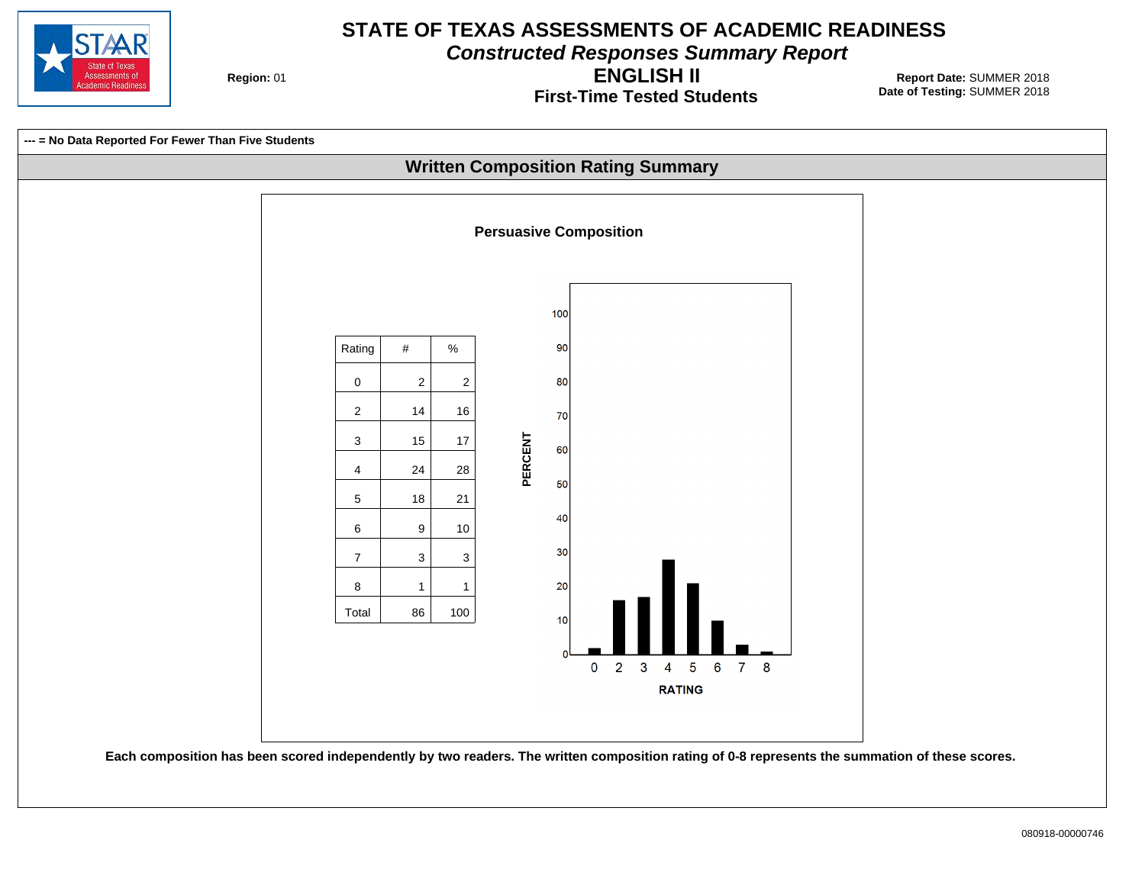

**Constructed Responses Summary Report**

**Region: 01** 

**First-Time Tested Students ENGLISH II**

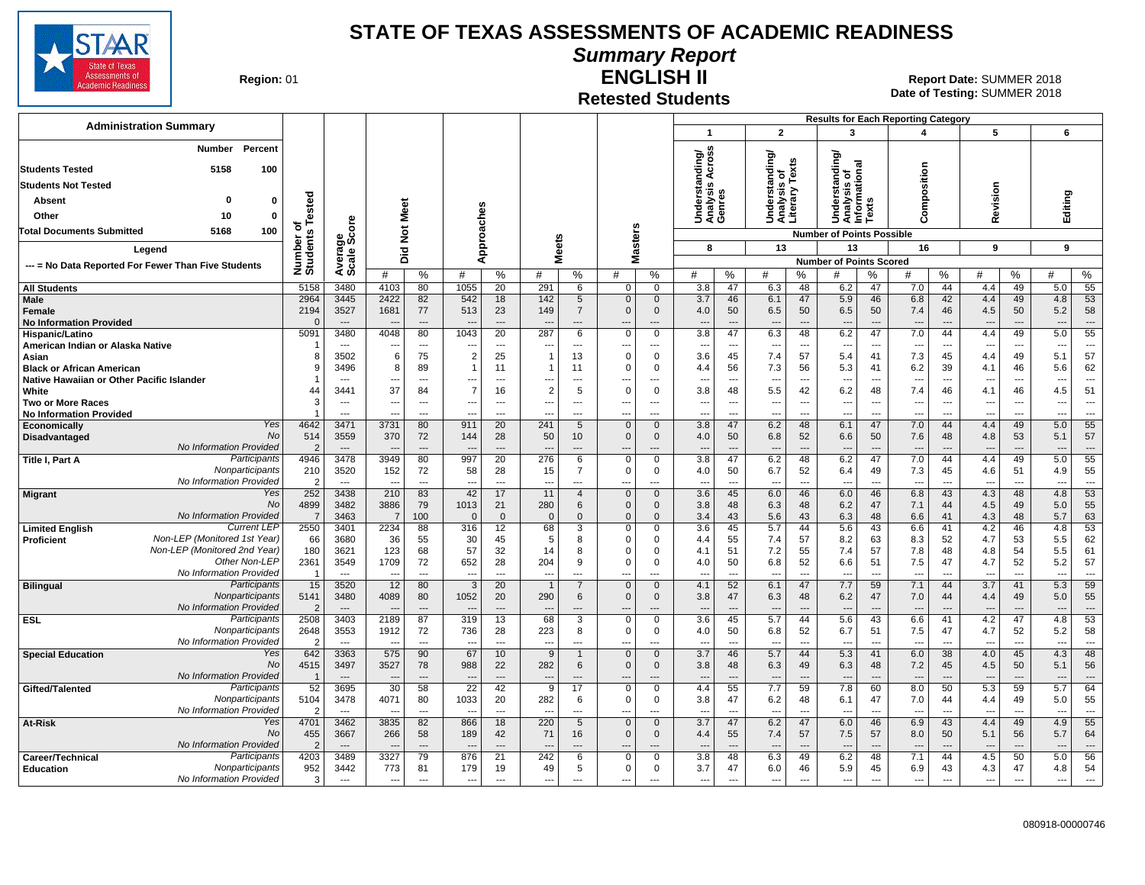

#### **Summary Report**

**Region: 01** 

## **Retested Students**

**ENGLISH II** 01 **Report Date:** SUMMER 2018 **Date of Testing:**  SUMMER 2018

|                                                                                            |                        |                                          |                                                      |                                            |                                            |                                            |                       |                                   |                                          |                                      |                               |                                            |                                                      |                                            |                                               |                                | <b>Results for Each Reporting Category</b> |                                                      |                                                      |                                                      |                                                      |                                   |
|--------------------------------------------------------------------------------------------|------------------------|------------------------------------------|------------------------------------------------------|--------------------------------------------|--------------------------------------------|--------------------------------------------|-----------------------|-----------------------------------|------------------------------------------|--------------------------------------|-------------------------------|--------------------------------------------|------------------------------------------------------|--------------------------------------------|-----------------------------------------------|--------------------------------|--------------------------------------------|------------------------------------------------------|------------------------------------------------------|------------------------------------------------------|------------------------------------------------------|-----------------------------------|
| <b>Administration Summary</b>                                                              |                        |                                          |                                                      |                                            |                                            |                                            |                       |                                   |                                          |                                      | $\mathbf{1}$                  |                                            | $\overline{2}$                                       |                                            | 3                                             |                                | $\boldsymbol{4}$                           |                                                      | 5                                                    |                                                      | 6                                                    |                                   |
| Percent<br>Number<br>5158<br><b>Students Tested</b><br>100                                 |                        |                                          |                                                      |                                            |                                            |                                            |                       |                                   |                                          |                                      | tanding/<br>is Across         |                                            | Understanding/<br>Analysis of<br>Literary Texts      |                                            | tanding/                                      |                                |                                            |                                                      |                                                      |                                                      |                                                      |                                   |
| <b>Students Not Tested</b>                                                                 |                        |                                          |                                                      |                                            |                                            |                                            |                       |                                   |                                          |                                      |                               |                                            |                                                      |                                            |                                               |                                |                                            |                                                      |                                                      |                                                      |                                                      |                                   |
| $\Omega$<br>Absent<br>0                                                                    |                        |                                          |                                                      |                                            |                                            |                                            |                       |                                   |                                          |                                      | Underst<br>Analysis<br>Genres |                                            |                                                      |                                            | Analysis of<br>Informational<br>Texts<br>erst |                                | Composition                                |                                                      | Revision                                             |                                                      | Editing                                              |                                   |
| Other<br>10<br>0                                                                           | ested                  |                                          | Meet                                                 |                                            |                                            | Approaches                                 |                       |                                   |                                          |                                      |                               |                                            |                                                      |                                            | È                                             |                                |                                            |                                                      |                                                      |                                                      |                                                      |                                   |
| Total Documents Submitted<br>5168<br>100                                                   | ৳                      | စ္<br>ō                                  |                                                      |                                            |                                            |                                            |                       |                                   |                                          |                                      |                               |                                            |                                                      |                                            |                                               |                                |                                            |                                                      |                                                      |                                                      |                                                      |                                   |
|                                                                                            | Number of<br>Students  | န္တီ့မွီ                                 | $\frac{5}{2}$                                        |                                            |                                            |                                            | <b>Meets</b>          |                                   | Masters                                  |                                      | 8                             |                                            | 13                                                   |                                            | <b>Number of Points Possible</b><br>13        |                                | 16                                         |                                                      | 9                                                    |                                                      | 9                                                    |                                   |
| Legend                                                                                     |                        | Average                                  | Did                                                  |                                            |                                            |                                            |                       |                                   |                                          |                                      |                               |                                            |                                                      |                                            | <b>Number of Points Scored</b>                |                                |                                            |                                                      |                                                      |                                                      |                                                      |                                   |
| --- = No Data Reported For Fewer Than Five Students                                        |                        |                                          | #                                                    | %                                          | #                                          | %                                          | #                     | %                                 | #                                        | %                                    | #                             | %                                          | #                                                    | %                                          | #                                             | %                              | #                                          | %                                                    | #                                                    | %                                                    | #                                                    | %                                 |
| <b>All Students</b>                                                                        | 5158                   | 3480                                     | 4103                                                 | 80                                         | 1055                                       | 20                                         | 291                   | 6                                 | $\mathbf{0}$                             | $\mathbf 0$                          | 3.8                           | 47                                         | 6.3                                                  | 48                                         | 6.2                                           | 47                             | 7.0                                        | 44                                                   | 4.4                                                  | 49                                                   | 5.0                                                  | 55                                |
| <b>Male</b><br>Female<br><b>No Information Provided</b>                                    | 2964<br>2194           | 3445<br>3527<br>$\overline{\phantom{a}}$ | 2422<br>1681                                         | 82<br>77<br>$---$                          | 542<br>513<br>---                          | 18<br>23<br>$\overline{a}$                 | 142<br>149<br>$- -$   | 5<br>$\overline{7}$<br>---        | $\mathbf{0}$<br>$\Omega$                 | $\mathbf{0}$<br>$\mathbf 0$<br>$---$ | 3.7<br>4.0<br>---             | 46<br>50<br>$\overline{a}$                 | 6.1<br>6.5<br>---                                    | 47<br>50<br>$\overline{a}$                 | 5.9<br>6.5<br>---                             | 46<br>50<br>$\overline{a}$     | 6.8<br>7.4<br>$\overline{\phantom{a}}$     | 42<br>46<br>$\overline{a}$                           | 4.4<br>4.5                                           | 49<br>50<br>$---$                                    | 4.8<br>5.2<br>$\overline{\phantom{a}}$               | 53<br>58<br>$---$                 |
| Hispanic/Latino                                                                            | 5091                   | 3480                                     | 4048                                                 | 80                                         | 1043                                       | 20                                         | 287                   | 6                                 | $\mathbf 0$                              | $\mathbf 0$                          | 3.8                           | 47                                         | 6.3                                                  | 48                                         | 6.2                                           | 47                             | 7.0                                        | 44                                                   | 4.4                                                  | 49                                                   | 5.0                                                  | 55                                |
| American Indian or Alaska Native                                                           | 8                      | $---$<br>3502                            | $- - -$<br>6                                         | $\overline{a}$<br>75                       | $\overline{\phantom{a}}$<br>$\overline{2}$ | $\overline{\phantom{a}}$<br>25             | ---<br>$\overline{1}$ | $\overline{a}$<br>13              | ---<br>$\Omega$                          | $\overline{a}$<br>$\mathbf 0$        | ---<br>3.6                    | $\overline{\phantom{a}}$<br>45             | $\overline{\phantom{a}}$<br>7.4                      | $\overline{\phantom{a}}$<br>57             | ---<br>5.4                                    | $\overline{\phantom{a}}$<br>41 | $\overline{\phantom{a}}$<br>7.3            | $\overline{\phantom{a}}$<br>45                       | ---<br>4.4                                           | $\overline{\phantom{a}}$<br>49                       | $\overline{\phantom{a}}$<br>5.1                      | $\overline{a}$<br>57              |
| Asian<br><b>Black or African American</b>                                                  | g                      | 3496                                     | 8                                                    | 89                                         | -1                                         | 11                                         | $\overline{1}$        | 11                                | $\Omega$                                 | $\mathbf 0$                          | 4.4                           | 56                                         | 7.3                                                  | 56                                         | 5.3                                           | 41                             | 6.2                                        | 39                                                   | 4.1                                                  | 46                                                   | 5.6                                                  | 62                                |
| Native Hawaiian or Other Pacific Islander                                                  |                        | $\sim$                                   | $\overline{\phantom{a}}$                             | $\overline{a}$                             | ---                                        | $\overline{a}$                             | ---                   | $\overline{a}$                    | $\overline{\phantom{a}}$                 | ---                                  | ---                           | $\overline{\phantom{a}}$                   | $\overline{\phantom{a}}$                             | $\overline{\phantom{a}}$                   | $\overline{\phantom{a}}$                      | ---                            | ---                                        | $\overline{\phantom{a}}$                             | $\overline{\phantom{a}}$                             | ---                                                  | $\overline{\phantom{a}}$                             | $\overline{\phantom{a}}$          |
| White                                                                                      | 44                     | 3441                                     | 37                                                   | 84                                         | $\overline{7}$                             | 16                                         | $\overline{2}$        | 5                                 | $\mathbf 0$                              | $\mathbf 0$                          | 3.8                           | 48                                         | 5.5                                                  | 42                                         | 6.2                                           | 48                             | 7.4                                        | 46                                                   | 4.1                                                  | 46                                                   | 4.5                                                  | 51                                |
| <b>Two or More Races</b><br><b>No Information Provided</b>                                 | 3                      | $\overline{\phantom{a}}$<br>$\sim$       | $\overline{\phantom{a}}$<br>$\overline{\phantom{a}}$ | $\overline{\phantom{a}}$<br>$\overline{a}$ | $\overline{\phantom{a}}$<br>$\overline{a}$ | $\overline{\phantom{a}}$<br>$\overline{a}$ | ---<br>--             | ---<br>$---$                      | ---<br>---                               | $\cdots$<br>$---$                    | ---<br>---                    | $\overline{\phantom{a}}$<br>$\overline{a}$ | $\hspace{0.05cm} \cdots$<br>$\overline{\phantom{a}}$ | $\overline{\phantom{a}}$<br>$\overline{a}$ | ---<br>$\overline{a}$                         | ---<br>$\overline{a}$          | ---<br>---                                 | $\overline{\phantom{a}}$<br>$\overline{\phantom{a}}$ | $\overline{\phantom{a}}$<br>$\overline{\phantom{a}}$ | $\overline{\phantom{a}}$<br>$\overline{\phantom{a}}$ | $\overline{\phantom{a}}$<br>$\overline{\phantom{a}}$ | $\overline{\phantom{a}}$<br>$---$ |
| Yes<br>Economically                                                                        | 4642                   | 3471                                     | 3731                                                 | 80                                         | 911                                        | 20                                         | 241                   | 5                                 | $\mathbf 0$                              | $\mathbf 0$                          | 3.8                           | 47                                         | 6.2                                                  | 48                                         | 6.1                                           | 47                             | 7.0                                        | 44                                                   | 4.4                                                  | 49                                                   | 5.0                                                  | 55                                |
| No<br>Disadvantaged<br>No Information Provided                                             | 514<br>$\overline{2}$  | 3559<br>$---$                            | 370                                                  | 72                                         | 144<br>$\overline{\phantom{a}}$            | 28<br>$\overline{\phantom{a}}$             | 50                    | 10 <sup>°</sup><br>$\overline{a}$ | $\mathbf 0$                              | $\mathbf 0$<br>$\sim$                | 4.0<br>$\overline{a}$         | 50<br>$\overline{a}$                       | 6.8<br>$\overline{\phantom{a}}$                      | 52<br>$\overline{a}$                       | 6.6<br>$\overline{\phantom{a}}$               | 50<br>$\overline{a}$           | 7.6                                        | 48<br>$\overline{\phantom{a}}$                       | 4.8                                                  | 53                                                   | 5.1<br>$\overline{\phantom{a}}$                      | 57<br>$\overline{a}$              |
| Participants<br>Title I, Part A                                                            | 4946                   | 3478                                     | 3949                                                 | 80                                         | 997                                        | 20                                         | 276                   | 6                                 | 0                                        | 0                                    | 3.8                           | 47                                         | 6.2                                                  | 48                                         | 6.2                                           | 47                             | 7.0                                        | 44                                                   | 4.4                                                  | 49                                                   | 5.0                                                  | 55                                |
| Nonparticipants                                                                            | 210                    | 3520                                     | 152                                                  | 72                                         | 58                                         | 28                                         | 15                    | $\overline{7}$                    | $\mathbf 0$                              | $\mathbf 0$                          | 4.0                           | 50                                         | 6.7                                                  | 52                                         | 6.4                                           | 49                             | 7.3                                        | 45                                                   | 4.6                                                  | 51                                                   | 4.9                                                  | 55                                |
| No Information Provided<br>Yes<br><b>Migrant</b>                                           | ຳ<br>252               | $\overline{\phantom{a}}$<br>3438         | 210                                                  | $\overline{a}$<br>83                       | $\overline{\phantom{a}}$<br>42             | $\overline{a}$<br>17                       | 11                    | $\overline{a}$<br>$\overline{4}$  | $\sim$<br>$\mathbf{0}$                   | $\overline{a}$<br>$\mathbf 0$        | ---<br>3.6                    | $\overline{a}$<br>45                       | $\overline{\phantom{a}}$<br>6.0                      | $\overline{a}$<br>46                       | ---<br>6.0                                    | ---<br>46                      | $\overline{\phantom{a}}$<br>6.8            | $\sim$<br>43                                         | 4.3                                                  | $\overline{\phantom{a}}$<br>48                       | $\sim$<br>4.8                                        | $\overline{a}$<br>53              |
| No                                                                                         | 4899                   | 3482                                     | 3886                                                 | 79                                         | 1013                                       | 21                                         | 280                   | 6                                 | $\mathbf{0}$                             | $\mathbf 0$                          | 3.8                           | 48                                         | 6.3                                                  | 48                                         | 6.2                                           | 47                             | 7.1                                        | 44                                                   | 4.5                                                  | 49                                                   | 5.0                                                  | 55                                |
| No Information Provided                                                                    | 7                      | 3463                                     | $\overline{7}$                                       | 100                                        | $\Omega$                                   | $\mathbf 0$                                | $\mathbf 0$           | $\Omega$                          | $\mathbf{0}$                             | $\mathbf{0}$                         | 3.4                           | 43                                         | 5.6                                                  | 43                                         | 6.3                                           | 48                             | 6.6                                        | 41                                                   | 4.3                                                  | 48                                                   | 5.7                                                  | 63                                |
| <b>Current LEP</b><br><b>Limited English</b><br>Non-LEP (Monitored 1st Year)<br>Proficient | 2550<br>66             | 3401<br>3680                             | 2234<br>36                                           | 88<br>55                                   | 316<br>30                                  | 12<br>45                                   | 68<br>5               | 3<br>8                            | 0<br>$\Omega$                            | 0<br>0                               | 3.6<br>4.4                    | 45<br>55                                   | 5.7<br>7.4                                           | 44<br>57                                   | 5.6<br>8.2                                    | 43<br>63                       | 6.6<br>8.3                                 | 41<br>52                                             | 4.2<br>4.7                                           | 46<br>53                                             | 4.8<br>5.5                                           | 53<br>62                          |
| Non-LEP (Monitored 2nd Year)                                                               | 180                    | 3621                                     | 123                                                  | 68                                         | 57                                         | 32                                         | 14                    | 8                                 | $\Omega$                                 | $\Omega$                             | 4.1                           | 51                                         | 7.2                                                  | 55                                         | 7.4                                           | 57                             | 7.8                                        | 48                                                   | 4.8                                                  | 54                                                   | 5.5                                                  | 61                                |
| Other Non-LEP                                                                              | 2361                   | 3549                                     | 1709                                                 | 72                                         | 652                                        | 28                                         | 204                   | 9                                 | $\Omega$                                 | $\Omega$                             | 4.0                           | 50                                         | 6.8                                                  | 52                                         | 6.6                                           | 51                             | 7.5                                        | 47                                                   | 4.7                                                  | 52                                                   | 5.2                                                  | 57                                |
| No Information Provided<br>Participants<br><b>Bilingual</b>                                | - 1<br>15              | $\sim$<br>3520                           | 12                                                   | $\overline{a}$<br>80                       | $\overline{a}$<br>$\overline{3}$           | $\overline{a}$<br>20                       | ---                   | ---<br>$\overline{7}$             | $\overline{\phantom{a}}$<br>$\mathbf{0}$ | ---<br>$\mathbf{0}$                  | $\overline{a}$<br>4.1         | $\overline{a}$<br>52                       | $\overline{\phantom{a}}$<br>6.1                      | $\overline{a}$<br>47                       | $\overline{a}$<br>7.7                         | ---<br>59                      | ---<br>7.1                                 | $\overline{a}$<br>44                                 | $\sim$<br>3.7                                        | $\overline{\phantom{a}}$<br>41                       | $\overline{\phantom{a}}$<br>5.3                      | $\overline{a}$<br>59              |
| Nonparticipants                                                                            | 5141                   | 3480                                     | 4089                                                 | 80                                         | 1052                                       | 20                                         | 290                   | 6                                 | $\Omega$                                 | $\mathbf{0}$                         | 3.8                           | 47                                         | 6.3                                                  | 48                                         | 6.2                                           | 47                             | 7.0                                        | 44                                                   | 4.4                                                  | 49                                                   | 5.0                                                  | 55                                |
| No Information Provided                                                                    |                        |                                          |                                                      | $\overline{a}$                             | $---$                                      |                                            |                       |                                   | ---                                      | $---$                                | ---                           | ---                                        | $\overline{\phantom{a}}$                             | $---$                                      | $\overline{\phantom{a}}$                      | $\overline{a}$                 |                                            | $\overline{a}$                                       |                                                      |                                                      | $\overline{\phantom{a}}$                             | $---$                             |
| Participants<br><b>ESL</b>                                                                 | 2508                   | 3403                                     | 2189                                                 | 87                                         | 319                                        | 13                                         | 68                    | 3                                 | $\mathbf 0$                              | $\mathbf 0$                          | 3.6                           | 45                                         | 5.7                                                  | 44                                         | 5.6                                           | 43                             | 6.6                                        | 41                                                   | 4.2                                                  | 47                                                   | 4.8                                                  | 53                                |
| Nonparticipants<br>No Information Provided                                                 | 2648<br>$\overline{2}$ | 3553<br>$\overline{a}$                   | 1912                                                 | 72<br>$\overline{a}$                       | 736<br>$\overline{a}$                      | 28<br>$\overline{a}$                       | 223                   | 8<br>---                          | $\Omega$                                 | $\mathbf 0$<br>$\overline{a}$        | 4.0<br>---                    | 50<br>---                                  | 6.8<br>$\overline{\phantom{a}}$                      | 52<br>$\overline{a}$                       | 6.7<br>$\overline{a}$                         | 51<br>---                      | 7.5                                        | 47<br>---                                            | 4.7<br>$\overline{\phantom{a}}$                      | 52<br>---                                            | 5.2<br>$\overline{\phantom{a}}$                      | 58<br>$\overline{a}$              |
| Yes<br><b>Special Education</b>                                                            | 642                    | 3363                                     | 575                                                  | 90                                         | 67                                         | 10                                         | 9                     |                                   | $\mathbf{0}$                             | $\mathbf{0}$                         | 3.7                           | 46                                         | 5.7                                                  | 44                                         | 5.3                                           | 41                             | 6.0                                        | 38                                                   | 4.0                                                  | 45                                                   | 4.3                                                  | 48                                |
| <b>No</b>                                                                                  | 4515                   | 3497                                     | 3527                                                 | 78                                         | 988                                        | 22                                         | 282                   | 6                                 | $\mathbf 0$                              | $\mathbf 0$                          | 3.8                           | 48                                         | 6.3                                                  | 49                                         | 6.3                                           | 48                             | 7.2                                        | 45                                                   | 4.5                                                  | 50                                                   | 5.1                                                  | 56                                |
| No Information Provided<br>Participants<br>Gifted/Talented                                 | 52                     | $---$<br>3695                            | $\overline{\phantom{a}}$<br>30                       | $---$<br>58                                | $\overline{a}$<br>22                       | $\overline{a}$<br>42                       | ---<br>9              | $---$<br>17                       | $\overline{\phantom{a}}$<br>$\mathbf 0$  | $---$<br>$\mathbf 0$                 | $---$<br>4.4                  | $\overline{a}$<br>55                       | $---$<br>7.7                                         | $---$<br>59                                | $\sim$<br>7.8                                 | $-$ --<br>60                   | $\overline{\phantom{a}}$<br>8.0            | $\overline{\phantom{a}}$<br>50                       | $\overline{\phantom{a}}$<br>5.3                      | $\overline{\phantom{a}}$<br>59                       | $\overline{\phantom{a}}$<br>5.7                      | $---$<br>64                       |
| Nonparticipants                                                                            | 5104                   | 3478                                     | 4071                                                 | 80                                         | 1033                                       | 20                                         | 282                   | 6                                 | 0                                        | 0                                    | 3.8                           | 47                                         | 6.2                                                  | 48                                         | 6.1                                           | 47                             | 7.0                                        | 44                                                   | 4.4                                                  | 49                                                   | 5.0                                                  | 55                                |
| No Information Provided                                                                    | $\overline{2}$         | $\sim$                                   | $\overline{\phantom{a}}$                             | $---$                                      | $\sim$                                     | $\sim$                                     | ---                   | $---$                             | ---                                      | $\overline{a}$                       | $\overline{a}$                | $\overline{\phantom{a}}$                   | $\sim$                                               | $---$                                      | $\sim$                                        | $\overline{a}$                 | $\overline{a}$                             | $\sim$                                               | $\sim$                                               | $\sim$                                               | $\sim$                                               | $---$                             |
| At-Risk<br>Yes<br><b>No</b>                                                                | 4701                   | 3462<br>3667                             | 3835<br>266                                          | 82<br>58                                   | 866<br>189                                 | 18<br>42                                   | 220<br>71             | 5                                 | $\mathbf 0$<br>$\mathbf 0$               | $\mathbf 0$<br>$\mathbf 0$           | $\overline{3.7}$              | 47                                         | 6.2<br>7.4                                           | 47<br>57                                   | 6.0<br>7.5                                    | 46<br>57                       | 6.9<br>8.0                                 | 43<br>50                                             | 4.4<br>5.1                                           | 49<br>56                                             | 4.9<br>5.7                                           | 55<br>64                          |
| No Information Provided                                                                    | 455                    | $---$                                    |                                                      | $---$                                      | $\overline{\phantom{a}}$                   | $\overline{\phantom{a}}$                   | $-$                   | 16<br>$---$                       | $--$                                     | $---$                                | 4.4<br>$---$                  | 55<br>$\overline{\phantom{a}}$             | $\overline{\phantom{a}}$                             | $---$                                      | $\sim$                                        | $---$                          | $---$                                      | $---$                                                | $\overline{\phantom{a}}$                             | $---$                                                | $\overline{\phantom{a}}$                             | $---$                             |
| Participants<br>Career/Technical                                                           | 4203                   | 3489                                     | 3327                                                 | 79                                         | 876                                        | 21                                         | 242                   | 6                                 | $\Omega$                                 | $\mathbf 0$                          | 3.8                           | 48                                         | 6.3                                                  | 49                                         | 6.2                                           | 48                             | 7.1                                        | 44                                                   | 4.5                                                  | 50                                                   | 5.0                                                  | 56                                |
| Nonparticipants<br>Education<br>No Information Provided                                    | 952                    | 3442                                     | 773                                                  | 81                                         | 179                                        | 19                                         | 49                    | 5                                 | $\mathbf 0$                              | 0                                    | 3.7                           | 47                                         | 6.0                                                  | 46                                         | 5.9                                           | 45                             | 6.9                                        | 43                                                   | 4.3                                                  | 47                                                   | 4.8                                                  | 54                                |
|                                                                                            | 3                      | $\overline{a}$                           | $\overline{\phantom{a}}$                             | $\overline{a}$                             | $\overline{\phantom{a}}$                   | $\overline{a}$                             | ---                   | $\overline{a}$                    | $\overline{\phantom{a}}$                 | $\overline{a}$                       | ---                           | ---                                        | $\overline{\phantom{a}}$                             | $\overline{a}$                             | $\overline{a}$                                | ---                            | $\overline{a}$                             | $\overline{\phantom{a}}$                             | $\sim$                                               | $\overline{a}$                                       | $\overline{\phantom{a}}$                             | $\overline{\phantom{a}}$          |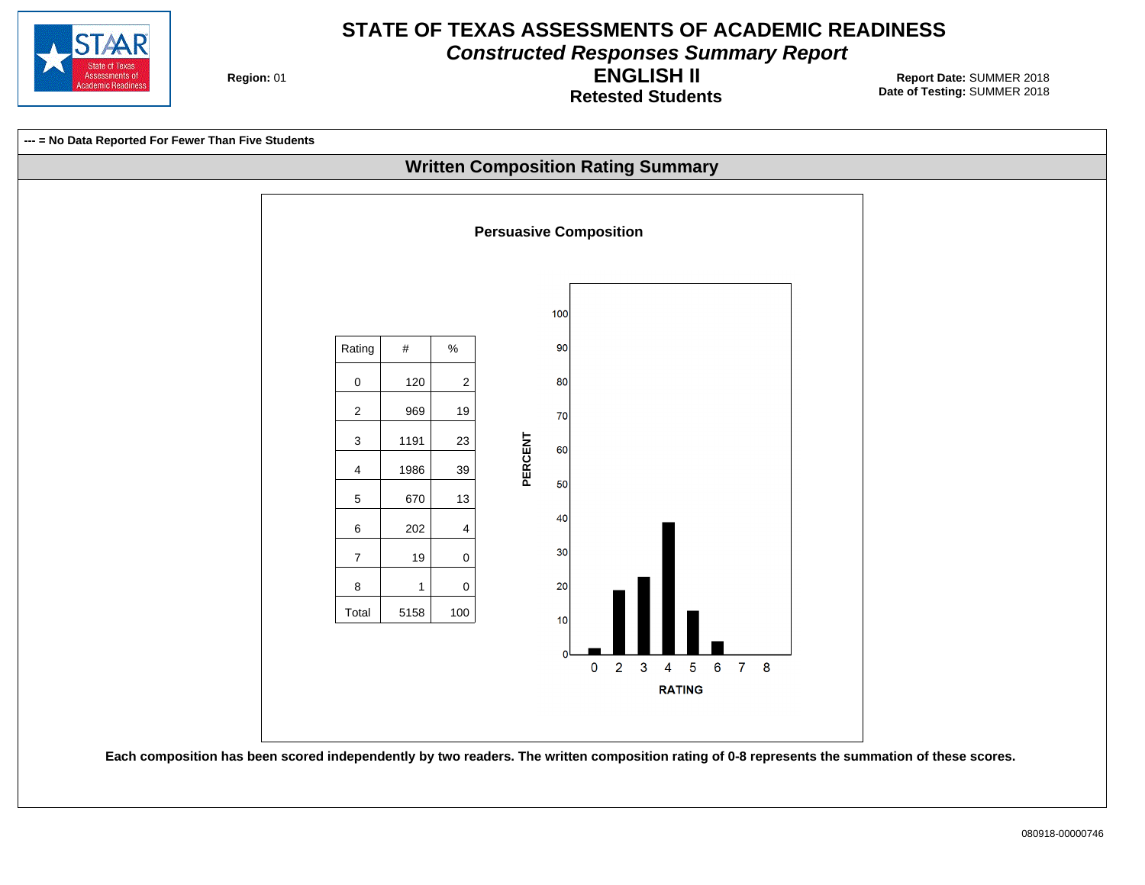

**Constructed Responses Summary Report**

**Region: 01** 

**Retested Students ENGLISH II**

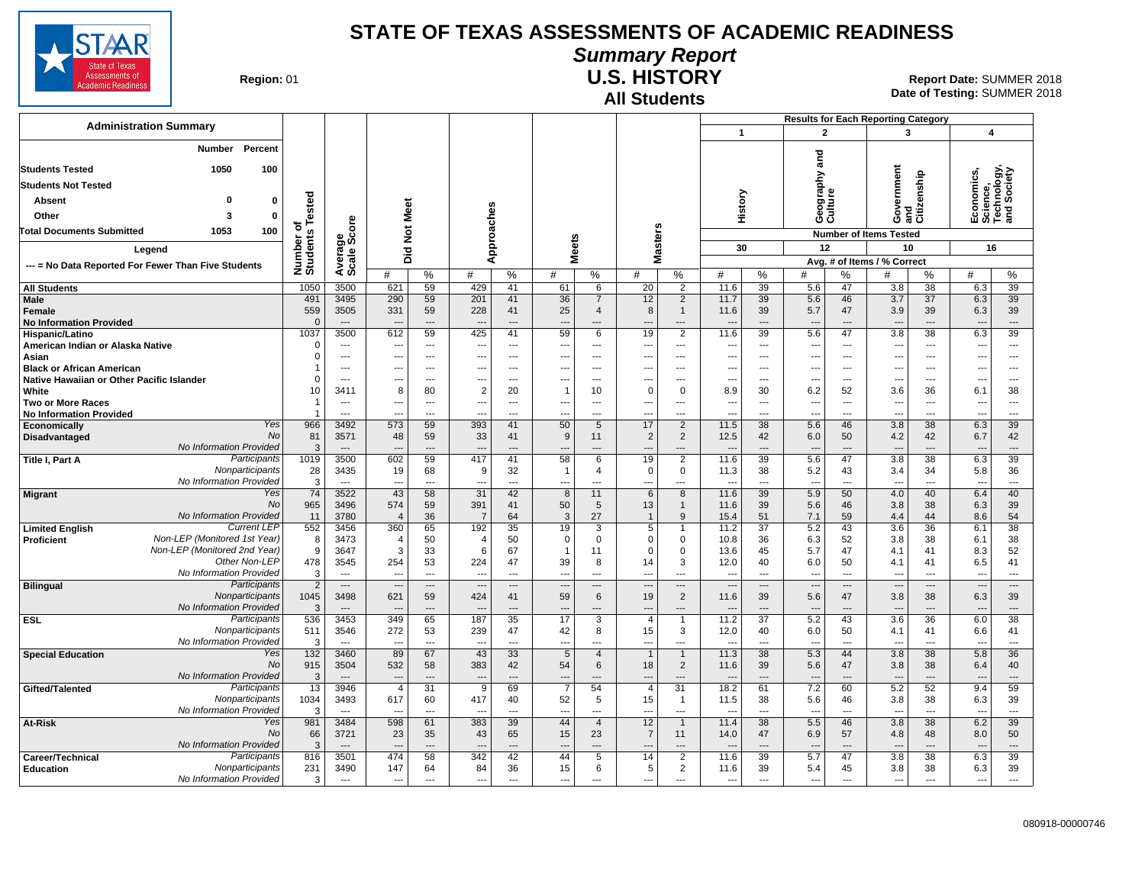

## **Summary Report**

**Region: 01** 

#### **All Students U.S. HISTORY**

|                                                                                                                                                |                                    |                                          |                                                      |                                                      |                                 |                                            |                                        |                                  |                                                 |                                                              |                                  |                                      | <b>Results for Each Reporting Category</b>           |                      |                                                      |                                                     |                                                      |                                                              |  |
|------------------------------------------------------------------------------------------------------------------------------------------------|------------------------------------|------------------------------------------|------------------------------------------------------|------------------------------------------------------|---------------------------------|--------------------------------------------|----------------------------------------|----------------------------------|-------------------------------------------------|--------------------------------------------------------------|----------------------------------|--------------------------------------|------------------------------------------------------|----------------------|------------------------------------------------------|-----------------------------------------------------|------------------------------------------------------|--------------------------------------------------------------|--|
| <b>Administration Summary</b>                                                                                                                  |                                    |                                          |                                                      |                                                      |                                 |                                            |                                        |                                  |                                                 |                                                              | $\mathbf{1}$                     |                                      | $\overline{2}$                                       |                      | 3                                                    |                                                     | $\overline{\mathbf{4}}$                              |                                                              |  |
| Number<br>Percent                                                                                                                              |                                    |                                          |                                                      |                                                      |                                 |                                            |                                        |                                  |                                                 |                                                              |                                  |                                      |                                                      |                      |                                                      |                                                     |                                                      |                                                              |  |
| 1050<br><b>Students Tested</b><br>100                                                                                                          |                                    |                                          |                                                      |                                                      |                                 |                                            |                                        |                                  |                                                 |                                                              |                                  |                                      | and                                                  |                      |                                                      |                                                     |                                                      |                                                              |  |
| <b>Students Not Tested</b>                                                                                                                     |                                    |                                          |                                                      |                                                      |                                 |                                            |                                        |                                  |                                                 |                                                              |                                  |                                      | ξ                                                    |                      | overnment                                            | and<br>Citizenship                                  | Economics,<br>Science,<br>Technology,<br>and Society |                                                              |  |
| 0<br>Absent                                                                                                                                    | 0                                  |                                          |                                                      |                                                      |                                 |                                            |                                        |                                  |                                                 |                                                              |                                  |                                      |                                                      |                      |                                                      |                                                     |                                                      |                                                              |  |
| Other<br>3                                                                                                                                     | Tested<br>$\bf{0}$                 |                                          | Meet                                                 |                                                      |                                 |                                            |                                        |                                  |                                                 |                                                              | History                          |                                      | Geograp<br>Culture                                   |                      | O                                                    |                                                     |                                                      |                                                              |  |
| <b>Total Documents Submitted</b><br>1053<br>100                                                                                                | ৳                                  | ige<br>Score                             |                                                      |                                                      |                                 |                                            |                                        |                                  |                                                 |                                                              |                                  |                                      |                                                      |                      | <b>Number of Items Tested</b>                        |                                                     |                                                      |                                                              |  |
| Legend                                                                                                                                         |                                    |                                          | $\breve{\mathbf{z}}$                                 |                                                      | pproaches                       |                                            | <b>Meets</b>                           |                                  | <b>Masters</b>                                  |                                                              | 30                               |                                      | 12                                                   |                      | 10                                                   |                                                     | 16                                                   |                                                              |  |
| --- = No Data Reported For Fewer Than Five Students                                                                                            | Number o<br>Students               | Averare                                  | Did                                                  |                                                      | ⋖                               |                                            |                                        |                                  |                                                 |                                                              |                                  |                                      |                                                      |                      | Avg. # of Items / % Correct                          |                                                     |                                                      |                                                              |  |
|                                                                                                                                                |                                    |                                          | #                                                    | %                                                    | #                               | %                                          | #                                      | $\%$                             | #                                               | %                                                            | #                                | %                                    | #                                                    | $\%$                 | #                                                    | %                                                   | #                                                    | %                                                            |  |
| <b>All Students</b>                                                                                                                            | 1050                               | 3500                                     | 621                                                  | 59                                                   | 429                             | 41                                         | 61                                     | 6                                | 20                                              | 2                                                            | 11.6                             | 39                                   | 5.6                                                  | 47                   | 3.8                                                  | 38                                                  | 6.3                                                  | 39                                                           |  |
| Male<br>Female                                                                                                                                 | 491<br>559                         | 3495<br>3505                             | 290<br>331                                           | 59<br>59                                             | 201<br>228                      | 41<br>41                                   | 36<br>25                               | $\overline{7}$<br>$\overline{4}$ | 12<br>8                                         | 2<br>$\mathbf{1}$                                            | 11.7<br>11.6                     | 39<br>39                             | 5.6<br>5.7                                           | 46<br>47             | 3.7<br>3.9                                           | 37<br>39                                            | 6.3<br>6.3                                           | 39<br>39                                                     |  |
| <b>No Information Provided</b>                                                                                                                 | $\Omega$                           | $---$                                    | $\overline{a}$                                       | $\overline{a}$                                       | $\overline{a}$                  | $\overline{\phantom{a}}$                   | $\overline{a}$                         | ---                              | ---                                             | $\overline{a}$                                               | ---                              | $\overline{\phantom{a}}$             | $\overline{\phantom{a}}$                             | ---                  | $\overline{\phantom{a}}$                             | ---                                                 | $\overline{\phantom{a}}$                             | $---$                                                        |  |
| Hispanic/Latino                                                                                                                                | 1037                               | 3500                                     | 612                                                  | 59                                                   | 425                             | 41<br>$\overline{a}$                       | 59                                     | 6                                | 19                                              | $\overline{2}$                                               | 11.6                             | 39<br>$---$                          | 5.6                                                  | 47<br>---            | 3.8                                                  | 38<br>$\overline{a}$                                | 6.3                                                  | 39<br>$\overline{a}$                                         |  |
| American Indian or Alaska Native<br>Asian                                                                                                      | $\Omega$<br>$\Omega$               | ---<br>---                               | $\overline{\phantom{a}}$<br>---                      | $\overline{\phantom{a}}$<br>$\overline{\phantom{a}}$ | ---<br>---                      | $\overline{a}$                             | $\overline{a}$<br>---                  | $\overline{a}$<br>$\overline{a}$ | ---<br>---                                      | ---<br>$\overline{a}$                                        | ---<br>---                       | $- - -$                              | ---<br>---                                           | ---                  | ---<br>---                                           | $\overline{a}$                                      | $\overline{\phantom{a}}$<br>---                      | $\overline{a}$                                               |  |
| <b>Black or African American</b>                                                                                                               |                                    | $\overline{a}$                           | ---                                                  | ---                                                  | ---                             | ---                                        | ---                                    | ---                              | ---                                             | $\overline{a}$                                               | ---                              | $- - -$                              | ---                                                  | ---                  | ---                                                  | $\overline{a}$                                      | ---                                                  | ---                                                          |  |
| Native Hawaiian or Other Pacific Islander                                                                                                      | $\Omega$                           | ---                                      | ---                                                  | ---                                                  | ---                             | ---                                        | $\overline{\phantom{a}}$               | ---                              | ---                                             |                                                              | $\overline{\phantom{a}}$         |                                      | $\overline{\phantom{a}}$                             |                      | $\overline{\phantom{a}}$                             |                                                     | $\overline{\phantom{a}}$                             | ---                                                          |  |
| White<br><b>Two or More Races</b>                                                                                                              | 10                                 | 3411<br>---                              | 8<br>$\overline{\phantom{a}}$                        | 80<br>---                                            | $\overline{2}$<br>---           | 20<br>---                                  | $\mathbf{1}$<br>---                    | 10<br>$\overline{\phantom{a}}$   | $\mathbf 0$<br>---                              | $\mathbf 0$<br>---                                           | 8.9<br>$\overline{\phantom{a}}$  | 30<br>$\overline{\phantom{a}}$       | 6.2<br>$\overline{\phantom{a}}$                      | 52<br>$\overline{a}$ | 3.6<br>---                                           | 36<br>---                                           | 6.1<br>---                                           | 38<br>---                                                    |  |
| <b>No Information Provided</b>                                                                                                                 |                                    | $\overline{a}$                           | ---                                                  | ---                                                  | μ.                              | ---                                        | $\overline{a}$                         | ---                              | ---                                             | ---                                                          | ---                              | $\overline{a}$                       | ---                                                  | ---                  | $\overline{a}$                                       | $\overline{a}$                                      | $\sim$                                               | $\overline{a}$                                               |  |
| Yes<br>Economically<br>No                                                                                                                      | 966                                | 3492                                     | 573                                                  | 59                                                   | 393                             | 41                                         | 50                                     | $5\overline{5}$                  | 17                                              | $\overline{2}$                                               | 11.5                             | 38                                   | 5.6                                                  | 46                   | 3.8                                                  | 38                                                  | 6.3                                                  | 39                                                           |  |
| <b>Disadvantaged</b><br>No Information Provided                                                                                                | 81<br>3                            | 3571<br>$\overline{\phantom{a}}$         | 48                                                   | 59                                                   | 33<br>--                        | 41<br>$\overline{a}$                       | 9                                      | 11<br>---                        | $\overline{2}$                                  | 2<br>$\overline{a}$                                          | 12.5<br>$\overline{\phantom{a}}$ | 42<br>$\overline{\phantom{a}}$       | 6.0<br>$\overline{\phantom{a}}$                      | 50<br>---            | 4.2<br>$\overline{\phantom{a}}$                      | 42<br>---                                           | 6.7                                                  | 42<br>$---$                                                  |  |
| Participants<br>Title I, Part A                                                                                                                | 1019                               | 3500                                     | 602                                                  | 59                                                   | 417                             | 41                                         | 58                                     | 6                                | 19                                              | $\overline{2}$                                               | 11.6                             | 39                                   | 5.6                                                  | 47                   | $\overline{3.8}$                                     | $\overline{38}$                                     | 6.3                                                  | 39                                                           |  |
| Nonparticipants                                                                                                                                | 28                                 | 3435                                     | 19                                                   | 68                                                   | 9                               | 32                                         | $\mathbf{1}$                           | $\overline{4}$                   | $\mathbf 0$                                     | 0                                                            | 11.3                             | 38                                   | 5.2                                                  | 43                   | 3.4                                                  | 34                                                  | 5.8                                                  | 36                                                           |  |
| No Information Provided<br>Yes<br><b>Migrant</b>                                                                                               | 3<br>74                            | $\overline{a}$<br>3522                   | $\overline{a}$<br>43                                 | $\overline{a}$<br>58                                 | μ.<br>31                        | $\overline{a}$<br>42                       | $\overline{a}$<br>8                    | ---<br>11                        | -−<br>$6\phantom{1}6$                           | ---<br>8                                                     | $\overline{a}$<br>11.6           | $\overline{a}$<br>39                 | $\overline{\phantom{a}}$<br>5.9                      | ---<br>50            | $\overline{a}$<br>4.0                                | $\overline{a}$<br>40                                | $\sim$<br>6.4                                        | $\overline{a}$<br>40                                         |  |
|                                                                                                                                                | No<br>965                          | 3496                                     | 574                                                  | 59                                                   | 391                             | 41                                         | 50                                     | 5                                | 13                                              | $\mathbf{1}$                                                 | 11.6                             | 39                                   | 5.6                                                  | 46                   | 3.8                                                  | 38                                                  | 6.3                                                  | 39                                                           |  |
| No Information Provided<br><b>Current LEP</b>                                                                                                  | 11                                 | 3780                                     | $\overline{4}$                                       | 36                                                   | $\overline{7}$                  | 64                                         | 3                                      | 27                               | $\overline{1}$                                  | 9                                                            | 15.4                             | 51                                   | 7.1                                                  | 59                   | 4.4                                                  | 44                                                  | 8.6                                                  | 54                                                           |  |
| <b>Limited English</b><br>Non-LEP (Monitored 1st Year)<br><b>Proficient</b>                                                                    | 552<br>8                           | 3456<br>3473                             | 360<br>$\overline{4}$                                | 65<br>50                                             | 192<br>$\overline{\mathcal{L}}$ | 35<br>50                                   | 19<br>$\mathbf 0$                      | 3<br>$\mathbf 0$                 | 5<br>$\mathbf 0$                                | $\mathbf 0$                                                  | 11.2<br>10.8                     | $\overline{37}$<br>36                | 5.2<br>6.3                                           | 43<br>52             | 3.6<br>3.8                                           | 36<br>38                                            | 6.1<br>6.1                                           | 38<br>38                                                     |  |
| Non-LEP (Monitored 2nd Year)                                                                                                                   | 9                                  | 3647                                     | 3                                                    | 33                                                   | 6                               | 67                                         | $\mathbf 1$                            | 11                               | $\mathbf 0$                                     | $\mathbf 0$                                                  | 13.6                             | 45                                   | 5.7                                                  | 47                   | 4.1                                                  | 41                                                  | 8.3                                                  | 52                                                           |  |
| Other Non-LEP<br>No Information Provided                                                                                                       | 478                                | 3545                                     | 254                                                  | 53                                                   | 224                             | 47                                         | 39                                     | 8                                | 14                                              | 3                                                            | 12.0                             | 40                                   | 6.0                                                  | 50                   | 4.1                                                  | 41                                                  | 6.5                                                  | 41                                                           |  |
| Participants<br><b>Bilingual</b>                                                                                                               | 3<br>$\overline{2}$                | $\overline{a}$<br>$\qquad \qquad \cdots$ | $\overline{a}$<br>$\overline{\phantom{a}}$           | $\overline{a}$<br>$---$                              | --<br>---                       | $\overline{a}$<br>$\overline{\phantom{a}}$ | $\overline{a}$<br>---                  | $\overline{a}$<br>---            | $\overline{a}$<br>$\overline{\phantom{a}}$      | ---<br>---                                                   | ---<br>$\overline{\phantom{a}}$  | $\overline{\phantom{a}}$<br>$\cdots$ | $\overline{a}$<br>$\overline{\phantom{a}}$           | ---<br>---           | $\overline{a}$<br>$\overline{\phantom{a}}$           | $\overline{a}$<br>---                               | --<br>$\overline{\phantom{a}}$                       | $\overline{a}$<br>$\cdots$                                   |  |
| Nonparticipants                                                                                                                                | 1045                               | 3498                                     | 621                                                  | 59                                                   | 424                             | 41                                         | 59                                     | 6                                | 19                                              | 2                                                            | 11.6                             | 39                                   | 5.6                                                  | 47                   | 3.8                                                  | 38                                                  | 6.3                                                  | 39                                                           |  |
| No Information Provided                                                                                                                        | 3                                  | $---$                                    |                                                      | $\overline{a}$                                       | --                              | ---                                        | $\overline{a}$                         | $\overline{a}$                   | $\overline{\phantom{a}}$                        | ---                                                          | $\overline{a}$                   | $\overline{\phantom{a}}$             | $\overline{\phantom{a}}$                             | ---                  | $\overline{\phantom{a}}$                             | $\overline{a}$                                      | $\overline{\phantom{a}}$                             | $---$                                                        |  |
| Participants<br><b>ESL</b><br>Nonparticipants                                                                                                  | 536<br>511                         | 3453<br>3546                             | 349<br>272                                           | 65<br>53                                             | 187<br>239                      | 35<br>47                                   | 17<br>42                               | 3<br>8                           | $\overline{4}$<br>15                            | $\overline{1}$<br>3                                          | 11.2<br>12.0                     | 37<br>40                             | 5.2<br>6.0                                           | 43<br>50             | 3.6<br>4.1                                           | 36<br>41                                            | 6.0<br>6.6                                           | 38<br>41                                                     |  |
| No Information Provided                                                                                                                        | 3                                  | $\overline{a}$                           | $\overline{a}$                                       | $\overline{a}$                                       | --                              | $\overline{a}$                             | $\overline{a}$                         | ---                              | $\overline{a}$                                  | ---                                                          | $\overline{a}$                   | $\overline{\phantom{a}}$             | $\overline{a}$                                       | ---                  | $\overline{\phantom{a}}$                             | $\overline{a}$                                      | --                                                   | $\overline{a}$                                               |  |
| Yes<br><b>Special Education</b>                                                                                                                | 132                                | 3460                                     | 89                                                   | 67                                                   | 43                              | 33                                         | 5                                      | $\overline{4}$                   | $\mathbf{1}$                                    | $\overline{1}$                                               | 11.3                             | 38                                   | 5.3                                                  | 44                   | 3.8                                                  | 38                                                  | 5.8                                                  | 36                                                           |  |
|                                                                                                                                                |                                    | $\overline{\phantom{a}}$                 |                                                      | $\overline{a}$                                       |                                 | $\overline{\phantom{a}}$                   |                                        | $\overline{a}$                   |                                                 | $\overline{a}$                                               | $\overline{a}$                   | $\overline{\phantom{a}}$             |                                                      | ---                  |                                                      | $\overline{a}$                                      | $\overline{a}$                                       |                                                              |  |
| Participants<br>Gifted/Talented                                                                                                                | 13                                 | 3946                                     | $\overline{4}$                                       | 31                                                   | 9                               | 69                                         | $\overline{7}$                         | 54                               | $\overline{4}$                                  | 31                                                           | 18.2                             | 61                                   | 7.2                                                  | 60                   | 5.2                                                  | 52                                                  | 9.4                                                  | 59                                                           |  |
| Nonparticipants                                                                                                                                | 1034                               | 3493                                     | 617                                                  | 60                                                   | 417                             | 40                                         | 52                                     | 5                                | 15                                              | $\overline{1}$                                               | 11.5                             | 38                                   | 5.6                                                  | 46                   | 3.8                                                  | 38                                                  | 6.3                                                  | 39                                                           |  |
|                                                                                                                                                |                                    | $---$                                    | $\overline{a}$                                       |                                                      |                                 | $\overline{a}$                             | $\overline{a}$                         | $\overline{a}$                   | $\overline{a}$                                  |                                                              | --                               | $\overline{a}$                       | $\overline{\phantom{a}}$                             | ---                  | $\overline{\phantom{a}}$                             |                                                     | --                                                   |                                                              |  |
|                                                                                                                                                | No<br>66                           | 3721                                     | 23                                                   | 35                                                   | 43                              | 65                                         | 15                                     | 23                               | $\overline{7}$                                  | 11                                                           | 14.0                             | 47                                   | 6.9                                                  | 57                   | 4.8                                                  | 48                                                  | 8.0                                                  | 50                                                           |  |
| <b>No Information Provided</b>                                                                                                                 | 3                                  | $---$                                    | $\overline{a}$                                       | $\overline{a}$                                       | --                              | $\overline{\phantom{a}}$                   | $\overline{a}$                         | $\overline{a}$                   | $\overline{\phantom{a}}$                        | $\overline{a}$                                               | $\overline{a}$                   | $\overline{\phantom{a}}$             | $---$                                                | $\overline{a}$       | $\overline{\phantom{a}}$                             | $\overline{a}$                                      | $\overline{\phantom{a}}$                             | $\overline{a}$                                               |  |
|                                                                                                                                                |                                    |                                          |                                                      |                                                      |                                 |                                            |                                        |                                  |                                                 |                                                              |                                  |                                      |                                                      |                      |                                                      |                                                     |                                                      |                                                              |  |
| No Information Provided                                                                                                                        | 3                                  | $\overline{a}$                           | $\overline{a}$                                       | $\sim$                                               |                                 | $\sim$                                     | $\overline{a}$                         | ---                              |                                                 | $\sim$                                                       | $\overline{a}$                   | $\overline{\phantom{a}}$             | $\overline{a}$                                       | $\sim$               | ---                                                  | $\sim$                                              | $\overline{a}$                                       | ---                                                          |  |
| No<br>No Information Provided<br>No Information Provided<br>At-Risk<br>Yes<br>Participants<br>Career/Technical<br>Nonparticipants<br>Education | 915<br>3<br>3<br>981<br>816<br>231 | 3504<br>3484<br>3501<br>3490             | 532<br>$\overline{\phantom{a}}$<br>598<br>474<br>147 | 58<br>$\overline{a}$<br>61<br>58<br>64               | 383<br>---<br>383<br>342<br>84  | 42<br>39<br>42<br>36                       | 54<br>$\overline{a}$<br>44<br>44<br>15 | 6<br>$\overline{4}$<br>5<br>6    | 18<br>$\overline{\phantom{a}}$<br>12<br>14<br>5 | 2<br>$\overline{a}$<br>$\overline{1}$<br>$\overline{2}$<br>2 | 11.6<br>11.4<br>11.6<br>11.6     | 39<br>$\overline{38}$<br>39<br>39    | 5.6<br>$\overline{\phantom{a}}$<br>5.5<br>5.7<br>5.4 | 47<br>46<br>47<br>45 | 3.8<br>$\overline{\phantom{a}}$<br>3.8<br>3.8<br>3.8 | 38<br>$\overline{a}$<br>$\overline{38}$<br>38<br>38 | 6.4<br>6.2<br>6.3<br>6.3                             | 40<br>$---$<br>$\overline{a}$<br>$\overline{39}$<br>39<br>39 |  |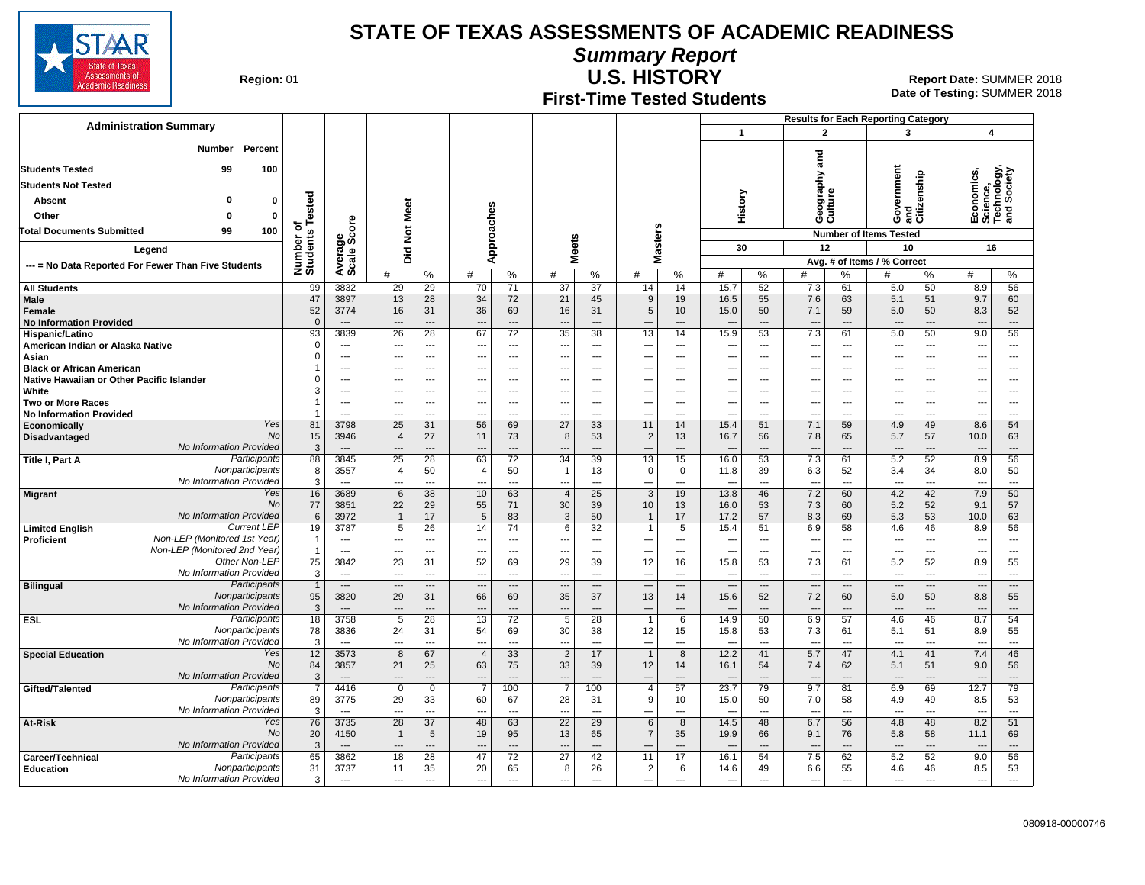

**Summary Report**

State of Assessments of ademic Readines:

**Region: 01** 

## **U.S. HISTORY** Report Date: SUMMER 2018

**Date of Testing:**  SUMMER 2018

**First-Time Tested Students**

|                                                                   |                                                              |                                 |                             |                                                      |                       |                                   |                                 |                        |                                            |                                |                                          |                                |                                                      |                       |                                    |                                     | <b>Results for Each Reporting Category</b> |                                  |                          |                                |  |  |
|-------------------------------------------------------------------|--------------------------------------------------------------|---------------------------------|-----------------------------|------------------------------------------------------|-----------------------|-----------------------------------|---------------------------------|------------------------|--------------------------------------------|--------------------------------|------------------------------------------|--------------------------------|------------------------------------------------------|-----------------------|------------------------------------|-------------------------------------|--------------------------------------------|----------------------------------|--------------------------|--------------------------------|--|--|
| <b>Administration Summary</b>                                     |                                                              |                                 |                             |                                                      |                       |                                   |                                 |                        |                                            |                                |                                          |                                | $\mathbf{1}$                                         |                       | $\mathbf{2}$                       |                                     | 3                                          |                                  | $\boldsymbol{4}$         |                                |  |  |
|                                                                   | Percent<br>Number                                            |                                 |                             |                                                      |                       |                                   |                                 |                        |                                            |                                |                                          |                                |                                                      |                       |                                    |                                     |                                            |                                  |                          |                                |  |  |
| <b>Students Tested</b><br>99<br>100<br><b>Students Not Tested</b> |                                                              |                                 |                             |                                                      |                       |                                   |                                 |                        |                                            |                                |                                          |                                |                                                      | and                   |                                    |                                     |                                            |                                  |                          |                                |  |  |
|                                                                   |                                                              |                                 |                             |                                                      |                       |                                   |                                 |                        |                                            |                                |                                          |                                |                                                      |                       |                                    |                                     |                                            |                                  |                          |                                |  |  |
| <b>Absent</b>                                                     | o                                                            | 0                               |                             |                                                      |                       |                                   |                                 |                        |                                            |                                |                                          |                                | History                                              |                       | Geography<br>Culture               |                                     | ernment                                    | and<br>Citizenship               | conomics<br>ience,       | hnology,<br>Society            |  |  |
| Other                                                             | $\Omega$                                                     | 0                               | Tested                      |                                                      |                       |                                   |                                 |                        |                                            |                                |                                          |                                |                                                      |                       |                                    |                                     | ş                                          |                                  | ទឹង<br>ក្នុង ក្នុង       |                                |  |  |
| <b>Total Documents Submitted</b>                                  | 99                                                           | 100                             | ৳                           | ge<br>Score                                          |                       |                                   |                                 |                        |                                            |                                |                                          |                                |                                                      |                       |                                    |                                     | O                                          |                                  |                          |                                |  |  |
|                                                                   |                                                              | Number of<br>Students           |                             | Did Not Meet                                         |                       | Approaches                        |                                 | leets                  |                                            | <b>Masters</b>                 |                                          | 30                             |                                                      | 12                    |                                    | <b>Number of Items Tested</b><br>10 |                                            | 16                               |                          |                                |  |  |
| Legend                                                            |                                                              |                                 |                             |                                                      |                       |                                   |                                 | Ź.                     |                                            |                                |                                          |                                |                                                      |                       |                                    | Avg. # of Items / % Correct         |                                            |                                  |                          |                                |  |  |
| --- = No Data Reported For Fewer Than Five Students               |                                                              |                                 |                             | Average                                              | #                     | $\%$                              | #                               | %                      | #                                          | %                              | #                                        | %                              | #                                                    | %                     | #                                  | %                                   | #                                          | ℅                                | #                        | %                              |  |  |
| <b>All Students</b>                                               |                                                              |                                 | 99                          | 3832                                                 | 29                    | 29                                | 70                              | 71                     | 37                                         | $\overline{37}$                | 14                                       | 14                             | 15.7                                                 | 52                    | 7.3                                | 61                                  | 5.0                                        | 50                               | 8.9                      | 56                             |  |  |
| Male                                                              |                                                              |                                 | 47                          | 3897                                                 | 13                    | 28                                | 34                              | 72                     | 21                                         | 45                             | 9                                        | 19                             | 16.5                                                 | 55                    | 7.6                                | 63                                  | 5.1                                        | 51                               | 9.7                      | 60                             |  |  |
| Female<br><b>No Information Provided</b>                          |                                                              |                                 | 52<br>$\mathbf{0}$          | 3774<br>$\overline{\phantom{a}}$                     | 16<br>$---$           | 31<br>$---$                       | 36<br>-−-                       | 69<br>$---$            | 16<br>---                                  | 31<br>---                      | 5<br>---                                 | 10<br>$---$                    | 15.0<br>$\overline{\phantom{a}}$                     | 50<br>---             | 7.1<br>$\overline{\phantom{a}}$    | 59<br>---                           | 5.0<br>---                                 | 50<br>$\overline{\phantom{a}}$   | 8.3<br>---               | 52<br>---                      |  |  |
| Hispanic/Latino                                                   |                                                              |                                 | 93                          | 3839                                                 | 26                    | 28                                | 67                              | 72                     | $\overline{35}$                            | 38                             | 13                                       | 14                             | 15.9                                                 | 53                    | 7.3                                | 61                                  | 5.0                                        | 50                               | 9.0                      | 56                             |  |  |
| American Indian or Alaska Native                                  |                                                              |                                 | $\mathbf 0$                 | $\overline{\phantom{a}}$                             | ---                   | $\overline{a}$                    | ---                             | ---                    | ---                                        | ---                            | ---                                      | $---$                          | $\overline{\phantom{a}}$                             | ---                   | $---$                              | $\overline{a}$                      | ---                                        | $\overline{a}$                   | ---                      | ---                            |  |  |
| Asian<br><b>Black or African American</b>                         |                                                              |                                 | $\mathbf 0$                 | $\overline{\phantom{a}}$<br>$---$                    | ---<br>---            | $\overline{\phantom{a}}$<br>$---$ | ---<br>---                      | ---<br>$---$           | ---<br>$---$                               | $---$<br>$---$                 | ---<br>---                               | $---$<br>$---$                 | ---<br>---                                           | ---<br>$---$          | $\overline{\phantom{a}}$<br>$\sim$ | ---<br>$\overline{a}$               | ---<br>$---$                               | $\overline{a}$<br>$---$          | ---<br>---               | $\overline{a}$<br>---          |  |  |
| Native Hawaiian or Other Pacific Islander                         |                                                              |                                 | 0                           | $---$                                                | ---                   | $---$                             | ---                             | $---$                  | $\overline{\phantom{a}}$                   | ---                            | ---                                      |                                | ---                                                  | ---                   | --                                 | ---                                 | ---                                        | $\overline{a}$                   | ⊷                        | $---$                          |  |  |
| White                                                             |                                                              |                                 | 3                           | $\overline{a}$                                       | $\sim$                | $---$                             | ---                             | $---$                  | $\overline{a}$                             | $\overline{a}$                 | ---                                      | $\overline{a}$                 | ---                                                  | $\overline{a}$        | $\sim$                             | $\overline{a}$                      | ---                                        | $\overline{a}$                   | ---                      | $---$                          |  |  |
| <b>Two or More Races</b><br><b>No Information Provided</b>        |                                                              |                                 |                             | $\overline{\phantom{a}}$<br>$\overline{a}$           | ---<br>$\overline{a}$ | ---<br>$\overline{a}$             | ---<br>---                      | ---<br>$\overline{a}$  | ---<br>$\overline{a}$                      | ---<br>$\overline{a}$          | ---<br>---                               | ---<br>$\overline{a}$          | $\overline{\phantom{a}}$<br>$\overline{a}$           | ---<br>$\overline{a}$ | $\overline{a}$                     | ---<br>---                          | ---<br>---                                 | $\overline{a}$<br>$\overline{a}$ | ---<br>---               | ---<br>$---$                   |  |  |
| Economically                                                      |                                                              | Yes                             | 81                          | 3798                                                 | 25                    | 31                                | 56                              | 69                     | $\overline{27}$                            | 33                             | 11                                       | 14                             | 15.4                                                 | 51                    | 7.1                                | 59                                  | 4.9                                        | 49                               | 8.6                      | 54                             |  |  |
| <b>Disadvantaged</b>                                              |                                                              | No                              | 15                          | 3946                                                 | $\overline{4}$        | 27                                | 11                              | 73                     | 8                                          | 53                             | $\overline{2}$                           | 13                             | 16.7                                                 | 56                    | 7.8                                | 65                                  | 5.7                                        | 57                               | 10.0                     | 63                             |  |  |
| Title I, Part A                                                   | No Information Provided                                      | Participants                    | 3<br>88                     | $\overline{\phantom{a}}$<br>3845                     | 25                    | 28                                | 63                              | ---<br>$\overline{72}$ | 34                                         | $\overline{a}$<br>39           | 13                                       | 15                             | $\overline{\phantom{a}}$<br>16.0                     | ---<br>53             | 7.3                                | ---<br>61                           | $\qquad \qquad -$<br>5.2                   | 52                               | 8.9                      | $\overline{\phantom{a}}$<br>56 |  |  |
|                                                                   |                                                              | Nonparticipants                 | 8                           | 3557                                                 | 4                     | 50                                | $\overline{a}$                  | 50                     | $\overline{1}$                             | 13                             | $\mathbf 0$                              | 0                              | 11.8                                                 | 39                    | 6.3                                | 52                                  | 3.4                                        | 34                               | 8.0                      | 50                             |  |  |
|                                                                   | No Information Provided                                      |                                 | 3                           |                                                      | $\overline{a}$        | $\overline{a}$                    | ---                             | $\overline{a}$         | $\overline{a}$                             | ---                            | ---                                      | $\overline{a}$                 | $\overline{\phantom{a}}$                             | $\overline{a}$        | $\overline{\phantom{a}}$           | ---                                 | $\overline{\phantom{a}}$                   | $\overline{a}$                   |                          | $\overline{a}$                 |  |  |
| <b>Migrant</b>                                                    |                                                              | Yes<br>No                       | 16<br>77                    | 3689<br>3851                                         | $6\phantom{1}$<br>22  | 38<br>29                          | 10<br>55                        | 63<br>71               | $\overline{4}$<br>30                       | 25<br>39                       | $\mathbf{3}$<br>10                       | 19<br>13                       | 13.8<br>16.0                                         | 46<br>53              | 7.2<br>7.3                         | 60<br>60                            | 4.2<br>5.2                                 | 42<br>52                         | 7.9<br>9.1               | 50<br>57                       |  |  |
|                                                                   | No Information Provided                                      |                                 | 6                           | 3972                                                 | $\overline{1}$        | 17                                | 5                               | 83                     | 3                                          | 50                             | $\mathbf{1}$                             | 17                             | 17.2                                                 | 57                    | 8.3                                | 69                                  | 5.3                                        | 53                               | 10.0                     | 63                             |  |  |
| <b>Limited English</b>                                            |                                                              | <b>Current LEP</b>              | 19                          | 3787                                                 | 5                     | 26                                | 14                              | 74                     | 6                                          | 32                             | $\mathbf{1}$                             | 5                              | 15.4                                                 | 51                    | 6.9                                | 58                                  | 4.6                                        | 46                               | 8.9                      | 56                             |  |  |
| <b>Proficient</b>                                                 | Non-LEP (Monitored 1st Year)<br>Non-LEP (Monitored 2nd Year) |                                 | $\mathbf{1}$<br>$\mathbf 1$ | $\overline{\phantom{a}}$<br>$\overline{\phantom{a}}$ | $\overline{a}$        | $\overline{a}$                    | $\overline{\phantom{a}}$<br>--- | $\overline{a}$         | ---                                        | $\overline{a}$                 | ---                                      | $\overline{a}$                 | $\overline{\phantom{a}}$<br>$\overline{\phantom{a}}$ | ---                   | ---                                | ---<br>---                          | $\overline{a}$                             | $\overline{a}$                   | $\overline{\phantom{a}}$ | ---<br>$\overline{a}$          |  |  |
|                                                                   |                                                              | Other Non-LEP                   | 75                          | 3842                                                 | ---<br>23             | ---<br>31                         | 52                              | ---<br>69              | $\overline{\phantom{a}}$<br>29             | ---<br>39                      | ---<br>12                                | $\overline{\phantom{a}}$<br>16 | 15.8                                                 | ---<br>53             | $\overline{\phantom{a}}$<br>7.3    | 61                                  | ---<br>5.2                                 | ---<br>52                        | ---<br>8.9               | 55                             |  |  |
|                                                                   | <b>No Information Provided</b>                               |                                 | 3                           | $---$                                                | $\sim$                | $\overline{a}$                    | ---                             | $\overline{a}$         | $\sim$                                     | $\overline{a}$                 | $\overline{a}$                           | $---$                          | $\overline{\phantom{a}}$                             | $\overline{a}$        | $\overline{a}$                     | $\overline{a}$                      | $\overline{a}$                             | $\overline{a}$                   | $\sim$                   | $-$                            |  |  |
| <b>Bilingual</b>                                                  |                                                              | Participants                    | $\overline{1}$              | $---$                                                | ---                   | $\overline{\phantom{a}}$          | ---                             | ---                    | $\overline{a}$                             | ---                            | ---                                      | $\overline{\phantom{a}}$       | $\overline{\phantom{a}}$                             | ---                   | $\overline{\phantom{a}}$           | ---                                 | ---                                        | $\overline{\phantom{a}}$         | $\overline{\phantom{a}}$ | ---                            |  |  |
|                                                                   | No Information Provided                                      | Nonparticipants                 | 95<br>3                     | 3820<br>$---$                                        | 29                    | 31<br>$---$                       | 66                              | 69<br>$---$            | 35<br>$\overline{\phantom{a}}$             | 37<br>$---$                    | 13<br>---                                | 14<br>$\overline{a}$           | 15.6<br>$\sim$                                       | 52<br>$- - -$         | 7.2                                | 60<br>---                           | 5.0                                        | 50<br>$---$                      | 8.8                      | 55<br>---                      |  |  |
| <b>ESL</b>                                                        |                                                              | Participants                    | 18                          | 3758                                                 | $\overline{5}$        | 28                                | 13                              | 72                     | $5\overline{5}$                            | $\overline{28}$                | $\overline{1}$                           | 6                              | 14.9                                                 | 50                    | 6.9                                | 57                                  | 4.6                                        | 46                               | 8.7                      | 54                             |  |  |
|                                                                   |                                                              | Nonparticipants                 | 78                          | 3836                                                 | 24                    | 31                                | 54                              | 69                     | 30                                         | 38                             | 12                                       | 15                             | 15.8                                                 | 53                    | 7.3                                | 61                                  | 5.1                                        | 51                               | 8.9                      | 55                             |  |  |
| <b>Special Education</b>                                          | No Information Provided                                      | Yes                             | 3<br>12                     | $\overline{\phantom{a}}$<br>3573                     | ---<br>8              | ---<br>67                         | ---<br>$\overline{4}$           | ---<br>33              | $\overline{\phantom{a}}$<br>$\overline{2}$ | $\overline{\phantom{a}}$<br>17 | $\overline{\phantom{a}}$<br>$\mathbf{1}$ | $\overline{a}$<br>8            | $\overline{\phantom{a}}$<br>12.2                     | ---<br>41             | 5.7                                | ---<br>47                           | ---<br>4.1                                 | ---<br>41                        | ---<br>7.4               | ---<br>46                      |  |  |
|                                                                   |                                                              | <b>No</b>                       | 84                          | 3857                                                 | 21                    | 25                                | 63                              | 75                     | 33                                         | 39                             | 12                                       | 14                             | 16.1                                                 | 54                    | 7.4                                | 62                                  | 5.1                                        | 51                               | 9.0                      | 56                             |  |  |
|                                                                   | No Information Provided                                      |                                 | 3                           | $---$                                                | $-$                   | $\overline{a}$                    | ---                             | ---                    | $\overline{a}$                             | $\overline{a}$                 | ---                                      |                                | $\overline{\phantom{a}}$                             | $\overline{a}$        |                                    | ---                                 | $\overline{a}$                             | $\overline{a}$                   |                          | $\overline{a}$                 |  |  |
| Gifted/Talented                                                   |                                                              | Participants<br>Nonparticipants | 89                          | 4416<br>3775                                         | $\mathbf 0$<br>29     | $\mathbf 0$<br>33                 | 7<br>60                         | 100<br>67              | 28                                         | 100<br>31                      | 4<br>9                                   | 57<br>10                       | 23.7<br>15.0                                         | 79<br>50              | 9.7                                | 81<br>58                            | 6.9<br>4.9                                 | 69<br>49                         | 12.7<br>8.5              | 79<br>53                       |  |  |
|                                                                   | No Information Provided                                      |                                 | 3                           | $\overline{\phantom{a}}$                             | ---                   | $\overline{a}$                    | $\overline{a}$                  | ---                    | ---                                        | ---                            | ---                                      | $\overline{a}$                 | $\overline{a}$                                       | $\overline{a}$        | 7.0<br>$\overline{a}$              | ---                                 | $\overline{a}$                             | $\overline{a}$                   | $\overline{\phantom{a}}$ | ---                            |  |  |
| At-Risk                                                           |                                                              | Yes                             | 76                          | 3735                                                 | $\overline{28}$       | $\overline{37}$                   | 48                              | 63                     | $\overline{22}$                            | $\overline{29}$                | 6                                        | 8                              | 14.5                                                 | 48                    | 6.7                                | 56                                  | 4.8                                        | 48                               | 8.2                      | 51                             |  |  |
|                                                                   |                                                              | No                              | 20                          | 4150<br>$\overline{a}$                               | $\mathbf{1}$          | 5                                 | 19                              | 95                     | 13                                         | 65                             | $\overline{7}$                           | 35                             | 19.9                                                 | 66                    | 9.1                                | 76                                  | 5.8                                        | 58                               | 11.1                     | 69                             |  |  |
| Career/Technical                                                  | No Information Provided                                      | Participants                    | 3<br>65                     | 3862                                                 | 18                    | $\overline{a}$<br>28              | 47                              | $\overline{a}$<br>72   | $\overline{a}$<br>27                       | $\overline{a}$<br>42           | 11                                       | $\overline{a}$<br>17           | $\overline{\phantom{a}}$<br>16.1                     | $\overline{a}$<br>54  | 7.5                                | ---<br>62                           | $\overline{\phantom{a}}$<br>5.2            | $\overline{a}$<br>52             | 9.0                      | $\overline{a}$<br>56           |  |  |
| <b>Education</b>                                                  |                                                              | Nonparticipants                 | 31                          | 3737                                                 | 11                    | 35                                | 20                              | 65                     | 8                                          | 26                             | $\overline{2}$                           | 6                              | 14.6                                                 | 49                    | 6.6                                | 55                                  | 4.6                                        | 46                               | 8.5                      | 53                             |  |  |
|                                                                   | No Information Provided                                      |                                 | 3                           | $\overline{\phantom{a}}$                             | $\overline{a}$        | $---$                             | $\overline{\phantom{a}}$        | $---$                  | ---                                        | ---                            | ---                                      | $---$                          | $\overline{\phantom{a}}$                             | $\overline{a}$        | ---                                | $\overline{\phantom{a}}$            | $\overline{\phantom{a}}$                   | $\overline{\phantom{a}}$         | $\overline{\phantom{a}}$ | $---$                          |  |  |